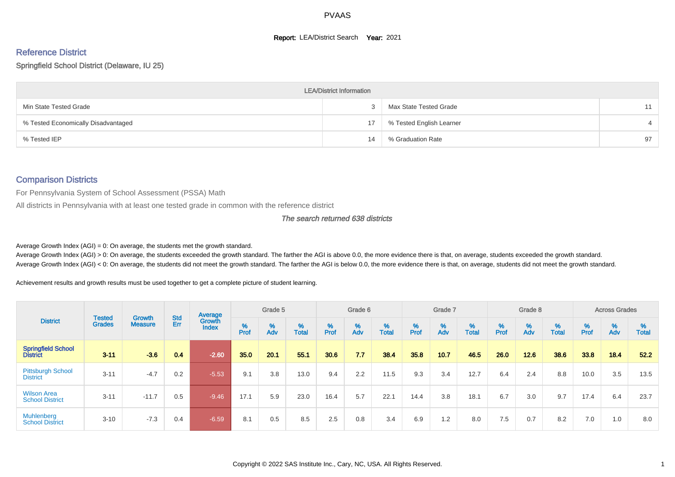#### **Report: LEA/District Search Year: 2021**

# Reference District

#### Springfield School District (Delaware, IU 25)

|                                     | <b>LEA/District Information</b> |                          |    |
|-------------------------------------|---------------------------------|--------------------------|----|
| Min State Tested Grade              |                                 | Max State Tested Grade   | 11 |
| % Tested Economically Disadvantaged | 17                              | % Tested English Learner |    |
| % Tested IEP                        | 14                              | % Graduation Rate        | 97 |

#### Comparison Districts

For Pennsylvania System of School Assessment (PSSA) Math

All districts in Pennsylvania with at least one tested grade in common with the reference district

#### The search returned 638 districts

Average Growth Index  $(AGI) = 0$ : On average, the students met the growth standard.

Average Growth Index (AGI) > 0: On average, the students exceeded the growth standard. The farther the AGI is above 0.0, the more evidence there is that, on average, students exceeded the growth standard. Average Growth Index (AGI) < 0: On average, the students did not meet the growth standard. The farther the AGI is below 0.0, the more evidence there is that, on average, students did not meet the growth standard.

Achievement results and growth results must be used together to get a complete picture of student learning.

|                                              |                         |                          |                   | Average                |           | Grade 5  |                   |        | Grade 6  |                   |          | Grade 7  |                   |           | Grade 8  |                   |           | <b>Across Grades</b> |                   |
|----------------------------------------------|-------------------------|--------------------------|-------------------|------------------------|-----------|----------|-------------------|--------|----------|-------------------|----------|----------|-------------------|-----------|----------|-------------------|-----------|----------------------|-------------------|
| <b>District</b>                              | Tested<br><b>Grades</b> | Growth<br><b>Measure</b> | <b>Std</b><br>Err | Growth<br><b>Index</b> | %<br>Prof | %<br>Adv | %<br><b>Total</b> | % Pref | %<br>Adv | %<br><b>Total</b> | $%$ Prof | %<br>Adv | %<br><b>Total</b> | %<br>Prof | %<br>Adv | %<br><b>Total</b> | %<br>Prof | %<br>Adv             | %<br><b>Total</b> |
| <b>Springfield School</b><br><b>District</b> | $3 - 11$                | $-3.6$                   | 0.4               | $-2.60$                | 35.0      | 20.1     | 55.1              | 30.6   | 7.7      | 38.4              | 35.8     | 10.7     | 46.5              | 26.0      | 12.6     | 38.6              | 33.8      | 18.4                 | 52.2              |
| <b>Pittsburgh School</b><br><b>District</b>  | $3 - 11$                | $-4.7$                   | 0.2               | $-5.53$                | 9.1       | 3.8      | 13.0              | 9.4    | 2.2      | 11.5              | 9.3      | 3.4      | 12.7              | 6.4       | 2.4      | 8.8               | 10.0      | 3.5                  | 13.5              |
| <b>Wilson Area</b><br><b>School District</b> | $3 - 11$                | $-11.7$                  | 0.5               | $-9.46$                | 17.1      | 5.9      | 23.0              | 16.4   | 5.7      | 22.1              | 14.4     | 3.8      | 18.1              | 6.7       | 3.0      | 9.7               | 17.4      | 6.4                  | 23.7              |
| Muhlenberg<br><b>School District</b>         | $3 - 10$                | $-7.3$                   | 0.4               | $-6.59$                | 8.1       | 0.5      | 8.5               | 2.5    | 0.8      | 3.4               | 6.9      | 1.2      | 8.0               | 7.5       | 0.7      | 8.2               | 7.0       | 1.0                  | 8.0               |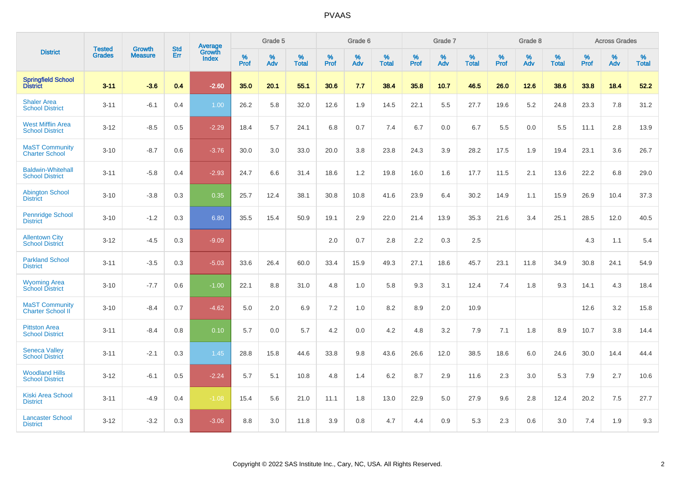|                                                    |                                |                                 | <b>Std</b> | Average                |           | Grade 5  |                   |           | Grade 6  |                   |           | Grade 7  |                      |           | Grade 8  |                   |           | <b>Across Grades</b> |                   |
|----------------------------------------------------|--------------------------------|---------------------------------|------------|------------------------|-----------|----------|-------------------|-----------|----------|-------------------|-----------|----------|----------------------|-----------|----------|-------------------|-----------|----------------------|-------------------|
| <b>District</b>                                    | <b>Tested</b><br><b>Grades</b> | <b>Growth</b><br><b>Measure</b> | Err        | Growth<br><b>Index</b> | %<br>Prof | %<br>Adv | %<br><b>Total</b> | %<br>Prof | %<br>Adv | %<br><b>Total</b> | %<br>Prof | %<br>Adv | $\%$<br><b>Total</b> | %<br>Prof | %<br>Adv | %<br><b>Total</b> | %<br>Prof | %<br>Adv             | %<br><b>Total</b> |
| <b>Springfield School</b><br><b>District</b>       | $3 - 11$                       | $-3.6$                          | 0.4        | $-2.60$                | 35.0      | 20.1     | 55.1              | 30.6      | 7.7      | 38.4              | 35.8      | 10.7     | 46.5                 | 26.0      | 12.6     | 38.6              | 33.8      | 18.4                 | 52.2              |
| <b>Shaler Area</b><br><b>School District</b>       | $3 - 11$                       | $-6.1$                          | 0.4        | 1.00                   | 26.2      | 5.8      | 32.0              | 12.6      | 1.9      | 14.5              | 22.1      | 5.5      | 27.7                 | 19.6      | 5.2      | 24.8              | 23.3      | 7.8                  | 31.2              |
| <b>West Mifflin Area</b><br><b>School District</b> | $3 - 12$                       | $-8.5$                          | 0.5        | $-2.29$                | 18.4      | 5.7      | 24.1              | 6.8       | 0.7      | 7.4               | 6.7       | 0.0      | 6.7                  | 5.5       | 0.0      | 5.5               | 11.1      | 2.8                  | 13.9              |
| <b>MaST Community</b><br><b>Charter School</b>     | $3 - 10$                       | $-8.7$                          | 0.6        | $-3.76$                | 30.0      | 3.0      | 33.0              | 20.0      | 3.8      | 23.8              | 24.3      | 3.9      | 28.2                 | 17.5      | 1.9      | 19.4              | 23.1      | 3.6                  | 26.7              |
| <b>Baldwin-Whitehall</b><br><b>School District</b> | $3 - 11$                       | $-5.8$                          | 0.4        | $-2.93$                | 24.7      | 6.6      | 31.4              | 18.6      | 1.2      | 19.8              | 16.0      | 1.6      | 17.7                 | 11.5      | 2.1      | 13.6              | 22.2      | 6.8                  | 29.0              |
| <b>Abington School</b><br><b>District</b>          | $3 - 10$                       | $-3.8$                          | 0.3        | 0.35                   | 25.7      | 12.4     | 38.1              | 30.8      | 10.8     | 41.6              | 23.9      | 6.4      | 30.2                 | 14.9      | 1.1      | 15.9              | 26.9      | 10.4                 | 37.3              |
| <b>Pennridge School</b><br><b>District</b>         | $3 - 10$                       | $-1.2$                          | 0.3        | 6.80                   | 35.5      | 15.4     | 50.9              | 19.1      | 2.9      | 22.0              | 21.4      | 13.9     | 35.3                 | 21.6      | 3.4      | 25.1              | 28.5      | 12.0                 | 40.5              |
| <b>Allentown City</b><br><b>School District</b>    | $3 - 12$                       | $-4.5$                          | 0.3        | $-9.09$                |           |          |                   | 2.0       | 0.7      | 2.8               | 2.2       | 0.3      | 2.5                  |           |          |                   | 4.3       | 1.1                  | 5.4               |
| <b>Parkland School</b><br><b>District</b>          | $3 - 11$                       | $-3.5$                          | 0.3        | $-5.03$                | 33.6      | 26.4     | 60.0              | 33.4      | 15.9     | 49.3              | 27.1      | 18.6     | 45.7                 | 23.1      | 11.8     | 34.9              | 30.8      | 24.1                 | 54.9              |
| <b>Wyoming Area</b><br><b>School District</b>      | $3 - 10$                       | $-7.7$                          | 0.6        | $-1.00$                | 22.1      | 8.8      | 31.0              | 4.8       | 1.0      | 5.8               | 9.3       | 3.1      | 12.4                 | 7.4       | 1.8      | 9.3               | 14.1      | 4.3                  | 18.4              |
| <b>MaST Community</b><br><b>Charter School II</b>  | $3 - 10$                       | $-8.4$                          | 0.7        | $-4.62$                | 5.0       | 2.0      | 6.9               | 7.2       | 1.0      | 8.2               | 8.9       | 2.0      | 10.9                 |           |          |                   | 12.6      | 3.2                  | 15.8              |
| <b>Pittston Area</b><br><b>School District</b>     | $3 - 11$                       | $-8.4$                          | 0.8        | 0.10                   | 5.7       | 0.0      | 5.7               | 4.2       | 0.0      | 4.2               | 4.8       | 3.2      | 7.9                  | 7.1       | 1.8      | 8.9               | 10.7      | 3.8                  | 14.4              |
| <b>Seneca Valley</b><br><b>School District</b>     | $3 - 11$                       | $-2.1$                          | 0.3        | 1.45                   | 28.8      | 15.8     | 44.6              | 33.8      | 9.8      | 43.6              | 26.6      | 12.0     | 38.5                 | 18.6      | 6.0      | 24.6              | 30.0      | 14.4                 | 44.4              |
| <b>Woodland Hills</b><br><b>School District</b>    | $3 - 12$                       | $-6.1$                          | 0.5        | $-2.24$                | 5.7       | 5.1      | 10.8              | 4.8       | 1.4      | 6.2               | 8.7       | 2.9      | 11.6                 | 2.3       | 3.0      | 5.3               | 7.9       | 2.7                  | 10.6              |
| <b>Kiski Area School</b><br><b>District</b>        | $3 - 11$                       | $-4.9$                          | 0.4        | $-1.08$                | 15.4      | 5.6      | 21.0              | 11.1      | 1.8      | 13.0              | 22.9      | 5.0      | 27.9                 | 9.6       | 2.8      | 12.4              | 20.2      | 7.5                  | 27.7              |
| <b>Lancaster School</b><br><b>District</b>         | $3 - 12$                       | $-3.2$                          | 0.3        | $-3.06$                | 8.8       | 3.0      | 11.8              | 3.9       | 0.8      | 4.7               | 4.4       | 0.9      | 5.3                  | 2.3       | 0.6      | 3.0               | 7.4       | 1.9                  | 9.3               |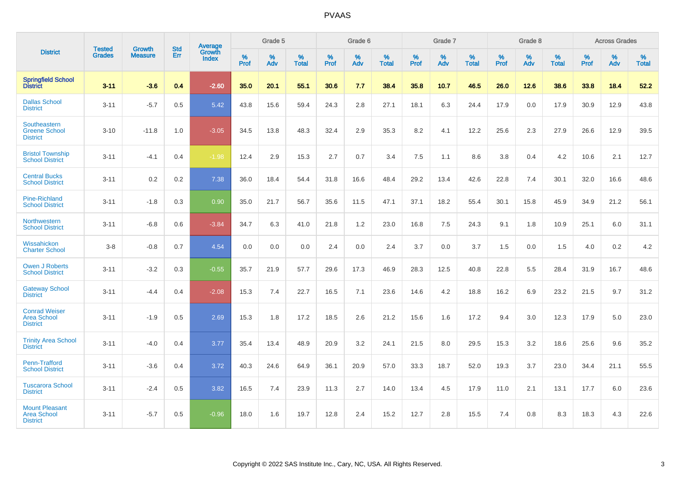|                                                                |                                | <b>Growth</b>  | <b>Std</b> | Average                |           | Grade 5  |                   |           | Grade 6  |                   |           | Grade 7  |                   |           | Grade 8  |                   |           | <b>Across Grades</b> |                   |
|----------------------------------------------------------------|--------------------------------|----------------|------------|------------------------|-----------|----------|-------------------|-----------|----------|-------------------|-----------|----------|-------------------|-----------|----------|-------------------|-----------|----------------------|-------------------|
| <b>District</b>                                                | <b>Tested</b><br><b>Grades</b> | <b>Measure</b> | Err        | Growth<br><b>Index</b> | %<br>Prof | %<br>Adv | %<br><b>Total</b> | %<br>Prof | %<br>Adv | %<br><b>Total</b> | %<br>Prof | %<br>Adv | %<br><b>Total</b> | %<br>Prof | %<br>Adv | %<br><b>Total</b> | %<br>Prof | %<br>Adv             | %<br><b>Total</b> |
| <b>Springfield School</b><br><b>District</b>                   | $3 - 11$                       | $-3.6$         | 0.4        | $-2.60$                | 35.0      | 20.1     | 55.1              | 30.6      | 7.7      | 38.4              | 35.8      | 10.7     | 46.5              | 26.0      | 12.6     | 38.6              | 33.8      | 18.4                 | 52.2              |
| <b>Dallas School</b><br><b>District</b>                        | $3 - 11$                       | $-5.7$         | 0.5        | 5.42                   | 43.8      | 15.6     | 59.4              | 24.3      | 2.8      | 27.1              | 18.1      | 6.3      | 24.4              | 17.9      | 0.0      | 17.9              | 30.9      | 12.9                 | 43.8              |
| <b>Southeastern</b><br><b>Greene School</b><br><b>District</b> | $3 - 10$                       | $-11.8$        | 1.0        | $-3.05$                | 34.5      | 13.8     | 48.3              | 32.4      | 2.9      | 35.3              | 8.2       | 4.1      | 12.2              | 25.6      | 2.3      | 27.9              | 26.6      | 12.9                 | 39.5              |
| <b>Bristol Township</b><br><b>School District</b>              | $3 - 11$                       | $-4.1$         | 0.4        | $-1.98$                | 12.4      | 2.9      | 15.3              | 2.7       | 0.7      | 3.4               | 7.5       | 1.1      | 8.6               | 3.8       | 0.4      | 4.2               | 10.6      | 2.1                  | 12.7              |
| <b>Central Bucks</b><br><b>School District</b>                 | $3 - 11$                       | 0.2            | 0.2        | 7.38                   | 36.0      | 18.4     | 54.4              | 31.8      | 16.6     | 48.4              | 29.2      | 13.4     | 42.6              | 22.8      | 7.4      | 30.1              | 32.0      | 16.6                 | 48.6              |
| <b>Pine-Richland</b><br><b>School District</b>                 | $3 - 11$                       | $-1.8$         | 0.3        | 0.90                   | 35.0      | 21.7     | 56.7              | 35.6      | 11.5     | 47.1              | 37.1      | 18.2     | 55.4              | 30.1      | 15.8     | 45.9              | 34.9      | 21.2                 | 56.1              |
| Northwestern<br><b>School District</b>                         | $3 - 11$                       | $-6.8$         | 0.6        | $-3.84$                | 34.7      | 6.3      | 41.0              | 21.8      | 1.2      | 23.0              | 16.8      | 7.5      | 24.3              | 9.1       | 1.8      | 10.9              | 25.1      | 6.0                  | 31.1              |
| Wissahickon<br><b>Charter School</b>                           | $3 - 8$                        | $-0.8$         | 0.7        | 4.54                   | 0.0       | 0.0      | 0.0               | 2.4       | $0.0\,$  | 2.4               | 3.7       | 0.0      | 3.7               | 1.5       | 0.0      | 1.5               | 4.0       | $0.2\,$              | 4.2               |
| <b>Owen J Roberts</b><br><b>School District</b>                | $3 - 11$                       | $-3.2$         | 0.3        | $-0.55$                | 35.7      | 21.9     | 57.7              | 29.6      | 17.3     | 46.9              | 28.3      | 12.5     | 40.8              | 22.8      | 5.5      | 28.4              | 31.9      | 16.7                 | 48.6              |
| <b>Gateway School</b><br><b>District</b>                       | $3 - 11$                       | $-4.4$         | 0.4        | $-2.08$                | 15.3      | 7.4      | 22.7              | 16.5      | 7.1      | 23.6              | 14.6      | 4.2      | 18.8              | 16.2      | 6.9      | 23.2              | 21.5      | 9.7                  | 31.2              |
| <b>Conrad Weiser</b><br><b>Area School</b><br><b>District</b>  | $3 - 11$                       | $-1.9$         | 0.5        | 2.69                   | 15.3      | 1.8      | 17.2              | 18.5      | 2.6      | 21.2              | 15.6      | 1.6      | 17.2              | 9.4       | 3.0      | 12.3              | 17.9      | 5.0                  | 23.0              |
| <b>Trinity Area School</b><br><b>District</b>                  | $3 - 11$                       | $-4.0$         | 0.4        | 3.77                   | 35.4      | 13.4     | 48.9              | 20.9      | 3.2      | 24.1              | 21.5      | 8.0      | 29.5              | 15.3      | 3.2      | 18.6              | 25.6      | 9.6                  | 35.2              |
| <b>Penn-Trafford</b><br><b>School District</b>                 | $3 - 11$                       | $-3.6$         | 0.4        | 3.72                   | 40.3      | 24.6     | 64.9              | 36.1      | 20.9     | 57.0              | 33.3      | 18.7     | 52.0              | 19.3      | 3.7      | 23.0              | 34.4      | 21.1                 | 55.5              |
| <b>Tuscarora School</b><br><b>District</b>                     | $3 - 11$                       | $-2.4$         | 0.5        | 3.82                   | 16.5      | 7.4      | 23.9              | 11.3      | 2.7      | 14.0              | 13.4      | 4.5      | 17.9              | 11.0      | 2.1      | 13.1              | 17.7      | 6.0                  | 23.6              |
| <b>Mount Pleasant</b><br><b>Area School</b><br><b>District</b> | $3 - 11$                       | $-5.7$         | 0.5        | $-0.96$                | 18.0      | 1.6      | 19.7              | 12.8      | 2.4      | 15.2              | 12.7      | 2.8      | 15.5              | 7.4       | 0.8      | 8.3               | 18.3      | 4.3                  | 22.6              |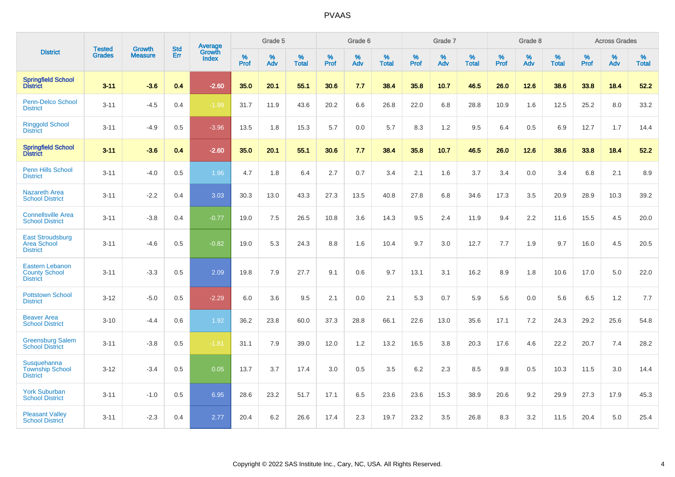|                                                                   | <b>Tested</b> | <b>Growth</b>  | <b>Std</b> | Average                       |              | Grade 5  |                   |           | Grade 6  |                   |           | Grade 7  |                   |           | Grade 8  |                   |           | <b>Across Grades</b> |                   |
|-------------------------------------------------------------------|---------------|----------------|------------|-------------------------------|--------------|----------|-------------------|-----------|----------|-------------------|-----------|----------|-------------------|-----------|----------|-------------------|-----------|----------------------|-------------------|
| <b>District</b>                                                   | <b>Grades</b> | <b>Measure</b> | <b>Err</b> | <b>Growth</b><br><b>Index</b> | $\%$<br>Prof | %<br>Adv | %<br><b>Total</b> | %<br>Prof | %<br>Adv | %<br><b>Total</b> | %<br>Prof | %<br>Adv | %<br><b>Total</b> | %<br>Prof | %<br>Adv | %<br><b>Total</b> | %<br>Prof | %<br>Adv             | %<br><b>Total</b> |
| <b>Springfield School</b><br><b>District</b>                      | $3 - 11$      | $-3.6$         | 0.4        | $-2.60$                       | 35.0         | 20.1     | 55.1              | 30.6      | 7.7      | 38.4              | 35.8      | 10.7     | 46.5              | 26.0      | 12.6     | 38.6              | 33.8      | 18.4                 | 52.2              |
| Penn-Delco School<br><b>District</b>                              | $3 - 11$      | $-4.5$         | 0.4        | $-1.99$                       | 31.7         | 11.9     | 43.6              | 20.2      | 6.6      | 26.8              | 22.0      | 6.8      | 28.8              | 10.9      | 1.6      | 12.5              | 25.2      | 8.0                  | 33.2              |
| <b>Ringgold School</b><br><b>District</b>                         | $3 - 11$      | $-4.9$         | 0.5        | $-3.96$                       | 13.5         | 1.8      | 15.3              | 5.7       | 0.0      | 5.7               | 8.3       | 1.2      | 9.5               | 6.4       | 0.5      | 6.9               | 12.7      | 1.7                  | 14.4              |
| <b>Springfield School</b><br><b>District</b>                      | $3 - 11$      | $-3.6$         | 0.4        | $-2.60$                       | 35.0         | 20.1     | 55.1              | 30.6      | 7.7      | 38.4              | 35.8      | 10.7     | 46.5              | 26.0      | 12.6     | 38.6              | 33.8      | 18.4                 | 52.2              |
| Penn Hills School<br><b>District</b>                              | $3 - 11$      | $-4.0$         | 0.5        | 1.96                          | 4.7          | 1.8      | 6.4               | 2.7       | 0.7      | 3.4               | 2.1       | 1.6      | 3.7               | 3.4       | 0.0      | 3.4               | 6.8       | 2.1                  | 8.9               |
| <b>Nazareth Area</b><br><b>School District</b>                    | $3 - 11$      | $-2.2$         | 0.4        | 3.03                          | 30.3         | 13.0     | 43.3              | 27.3      | 13.5     | 40.8              | 27.8      | 6.8      | 34.6              | 17.3      | 3.5      | 20.9              | 28.9      | 10.3                 | 39.2              |
| <b>Connellsville Area</b><br><b>School District</b>               | $3 - 11$      | $-3.8$         | 0.4        | $-0.77$                       | 19.0         | 7.5      | 26.5              | 10.8      | 3.6      | 14.3              | 9.5       | 2.4      | 11.9              | 9.4       | 2.2      | 11.6              | 15.5      | 4.5                  | 20.0              |
| <b>East Stroudsburg</b><br><b>Area School</b><br><b>District</b>  | $3 - 11$      | $-4.6$         | 0.5        | $-0.82$                       | 19.0         | 5.3      | 24.3              | 8.8       | 1.6      | 10.4              | 9.7       | 3.0      | 12.7              | 7.7       | 1.9      | 9.7               | 16.0      | 4.5                  | 20.5              |
| <b>Eastern Lebanon</b><br><b>County School</b><br><b>District</b> | $3 - 11$      | $-3.3$         | 0.5        | 2.09                          | 19.8         | 7.9      | 27.7              | 9.1       | 0.6      | 9.7               | 13.1      | 3.1      | 16.2              | 8.9       | 1.8      | 10.6              | 17.0      | 5.0                  | 22.0              |
| <b>Pottstown School</b><br><b>District</b>                        | $3 - 12$      | $-5.0$         | 0.5        | $-2.29$                       | 6.0          | 3.6      | 9.5               | 2.1       | 0.0      | 2.1               | 5.3       | 0.7      | 5.9               | 5.6       | 0.0      | 5.6               | 6.5       | 1.2                  | 7.7               |
| <b>Beaver Area</b><br><b>School District</b>                      | $3 - 10$      | $-4.4$         | 0.6        | 1.92                          | 36.2         | 23.8     | 60.0              | 37.3      | 28.8     | 66.1              | 22.6      | 13.0     | 35.6              | 17.1      | 7.2      | 24.3              | 29.2      | 25.6                 | 54.8              |
| <b>Greensburg Salem</b><br><b>School District</b>                 | $3 - 11$      | $-3.8$         | 0.5        | $-1.81$                       | 31.1         | 7.9      | 39.0              | 12.0      | 1.2      | 13.2              | 16.5      | 3.8      | 20.3              | 17.6      | 4.6      | 22.2              | 20.7      | 7.4                  | 28.2              |
| Susquehanna<br><b>Township School</b><br><b>District</b>          | $3 - 12$      | $-3.4$         | 0.5        | 0.05                          | 13.7         | 3.7      | 17.4              | 3.0       | 0.5      | 3.5               | 6.2       | 2.3      | 8.5               | 9.8       | 0.5      | 10.3              | 11.5      | 3.0                  | 14.4              |
| <b>York Suburban</b><br><b>School District</b>                    | $3 - 11$      | $-1.0$         | 0.5        | 6.95                          | 28.6         | 23.2     | 51.7              | 17.1      | 6.5      | 23.6              | 23.6      | 15.3     | 38.9              | 20.6      | 9.2      | 29.9              | 27.3      | 17.9                 | 45.3              |
| <b>Pleasant Valley</b><br><b>School District</b>                  | $3 - 11$      | $-2.3$         | 0.4        | 2.77                          | 20.4         | 6.2      | 26.6              | 17.4      | 2.3      | 19.7              | 23.2      | 3.5      | 26.8              | 8.3       | 3.2      | 11.5              | 20.4      | 5.0                  | 25.4              |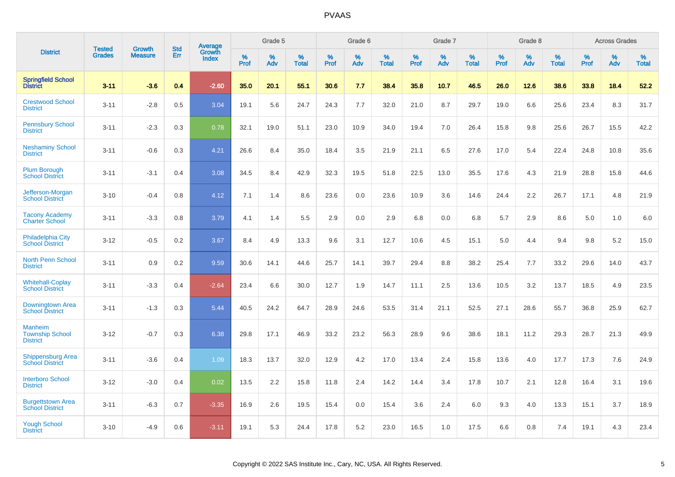|                                                             | <b>Tested</b> | <b>Growth</b>  | <b>Std</b> | Average                |              | Grade 5  |                   |              | Grade 6  |                   |              | Grade 7  |                   |              | Grade 8  |                   |              | <b>Across Grades</b> |                      |
|-------------------------------------------------------------|---------------|----------------|------------|------------------------|--------------|----------|-------------------|--------------|----------|-------------------|--------------|----------|-------------------|--------------|----------|-------------------|--------------|----------------------|----------------------|
| <b>District</b>                                             | <b>Grades</b> | <b>Measure</b> | Err        | Growth<br><b>Index</b> | $\%$<br>Prof | %<br>Adv | %<br><b>Total</b> | $\%$<br>Prof | %<br>Adv | %<br><b>Total</b> | $\%$<br>Prof | %<br>Adv | %<br><b>Total</b> | $\%$<br>Prof | %<br>Adv | %<br><b>Total</b> | $\%$<br>Prof | %<br>Adv             | $\%$<br><b>Total</b> |
| <b>Springfield School</b><br><b>District</b>                | $3 - 11$      | $-3.6$         | 0.4        | $-2.60$                | 35.0         | 20.1     | 55.1              | 30.6         | 7.7      | 38.4              | 35.8         | 10.7     | 46.5              | 26.0         | 12.6     | 38.6              | 33.8         | 18.4                 | 52.2                 |
| <b>Crestwood School</b><br><b>District</b>                  | $3 - 11$      | $-2.8$         | 0.5        | 3.04                   | 19.1         | 5.6      | 24.7              | 24.3         | 7.7      | 32.0              | 21.0         | 8.7      | 29.7              | 19.0         | 6.6      | 25.6              | 23.4         | 8.3                  | 31.7                 |
| <b>Pennsbury School</b><br><b>District</b>                  | $3 - 11$      | $-2.3$         | 0.3        | 0.78                   | 32.1         | 19.0     | 51.1              | 23.0         | 10.9     | 34.0              | 19.4         | 7.0      | 26.4              | 15.8         | 9.8      | 25.6              | 26.7         | 15.5                 | 42.2                 |
| <b>Neshaminy School</b><br><b>District</b>                  | $3 - 11$      | $-0.6$         | 0.3        | 4.21                   | 26.6         | 8.4      | 35.0              | 18.4         | 3.5      | 21.9              | 21.1         | 6.5      | 27.6              | 17.0         | 5.4      | 22.4              | 24.8         | 10.8                 | 35.6                 |
| <b>Plum Borough</b><br><b>School District</b>               | $3 - 11$      | $-3.1$         | 0.4        | 3.08                   | 34.5         | 8.4      | 42.9              | 32.3         | 19.5     | 51.8              | 22.5         | 13.0     | 35.5              | 17.6         | 4.3      | 21.9              | 28.8         | 15.8                 | 44.6                 |
| Jefferson-Morgan<br><b>School District</b>                  | $3 - 10$      | $-0.4$         | 0.8        | 4.12                   | 7.1          | 1.4      | 8.6               | 23.6         | 0.0      | 23.6              | 10.9         | 3.6      | 14.6              | 24.4         | 2.2      | 26.7              | 17.1         | 4.8                  | 21.9                 |
| <b>Tacony Academy</b><br><b>Charter School</b>              | $3 - 11$      | $-3.3$         | 0.8        | 3.79                   | 4.1          | 1.4      | 5.5               | 2.9          | 0.0      | 2.9               | 6.8          | 0.0      | 6.8               | 5.7          | 2.9      | 8.6               | 5.0          | 1.0                  | 6.0                  |
| <b>Philadelphia City</b><br><b>School District</b>          | $3 - 12$      | $-0.5$         | 0.2        | 3.67                   | 8.4          | 4.9      | 13.3              | 9.6          | 3.1      | 12.7              | 10.6         | 4.5      | 15.1              | 5.0          | 4.4      | 9.4               | 9.8          | 5.2                  | 15.0                 |
| <b>North Penn School</b><br><b>District</b>                 | $3 - 11$      | 0.9            | 0.2        | 9.59                   | 30.6         | 14.1     | 44.6              | 25.7         | 14.1     | 39.7              | 29.4         | 8.8      | 38.2              | 25.4         | 7.7      | 33.2              | 29.6         | 14.0                 | 43.7                 |
| <b>Whitehall-Coplay</b><br><b>School District</b>           | $3 - 11$      | $-3.3$         | 0.4        | $-2.64$                | 23.4         | 6.6      | 30.0              | 12.7         | 1.9      | 14.7              | 11.1         | 2.5      | 13.6              | 10.5         | 3.2      | 13.7              | 18.5         | 4.9                  | 23.5                 |
| Downingtown Area<br><b>School District</b>                  | $3 - 11$      | $-1.3$         | 0.3        | 5.44                   | 40.5         | 24.2     | 64.7              | 28.9         | 24.6     | 53.5              | 31.4         | 21.1     | 52.5              | 27.1         | 28.6     | 55.7              | 36.8         | 25.9                 | 62.7                 |
| <b>Manheim</b><br><b>Township School</b><br><b>District</b> | $3 - 12$      | $-0.7$         | 0.3        | 6.38                   | 29.8         | 17.1     | 46.9              | 33.2         | 23.2     | 56.3              | 28.9         | 9.6      | 38.6              | 18.1         | 11.2     | 29.3              | 28.7         | 21.3                 | 49.9                 |
| <b>Shippensburg Area</b><br><b>School District</b>          | $3 - 11$      | $-3.6$         | 0.4        | 1.09                   | 18.3         | 13.7     | 32.0              | 12.9         | 4.2      | 17.0              | 13.4         | 2.4      | 15.8              | 13.6         | 4.0      | 17.7              | 17.3         | 7.6                  | 24.9                 |
| <b>Interboro School</b><br><b>District</b>                  | $3 - 12$      | $-3.0$         | 0.4        | 0.02                   | 13.5         | 2.2      | 15.8              | 11.8         | 2.4      | 14.2              | 14.4         | 3.4      | 17.8              | 10.7         | 2.1      | 12.8              | 16.4         | 3.1                  | 19.6                 |
| <b>Burgettstown Area</b><br><b>School District</b>          | $3 - 11$      | $-6.3$         | 0.7        | $-3.35$                | 16.9         | 2.6      | 19.5              | 15.4         | 0.0      | 15.4              | 3.6          | 2.4      | 6.0               | 9.3          | 4.0      | 13.3              | 15.1         | 3.7                  | 18.9                 |
| <b>Yough School</b><br><b>District</b>                      | $3 - 10$      | $-4.9$         | 0.6        | $-3.11$                | 19.1         | 5.3      | 24.4              | 17.8         | 5.2      | 23.0              | 16.5         | 1.0      | 17.5              | 6.6          | 0.8      | 7.4               | 19.1         | 4.3                  | 23.4                 |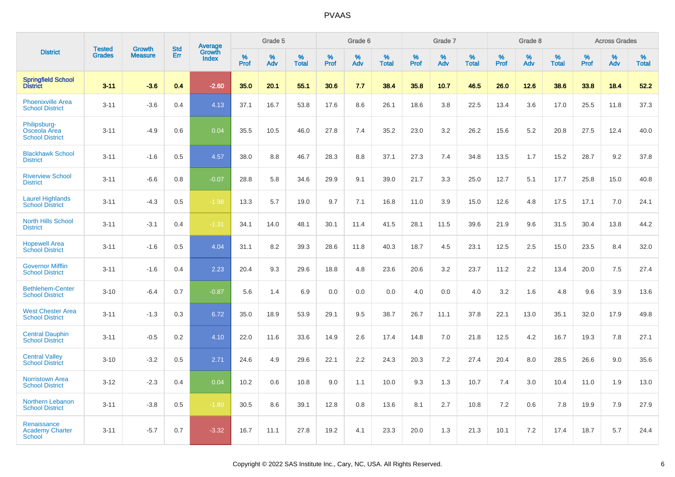|                                                        | <b>Tested</b> | <b>Growth</b>  | <b>Std</b> | <b>Average</b>         |                     | Grade 5  |                   |                     | Grade 6  |                   |              | Grade 7  |                   |              | Grade 8  |                   |              | <b>Across Grades</b> |                   |
|--------------------------------------------------------|---------------|----------------|------------|------------------------|---------------------|----------|-------------------|---------------------|----------|-------------------|--------------|----------|-------------------|--------------|----------|-------------------|--------------|----------------------|-------------------|
| <b>District</b>                                        | <b>Grades</b> | <b>Measure</b> | Err        | Growth<br><b>Index</b> | $\%$<br><b>Prof</b> | %<br>Adv | %<br><b>Total</b> | $\%$<br><b>Prof</b> | %<br>Adv | %<br><b>Total</b> | $\%$<br>Prof | %<br>Adv | %<br><b>Total</b> | $\%$<br>Prof | %<br>Adv | %<br><b>Total</b> | $\%$<br>Prof | %<br>Adv             | %<br><b>Total</b> |
| <b>Springfield School</b><br><b>District</b>           | $3 - 11$      | $-3.6$         | 0.4        | $-2.60$                | 35.0                | 20.1     | 55.1              | 30.6                | 7.7      | 38.4              | 35.8         | 10.7     | 46.5              | 26.0         | 12.6     | 38.6              | 33.8         | 18.4                 | 52.2              |
| <b>Phoenixville Area</b><br><b>School District</b>     | $3 - 11$      | $-3.6$         | 0.4        | 4.13                   | 37.1                | 16.7     | 53.8              | 17.6                | 8.6      | 26.1              | 18.6         | 3.8      | 22.5              | 13.4         | 3.6      | 17.0              | 25.5         | 11.8                 | 37.3              |
| Philipsburg-<br>Osceola Area<br><b>School District</b> | $3 - 11$      | $-4.9$         | 0.6        | 0.04                   | 35.5                | 10.5     | 46.0              | 27.8                | 7.4      | 35.2              | 23.0         | 3.2      | 26.2              | 15.6         | 5.2      | 20.8              | 27.5         | 12.4                 | 40.0              |
| <b>Blackhawk School</b><br><b>District</b>             | $3 - 11$      | $-1.6$         | 0.5        | 4.57                   | 38.0                | 8.8      | 46.7              | 28.3                | 8.8      | 37.1              | 27.3         | 7.4      | 34.8              | 13.5         | 1.7      | 15.2              | 28.7         | 9.2                  | 37.8              |
| <b>Riverview School</b><br><b>District</b>             | $3 - 11$      | $-6.6$         | 0.8        | $-0.07$                | 28.8                | 5.8      | 34.6              | 29.9                | 9.1      | 39.0              | 21.7         | 3.3      | 25.0              | 12.7         | 5.1      | 17.7              | 25.8         | 15.0                 | 40.8              |
| <b>Laurel Highlands</b><br><b>School District</b>      | $3 - 11$      | $-4.3$         | 0.5        | $-1.98$                | 13.3                | 5.7      | 19.0              | 9.7                 | 7.1      | 16.8              | 11.0         | 3.9      | 15.0              | 12.6         | 4.8      | 17.5              | 17.1         | 7.0                  | 24.1              |
| <b>North Hills School</b><br><b>District</b>           | $3 - 11$      | $-3.1$         | 0.4        | $-1.31$                | 34.1                | 14.0     | 48.1              | 30.1                | 11.4     | 41.5              | 28.1         | 11.5     | 39.6              | 21.9         | 9.6      | 31.5              | 30.4         | 13.8                 | 44.2              |
| <b>Hopewell Area</b><br><b>School District</b>         | $3 - 11$      | $-1.6$         | 0.5        | 4.04                   | 31.1                | 8.2      | 39.3              | 28.6                | 11.8     | 40.3              | 18.7         | 4.5      | 23.1              | 12.5         | 2.5      | 15.0              | 23.5         | 8.4                  | 32.0              |
| <b>Governor Mifflin</b><br><b>School District</b>      | $3 - 11$      | $-1.6$         | 0.4        | 2.23                   | 20.4                | 9.3      | 29.6              | 18.8                | 4.8      | 23.6              | 20.6         | 3.2      | 23.7              | 11.2         | 2.2      | 13.4              | 20.0         | 7.5                  | 27.4              |
| <b>Bethlehem-Center</b><br><b>School District</b>      | $3 - 10$      | $-6.4$         | 0.7        | $-0.87$                | 5.6                 | 1.4      | 6.9               | 0.0                 | 0.0      | 0.0               | 4.0          | 0.0      | 4.0               | 3.2          | 1.6      | 4.8               | 9.6          | 3.9                  | 13.6              |
| <b>West Chester Area</b><br><b>School District</b>     | $3 - 11$      | $-1.3$         | 0.3        | 6.72                   | 35.0                | 18.9     | 53.9              | 29.1                | 9.5      | 38.7              | 26.7         | 11.1     | 37.8              | 22.1         | 13.0     | 35.1              | 32.0         | 17.9                 | 49.8              |
| <b>Central Dauphin</b><br><b>School District</b>       | $3 - 11$      | $-0.5$         | 0.2        | 4.10                   | 22.0                | 11.6     | 33.6              | 14.9                | 2.6      | 17.4              | 14.8         | 7.0      | 21.8              | 12.5         | 4.2      | 16.7              | 19.3         | 7.8                  | 27.1              |
| <b>Central Valley</b><br><b>School District</b>        | $3 - 10$      | $-3.2$         | 0.5        | 2.71                   | 24.6                | 4.9      | 29.6              | 22.1                | 2.2      | 24.3              | 20.3         | 7.2      | 27.4              | 20.4         | 8.0      | 28.5              | 26.6         | 9.0                  | 35.6              |
| <b>Norristown Area</b><br><b>School District</b>       | $3 - 12$      | $-2.3$         | 0.4        | 0.04                   | 10.2                | 0.6      | 10.8              | 9.0                 | 1.1      | 10.0              | 9.3          | 1.3      | 10.7              | 7.4          | 3.0      | 10.4              | 11.0         | 1.9                  | 13.0              |
| <b>Northern Lebanon</b><br><b>School District</b>      | $3 - 11$      | $-3.8$         | 0.5        | $-1.80$                | 30.5                | 8.6      | 39.1              | 12.8                | 0.8      | 13.6              | 8.1          | 2.7      | 10.8              | 7.2          | 0.6      | 7.8               | 19.9         | 7.9                  | 27.9              |
| Renaissance<br><b>Academy Charter</b><br><b>School</b> | $3 - 11$      | $-5.7$         | 0.7        | $-3.32$                | 16.7                | 11.1     | 27.8              | 19.2                | 4.1      | 23.3              | 20.0         | 1.3      | 21.3              | 10.1         | 7.2      | 17.4              | 18.7         | 5.7                  | 24.4              |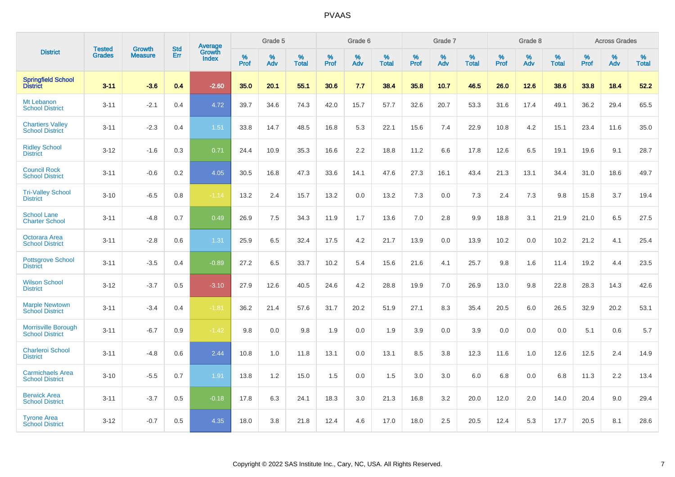|                                                      |                                |                                 | <b>Std</b> | Average                |           | Grade 5  |                   |           | Grade 6  |                   |              | Grade 7  |                   |           | Grade 8  |                   |           | <b>Across Grades</b> |            |
|------------------------------------------------------|--------------------------------|---------------------------------|------------|------------------------|-----------|----------|-------------------|-----------|----------|-------------------|--------------|----------|-------------------|-----------|----------|-------------------|-----------|----------------------|------------|
| <b>District</b>                                      | <b>Tested</b><br><b>Grades</b> | <b>Growth</b><br><b>Measure</b> | Err        | Growth<br><b>Index</b> | %<br>Prof | %<br>Adv | %<br><b>Total</b> | %<br>Prof | %<br>Adv | %<br><b>Total</b> | $\%$<br>Prof | %<br>Adv | %<br><b>Total</b> | %<br>Prof | %<br>Adv | %<br><b>Total</b> | %<br>Prof | %<br>Adv             | %<br>Total |
| <b>Springfield School</b><br><b>District</b>         | $3 - 11$                       | $-3.6$                          | 0.4        | $-2.60$                | 35.0      | 20.1     | 55.1              | 30.6      | 7.7      | 38.4              | 35.8         | 10.7     | 46.5              | 26.0      | 12.6     | 38.6              | 33.8      | 18.4                 | 52.2       |
| Mt Lebanon<br><b>School District</b>                 | $3 - 11$                       | $-2.1$                          | 0.4        | 4.72                   | 39.7      | 34.6     | 74.3              | 42.0      | 15.7     | 57.7              | 32.6         | 20.7     | 53.3              | 31.6      | 17.4     | 49.1              | 36.2      | 29.4                 | 65.5       |
| <b>Chartiers Valley</b><br><b>School District</b>    | $3 - 11$                       | $-2.3$                          | 0.4        | 1.51                   | 33.8      | 14.7     | 48.5              | 16.8      | 5.3      | 22.1              | 15.6         | 7.4      | 22.9              | 10.8      | 4.2      | 15.1              | 23.4      | 11.6                 | 35.0       |
| <b>Ridley School</b><br><b>District</b>              | $3 - 12$                       | $-1.6$                          | 0.3        | 0.71                   | 24.4      | 10.9     | 35.3              | 16.6      | 2.2      | 18.8              | 11.2         | 6.6      | 17.8              | 12.6      | 6.5      | 19.1              | 19.6      | 9.1                  | 28.7       |
| <b>Council Rock</b><br><b>School District</b>        | $3 - 11$                       | $-0.6$                          | 0.2        | 4.05                   | 30.5      | 16.8     | 47.3              | 33.6      | 14.1     | 47.6              | 27.3         | 16.1     | 43.4              | 21.3      | 13.1     | 34.4              | 31.0      | 18.6                 | 49.7       |
| <b>Tri-Valley School</b><br><b>District</b>          | $3 - 10$                       | $-6.5$                          | 0.8        | $-1.14$                | 13.2      | 2.4      | 15.7              | 13.2      | 0.0      | 13.2              | 7.3          | 0.0      | 7.3               | 2.4       | 7.3      | 9.8               | 15.8      | 3.7                  | 19.4       |
| <b>School Lane</b><br><b>Charter School</b>          | $3 - 11$                       | $-4.8$                          | 0.7        | 0.49                   | 26.9      | 7.5      | 34.3              | 11.9      | 1.7      | 13.6              | 7.0          | 2.8      | 9.9               | 18.8      | 3.1      | 21.9              | 21.0      | 6.5                  | 27.5       |
| Octorara Area<br><b>School District</b>              | $3 - 11$                       | $-2.8$                          | 0.6        | 1.31                   | 25.9      | 6.5      | 32.4              | 17.5      | 4.2      | 21.7              | 13.9         | 0.0      | 13.9              | 10.2      | 0.0      | 10.2              | 21.2      | 4.1                  | 25.4       |
| <b>Pottsgrove School</b><br><b>District</b>          | $3 - 11$                       | $-3.5$                          | 0.4        | $-0.89$                | 27.2      | 6.5      | 33.7              | 10.2      | 5.4      | 15.6              | 21.6         | 4.1      | 25.7              | 9.8       | 1.6      | 11.4              | 19.2      | 4.4                  | 23.5       |
| <b>Wilson School</b><br><b>District</b>              | $3 - 12$                       | $-3.7$                          | 0.5        | $-3.10$                | 27.9      | 12.6     | 40.5              | 24.6      | 4.2      | 28.8              | 19.9         | 7.0      | 26.9              | 13.0      | 9.8      | 22.8              | 28.3      | 14.3                 | 42.6       |
| <b>Marple Newtown</b><br><b>School District</b>      | $3 - 11$                       | $-3.4$                          | 0.4        | $-1.81$                | 36.2      | 21.4     | 57.6              | 31.7      | 20.2     | 51.9              | 27.1         | 8.3      | 35.4              | 20.5      | 6.0      | 26.5              | 32.9      | 20.2                 | 53.1       |
| <b>Morrisville Borough</b><br><b>School District</b> | $3 - 11$                       | $-6.7$                          | 0.9        | $-1.42$                | 9.8       | 0.0      | 9.8               | 1.9       | 0.0      | 1.9               | 3.9          | 0.0      | 3.9               | 0.0       | 0.0      | 0.0               | 5.1       | 0.6                  | 5.7        |
| <b>Charleroi School</b><br><b>District</b>           | $3 - 11$                       | $-4.8$                          | 0.6        | 2.44                   | 10.8      | 1.0      | 11.8              | 13.1      | 0.0      | 13.1              | 8.5          | 3.8      | 12.3              | 11.6      | 1.0      | 12.6              | 12.5      | 2.4                  | 14.9       |
| <b>Carmichaels Area</b><br><b>School District</b>    | $3 - 10$                       | $-5.5$                          | 0.7        | 1.91                   | 13.8      | 1.2      | 15.0              | 1.5       | 0.0      | 1.5               | 3.0          | 3.0      | 6.0               | 6.8       | 0.0      | 6.8               | 11.3      | 2.2                  | 13.4       |
| <b>Berwick Area</b><br><b>School District</b>        | $3 - 11$                       | $-3.7$                          | 0.5        | $-0.18$                | 17.8      | 6.3      | 24.1              | 18.3      | 3.0      | 21.3              | 16.8         | 3.2      | 20.0              | 12.0      | 2.0      | 14.0              | 20.4      | 9.0                  | 29.4       |
| <b>Tyrone Area</b><br><b>School District</b>         | $3 - 12$                       | $-0.7$                          | 0.5        | 4.35                   | 18.0      | 3.8      | 21.8              | 12.4      | 4.6      | 17.0              | 18.0         | 2.5      | 20.5              | 12.4      | 5.3      | 17.7              | 20.5      | 8.1                  | 28.6       |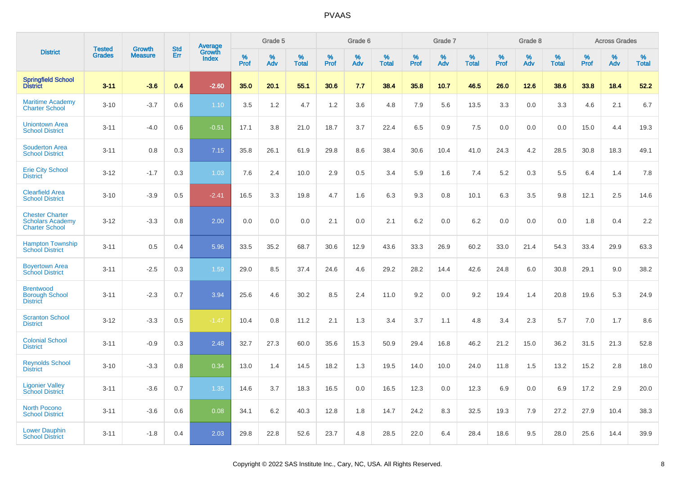|                                                                            | <b>Tested</b> | <b>Growth</b>  | <b>Std</b> | Average                |           | Grade 5  |                   |           | Grade 6  |                   |           | Grade 7  |                   |           | Grade 8  |                   |           | <b>Across Grades</b> |                   |
|----------------------------------------------------------------------------|---------------|----------------|------------|------------------------|-----------|----------|-------------------|-----------|----------|-------------------|-----------|----------|-------------------|-----------|----------|-------------------|-----------|----------------------|-------------------|
| <b>District</b>                                                            | <b>Grades</b> | <b>Measure</b> | Err        | Growth<br><b>Index</b> | %<br>Prof | %<br>Adv | %<br><b>Total</b> | %<br>Prof | %<br>Adv | %<br><b>Total</b> | %<br>Prof | %<br>Adv | %<br><b>Total</b> | %<br>Prof | %<br>Adv | %<br><b>Total</b> | %<br>Prof | %<br>Adv             | %<br><b>Total</b> |
| <b>Springfield School</b><br><b>District</b>                               | $3 - 11$      | $-3.6$         | 0.4        | $-2.60$                | 35.0      | 20.1     | 55.1              | 30.6      | 7.7      | 38.4              | 35.8      | 10.7     | 46.5              | 26.0      | 12.6     | 38.6              | 33.8      | 18.4                 | 52.2              |
| <b>Maritime Academy</b><br><b>Charter School</b>                           | $3 - 10$      | $-3.7$         | 0.6        | 1.10                   | 3.5       | 1.2      | 4.7               | 1.2       | 3.6      | 4.8               | 7.9       | 5.6      | 13.5              | 3.3       | 0.0      | 3.3               | 4.6       | 2.1                  | 6.7               |
| <b>Uniontown Area</b><br><b>School District</b>                            | $3 - 11$      | $-4.0$         | 0.6        | $-0.51$                | 17.1      | 3.8      | 21.0              | 18.7      | 3.7      | 22.4              | 6.5       | 0.9      | 7.5               | 0.0       | 0.0      | 0.0               | 15.0      | 4.4                  | 19.3              |
| <b>Souderton Area</b><br><b>School District</b>                            | $3 - 11$      | 0.8            | 0.3        | 7.15                   | 35.8      | 26.1     | 61.9              | 29.8      | 8.6      | 38.4              | 30.6      | 10.4     | 41.0              | 24.3      | 4.2      | 28.5              | 30.8      | 18.3                 | 49.1              |
| <b>Erie City School</b><br><b>District</b>                                 | $3 - 12$      | $-1.7$         | 0.3        | 1.03                   | 7.6       | 2.4      | 10.0              | 2.9       | 0.5      | 3.4               | 5.9       | 1.6      | 7.4               | 5.2       | 0.3      | 5.5               | 6.4       | 1.4                  | 7.8               |
| <b>Clearfield Area</b><br><b>School District</b>                           | $3 - 10$      | $-3.9$         | 0.5        | $-2.41$                | 16.5      | 3.3      | 19.8              | 4.7       | 1.6      | 6.3               | 9.3       | 0.8      | 10.1              | 6.3       | 3.5      | 9.8               | 12.1      | 2.5                  | 14.6              |
| <b>Chester Charter</b><br><b>Scholars Academy</b><br><b>Charter School</b> | $3 - 12$      | $-3.3$         | 0.8        | 2.00                   | 0.0       | 0.0      | 0.0               | 2.1       | 0.0      | 2.1               | 6.2       | 0.0      | 6.2               | 0.0       | 0.0      | 0.0               | 1.8       | 0.4                  | 2.2               |
| <b>Hampton Township</b><br><b>School District</b>                          | $3 - 11$      | 0.5            | 0.4        | 5.96                   | 33.5      | 35.2     | 68.7              | 30.6      | 12.9     | 43.6              | 33.3      | 26.9     | 60.2              | 33.0      | 21.4     | 54.3              | 33.4      | 29.9                 | 63.3              |
| <b>Boyertown Area</b><br><b>School District</b>                            | $3 - 11$      | $-2.5$         | 0.3        | 1.59                   | 29.0      | 8.5      | 37.4              | 24.6      | 4.6      | 29.2              | 28.2      | 14.4     | 42.6              | 24.8      | 6.0      | 30.8              | 29.1      | 9.0                  | 38.2              |
| <b>Brentwood</b><br><b>Borough School</b><br><b>District</b>               | $3 - 11$      | $-2.3$         | 0.7        | 3.94                   | 25.6      | 4.6      | 30.2              | 8.5       | 2.4      | 11.0              | 9.2       | 0.0      | 9.2               | 19.4      | 1.4      | 20.8              | 19.6      | 5.3                  | 24.9              |
| <b>Scranton School</b><br><b>District</b>                                  | $3 - 12$      | $-3.3$         | 0.5        | $-1.47$                | 10.4      | 0.8      | 11.2              | 2.1       | 1.3      | 3.4               | 3.7       | 1.1      | 4.8               | 3.4       | 2.3      | 5.7               | 7.0       | 1.7                  | 8.6               |
| <b>Colonial School</b><br><b>District</b>                                  | $3 - 11$      | $-0.9$         | 0.3        | 2.48                   | 32.7      | 27.3     | 60.0              | 35.6      | 15.3     | 50.9              | 29.4      | 16.8     | 46.2              | 21.2      | 15.0     | 36.2              | 31.5      | 21.3                 | 52.8              |
| <b>Reynolds School</b><br><b>District</b>                                  | $3 - 10$      | $-3.3$         | 0.8        | 0.34                   | 13.0      | 1.4      | 14.5              | 18.2      | 1.3      | 19.5              | 14.0      | 10.0     | 24.0              | 11.8      | 1.5      | 13.2              | 15.2      | 2.8                  | 18.0              |
| <b>Ligonier Valley</b><br><b>School District</b>                           | $3 - 11$      | $-3.6$         | 0.7        | 1.35                   | 14.6      | 3.7      | 18.3              | 16.5      | 0.0      | 16.5              | 12.3      | 0.0      | 12.3              | 6.9       | 0.0      | 6.9               | 17.2      | 2.9                  | 20.0              |
| <b>North Pocono</b><br><b>School District</b>                              | $3 - 11$      | $-3.6$         | 0.6        | 0.08                   | 34.1      | 6.2      | 40.3              | 12.8      | 1.8      | 14.7              | 24.2      | 8.3      | 32.5              | 19.3      | 7.9      | 27.2              | 27.9      | 10.4                 | 38.3              |
| <b>Lower Dauphin</b><br><b>School District</b>                             | $3 - 11$      | $-1.8$         | 0.4        | 2.03                   | 29.8      | 22.8     | 52.6              | 23.7      | 4.8      | 28.5              | 22.0      | 6.4      | 28.4              | 18.6      | 9.5      | 28.0              | 25.6      | 14.4                 | 39.9              |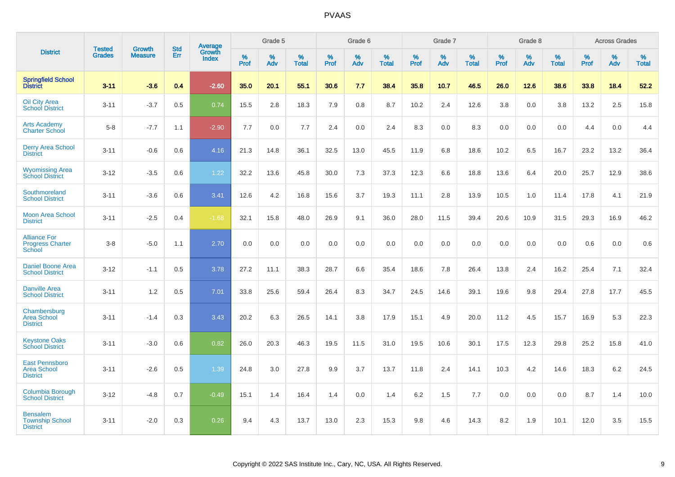|                                                                |                                |                                 | <b>Std</b> | <b>Average</b>  |                     | Grade 5  |                   |           | Grade 6  |                   |           | Grade 7  |                   |           | Grade 8  |                   |              | <b>Across Grades</b> |                   |
|----------------------------------------------------------------|--------------------------------|---------------------------------|------------|-----------------|---------------------|----------|-------------------|-----------|----------|-------------------|-----------|----------|-------------------|-----------|----------|-------------------|--------------|----------------------|-------------------|
| <b>District</b>                                                | <b>Tested</b><br><b>Grades</b> | <b>Growth</b><br><b>Measure</b> | Err        | Growth<br>Index | $\%$<br><b>Prof</b> | %<br>Adv | %<br><b>Total</b> | %<br>Prof | %<br>Adv | %<br><b>Total</b> | %<br>Prof | %<br>Adv | %<br><b>Total</b> | %<br>Prof | %<br>Adv | %<br><b>Total</b> | $\%$<br>Prof | %<br>Adv             | %<br><b>Total</b> |
| <b>Springfield School</b><br><b>District</b>                   | $3 - 11$                       | $-3.6$                          | 0.4        | $-2.60$         | 35.0                | 20.1     | 55.1              | 30.6      | 7.7      | 38.4              | 35.8      | 10.7     | 46.5              | 26.0      | 12.6     | 38.6              | 33.8         | 18.4                 | 52.2              |
| <b>Oil City Area</b><br><b>School District</b>                 | $3 - 11$                       | $-3.7$                          | 0.5        | 0.74            | 15.5                | 2.8      | 18.3              | 7.9       | 0.8      | 8.7               | 10.2      | 2.4      | 12.6              | 3.8       | 0.0      | 3.8               | 13.2         | 2.5                  | 15.8              |
| <b>Arts Academy</b><br><b>Charter School</b>                   | $5 - 8$                        | $-7.7$                          | 1.1        | $-2.90$         | 7.7                 | 0.0      | 7.7               | 2.4       | 0.0      | 2.4               | 8.3       | 0.0      | 8.3               | 0.0       | 0.0      | 0.0               | 4.4          | 0.0                  | 4.4               |
| <b>Derry Area School</b><br><b>District</b>                    | $3 - 11$                       | $-0.6$                          | 0.6        | 4.16            | 21.3                | 14.8     | 36.1              | 32.5      | 13.0     | 45.5              | 11.9      | 6.8      | 18.6              | 10.2      | 6.5      | 16.7              | 23.2         | 13.2                 | 36.4              |
| <b>Wyomissing Area</b><br><b>School District</b>               | $3 - 12$                       | $-3.5$                          | 0.6        | 1.22            | 32.2                | 13.6     | 45.8              | 30.0      | 7.3      | 37.3              | 12.3      | 6.6      | 18.8              | 13.6      | 6.4      | 20.0              | 25.7         | 12.9                 | 38.6              |
| Southmoreland<br><b>School District</b>                        | $3 - 11$                       | $-3.6$                          | 0.6        | 3.41            | 12.6                | 4.2      | 16.8              | 15.6      | 3.7      | 19.3              | 11.1      | 2.8      | 13.9              | 10.5      | 1.0      | 11.4              | 17.8         | 4.1                  | 21.9              |
| <b>Moon Area School</b><br><b>District</b>                     | $3 - 11$                       | $-2.5$                          | 0.4        | $-1.68$         | 32.1                | 15.8     | 48.0              | 26.9      | 9.1      | 36.0              | 28.0      | 11.5     | 39.4              | 20.6      | 10.9     | 31.5              | 29.3         | 16.9                 | 46.2              |
| <b>Alliance For</b><br><b>Progress Charter</b><br>School       | $3 - 8$                        | $-5.0$                          | 1.1        | 2.70            | 0.0                 | 0.0      | 0.0               | 0.0       | 0.0      | 0.0               | 0.0       | 0.0      | 0.0               | 0.0       | 0.0      | 0.0               | 0.6          | 0.0                  | 0.6               |
| <b>Daniel Boone Area</b><br><b>School District</b>             | $3 - 12$                       | $-1.1$                          | 0.5        | 3.78            | 27.2                | 11.1     | 38.3              | 28.7      | 6.6      | 35.4              | 18.6      | 7.8      | 26.4              | 13.8      | 2.4      | 16.2              | 25.4         | 7.1                  | 32.4              |
| <b>Danville Area</b><br><b>School District</b>                 | $3 - 11$                       | 1.2                             | 0.5        | 7.01            | 33.8                | 25.6     | 59.4              | 26.4      | 8.3      | 34.7              | 24.5      | 14.6     | 39.1              | 19.6      | 9.8      | 29.4              | 27.8         | 17.7                 | 45.5              |
| Chambersburg<br><b>Area School</b><br><b>District</b>          | $3 - 11$                       | $-1.4$                          | 0.3        | 3.43            | 20.2                | 6.3      | 26.5              | 14.1      | 3.8      | 17.9              | 15.1      | 4.9      | 20.0              | 11.2      | 4.5      | 15.7              | 16.9         | 5.3                  | 22.3              |
| <b>Keystone Oaks</b><br><b>School District</b>                 | $3 - 11$                       | $-3.0$                          | 0.6        | 0.82            | 26.0                | 20.3     | 46.3              | 19.5      | 11.5     | 31.0              | 19.5      | 10.6     | 30.1              | 17.5      | 12.3     | 29.8              | 25.2         | 15.8                 | 41.0              |
| <b>East Pennsboro</b><br><b>Area School</b><br><b>District</b> | $3 - 11$                       | $-2.6$                          | 0.5        | 1.39            | 24.8                | 3.0      | 27.8              | 9.9       | 3.7      | 13.7              | 11.8      | 2.4      | 14.1              | 10.3      | 4.2      | 14.6              | 18.3         | 6.2                  | 24.5              |
| <b>Columbia Borough</b><br><b>School District</b>              | $3 - 12$                       | $-4.8$                          | 0.7        | $-0.49$         | 15.1                | 1.4      | 16.4              | 1.4       | 0.0      | 1.4               | 6.2       | 1.5      | 7.7               | 0.0       | 0.0      | 0.0               | 8.7          | 1.4                  | 10.0              |
| <b>Bensalem</b><br><b>Township School</b><br><b>District</b>   | $3 - 11$                       | $-2.0$                          | 0.3        | 0.26            | 9.4                 | 4.3      | 13.7              | 13.0      | 2.3      | 15.3              | 9.8       | 4.6      | 14.3              | 8.2       | 1.9      | 10.1              | 12.0         | 3.5                  | 15.5              |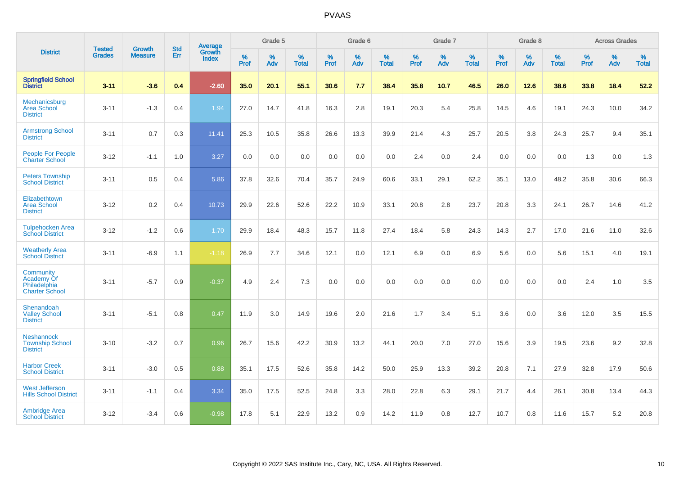|                                                                  |                                |                                 | <b>Std</b> | Average                       |              | Grade 5  |                   |           | Grade 6  |                   |           | Grade 7  |                   |           | Grade 8  |                   |           | <b>Across Grades</b> |                   |
|------------------------------------------------------------------|--------------------------------|---------------------------------|------------|-------------------------------|--------------|----------|-------------------|-----------|----------|-------------------|-----------|----------|-------------------|-----------|----------|-------------------|-----------|----------------------|-------------------|
| <b>District</b>                                                  | <b>Tested</b><br><b>Grades</b> | <b>Growth</b><br><b>Measure</b> | <b>Err</b> | <b>Growth</b><br><b>Index</b> | $\%$<br>Prof | %<br>Adv | %<br><b>Total</b> | %<br>Prof | %<br>Adv | %<br><b>Total</b> | %<br>Prof | %<br>Adv | %<br><b>Total</b> | %<br>Prof | %<br>Adv | %<br><b>Total</b> | %<br>Prof | %<br>Adv             | %<br><b>Total</b> |
| <b>Springfield School</b><br><b>District</b>                     | $3 - 11$                       | $-3.6$                          | 0.4        | $-2.60$                       | 35.0         | 20.1     | 55.1              | 30.6      | 7.7      | 38.4              | 35.8      | 10.7     | 46.5              | 26.0      | 12.6     | 38.6              | 33.8      | 18.4                 | 52.2              |
| Mechanicsburg<br><b>Area School</b><br><b>District</b>           | $3 - 11$                       | $-1.3$                          | 0.4        | 1.94                          | 27.0         | 14.7     | 41.8              | 16.3      | 2.8      | 19.1              | 20.3      | 5.4      | 25.8              | 14.5      | 4.6      | 19.1              | 24.3      | 10.0                 | 34.2              |
| <b>Armstrong School</b><br><b>District</b>                       | $3 - 11$                       | 0.7                             | 0.3        | 11.41                         | 25.3         | 10.5     | 35.8              | 26.6      | 13.3     | 39.9              | 21.4      | 4.3      | 25.7              | 20.5      | 3.8      | 24.3              | 25.7      | 9.4                  | 35.1              |
| <b>People For People</b><br><b>Charter School</b>                | $3 - 12$                       | $-1.1$                          | 1.0        | 3.27                          | 0.0          | 0.0      | 0.0               | 0.0       | 0.0      | 0.0               | 2.4       | 0.0      | 2.4               | 0.0       | 0.0      | 0.0               | 1.3       | 0.0                  | 1.3               |
| <b>Peters Township</b><br><b>School District</b>                 | $3 - 11$                       | 0.5                             | 0.4        | 5.86                          | 37.8         | 32.6     | 70.4              | 35.7      | 24.9     | 60.6              | 33.1      | 29.1     | 62.2              | 35.1      | 13.0     | 48.2              | 35.8      | 30.6                 | 66.3              |
| Elizabethtown<br><b>Area School</b><br><b>District</b>           | $3 - 12$                       | 0.2                             | 0.4        | 10.73                         | 29.9         | 22.6     | 52.6              | 22.2      | 10.9     | 33.1              | 20.8      | 2.8      | 23.7              | 20.8      | 3.3      | 24.1              | 26.7      | 14.6                 | 41.2              |
| <b>Tulpehocken Area</b><br><b>School District</b>                | $3 - 12$                       | $-1.2$                          | 0.6        | 1.70                          | 29.9         | 18.4     | 48.3              | 15.7      | 11.8     | 27.4              | 18.4      | 5.8      | 24.3              | 14.3      | 2.7      | 17.0              | 21.6      | 11.0                 | 32.6              |
| <b>Weatherly Area</b><br><b>School District</b>                  | $3 - 11$                       | $-6.9$                          | 1.1        | $-1.18$                       | 26.9         | 7.7      | 34.6              | 12.1      | 0.0      | 12.1              | 6.9       | $0.0\,$  | 6.9               | 5.6       | 0.0      | 5.6               | 15.1      | 4.0                  | 19.1              |
| Community<br>Academy Of<br>Philadelphia<br><b>Charter School</b> | $3 - 11$                       | $-5.7$                          | 0.9        | $-0.37$                       | 4.9          | 2.4      | 7.3               | 0.0       | 0.0      | 0.0               | 0.0       | 0.0      | 0.0               | 0.0       | 0.0      | 0.0               | 2.4       | 1.0                  | 3.5               |
| Shenandoah<br><b>Valley School</b><br><b>District</b>            | $3 - 11$                       | $-5.1$                          | 0.8        | 0.47                          | 11.9         | 3.0      | 14.9              | 19.6      | 2.0      | 21.6              | 1.7       | 3.4      | 5.1               | 3.6       | 0.0      | 3.6               | 12.0      | 3.5                  | 15.5              |
| <b>Neshannock</b><br><b>Township School</b><br><b>District</b>   | $3 - 10$                       | $-3.2$                          | 0.7        | 0.96                          | 26.7         | 15.6     | 42.2              | 30.9      | 13.2     | 44.1              | 20.0      | 7.0      | 27.0              | 15.6      | 3.9      | 19.5              | 23.6      | 9.2                  | 32.8              |
| <b>Harbor Creek</b><br><b>School District</b>                    | $3 - 11$                       | $-3.0$                          | 0.5        | 0.88                          | 35.1         | 17.5     | 52.6              | 35.8      | 14.2     | 50.0              | 25.9      | 13.3     | 39.2              | 20.8      | 7.1      | 27.9              | 32.8      | 17.9                 | 50.6              |
| <b>West Jefferson</b><br><b>Hills School District</b>            | $3 - 11$                       | $-1.1$                          | 0.4        | 3.34                          | 35.0         | 17.5     | 52.5              | 24.8      | 3.3      | 28.0              | 22.8      | 6.3      | 29.1              | 21.7      | 4.4      | 26.1              | 30.8      | 13.4                 | 44.3              |
| <b>Ambridge Area</b><br><b>School District</b>                   | $3 - 12$                       | $-3.4$                          | 0.6        | $-0.98$                       | 17.8         | 5.1      | 22.9              | 13.2      | 0.9      | 14.2              | 11.9      | 0.8      | 12.7              | 10.7      | 0.8      | 11.6              | 15.7      | 5.2                  | 20.8              |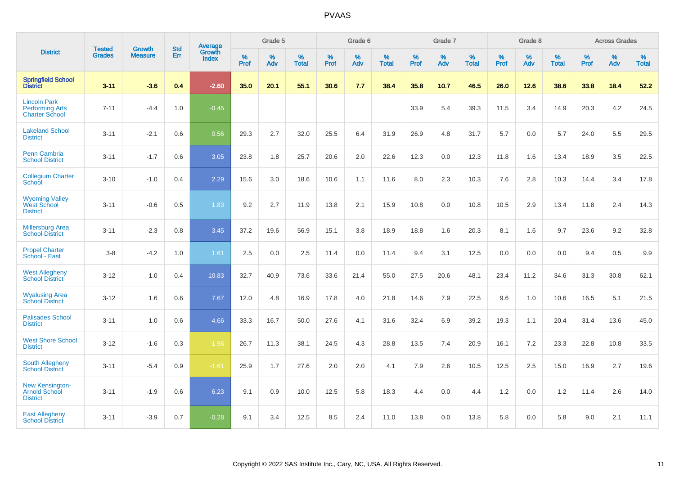|                                                                        | <b>Tested</b> | <b>Growth</b>  | <b>Std</b> | Average                       |           | Grade 5  |                   |           | Grade 6  |                   |           | Grade 7  |                   |           | Grade 8  |                   |           | <b>Across Grades</b> |                   |
|------------------------------------------------------------------------|---------------|----------------|------------|-------------------------------|-----------|----------|-------------------|-----------|----------|-------------------|-----------|----------|-------------------|-----------|----------|-------------------|-----------|----------------------|-------------------|
| <b>District</b>                                                        | <b>Grades</b> | <b>Measure</b> | Err        | <b>Growth</b><br><b>Index</b> | %<br>Prof | %<br>Adv | %<br><b>Total</b> | %<br>Prof | %<br>Adv | %<br><b>Total</b> | %<br>Prof | %<br>Adv | %<br><b>Total</b> | %<br>Prof | %<br>Adv | %<br><b>Total</b> | %<br>Prof | %<br>Adv             | %<br><b>Total</b> |
| <b>Springfield School</b><br><b>District</b>                           | $3 - 11$      | $-3.6$         | 0.4        | $-2.60$                       | 35.0      | 20.1     | 55.1              | 30.6      | 7.7      | 38.4              | 35.8      | 10.7     | 46.5              | 26.0      | 12.6     | 38.6              | 33.8      | 18.4                 | 52.2              |
| <b>Lincoln Park</b><br><b>Performing Arts</b><br><b>Charter School</b> | $7 - 11$      | $-4.4$         | 1.0        | $-0.45$                       |           |          |                   |           |          |                   | 33.9      | 5.4      | 39.3              | 11.5      | 3.4      | 14.9              | 20.3      | 4.2                  | 24.5              |
| <b>Lakeland School</b><br><b>District</b>                              | $3 - 11$      | $-2.1$         | 0.6        | 0.56                          | 29.3      | 2.7      | 32.0              | 25.5      | 6.4      | 31.9              | 26.9      | 4.8      | 31.7              | 5.7       | 0.0      | 5.7               | 24.0      | 5.5                  | 29.5              |
| <b>Penn Cambria</b><br><b>School District</b>                          | $3 - 11$      | $-1.7$         | 0.6        | 3.05                          | 23.8      | 1.8      | 25.7              | 20.6      | 2.0      | 22.6              | 12.3      | 0.0      | 12.3              | 11.8      | 1.6      | 13.4              | 18.9      | 3.5                  | 22.5              |
| <b>Collegium Charter</b><br>School                                     | $3 - 10$      | $-1.0$         | 0.4        | 2.29                          | 15.6      | 3.0      | 18.6              | 10.6      | 1.1      | 11.6              | 8.0       | 2.3      | 10.3              | 7.6       | 2.8      | 10.3              | 14.4      | 3.4                  | 17.8              |
| <b>Wyoming Valley</b><br>West School<br><b>District</b>                | $3 - 11$      | $-0.6$         | 0.5        | 1.83                          | 9.2       | 2.7      | 11.9              | 13.8      | 2.1      | 15.9              | 10.8      | 0.0      | 10.8              | 10.5      | 2.9      | 13.4              | 11.8      | 2.4                  | 14.3              |
| <b>Millersburg Area</b><br><b>School District</b>                      | $3 - 11$      | $-2.3$         | 0.8        | 3.45                          | 37.2      | 19.6     | 56.9              | 15.1      | 3.8      | 18.9              | 18.8      | 1.6      | 20.3              | 8.1       | 1.6      | 9.7               | 23.6      | 9.2                  | 32.8              |
| <b>Propel Charter</b><br>School - East                                 | $3 - 8$       | $-4.2$         | 1.0        | 1.61                          | 2.5       | 0.0      | 2.5               | 11.4      | 0.0      | 11.4              | 9.4       | 3.1      | 12.5              | 0.0       | 0.0      | 0.0               | 9.4       | 0.5                  | 9.9               |
| <b>West Allegheny</b><br><b>School District</b>                        | $3 - 12$      | 1.0            | 0.4        | 10.83                         | 32.7      | 40.9     | 73.6              | 33.6      | 21.4     | 55.0              | 27.5      | 20.6     | 48.1              | 23.4      | 11.2     | 34.6              | 31.3      | 30.8                 | 62.1              |
| <b>Wyalusing Area</b><br><b>School District</b>                        | $3 - 12$      | 1.6            | 0.6        | 7.67                          | 12.0      | 4.8      | 16.9              | 17.8      | 4.0      | 21.8              | 14.6      | 7.9      | 22.5              | 9.6       | 1.0      | 10.6              | 16.5      | 5.1                  | 21.5              |
| <b>Palisades School</b><br><b>District</b>                             | $3 - 11$      | 1.0            | 0.6        | 4.66                          | 33.3      | 16.7     | 50.0              | 27.6      | 4.1      | 31.6              | 32.4      | 6.9      | 39.2              | 19.3      | 1.1      | 20.4              | 31.4      | 13.6                 | 45.0              |
| <b>West Shore School</b><br><b>District</b>                            | $3 - 12$      | $-1.6$         | 0.3        | $-1.96$                       | 26.7      | 11.3     | 38.1              | 24.5      | 4.3      | 28.8              | 13.5      | 7.4      | 20.9              | 16.1      | 7.2      | 23.3              | 22.8      | 10.8                 | 33.5              |
| <b>South Allegheny</b><br><b>School District</b>                       | $3 - 11$      | $-5.4$         | 0.9        | $-1.61$                       | 25.9      | 1.7      | 27.6              | 2.0       | 2.0      | 4.1               | 7.9       | 2.6      | 10.5              | 12.5      | 2.5      | 15.0              | 16.9      | 2.7                  | 19.6              |
| <b>New Kensington-</b><br><b>Arnold School</b><br><b>District</b>      | $3 - 11$      | $-1.9$         | 0.6        | 6.23                          | 9.1       | 0.9      | 10.0              | 12.5      | 5.8      | 18.3              | 4.4       | 0.0      | 4.4               | 1.2       | 0.0      | 1.2               | 11.4      | 2.6                  | 14.0              |
| <b>East Allegheny</b><br><b>School District</b>                        | $3 - 11$      | $-3.9$         | 0.7        | $-0.28$                       | 9.1       | 3.4      | 12.5              | 8.5       | 2.4      | 11.0              | 13.8      | 0.0      | 13.8              | 5.8       | 0.0      | 5.8               | 9.0       | 2.1                  | 11.1              |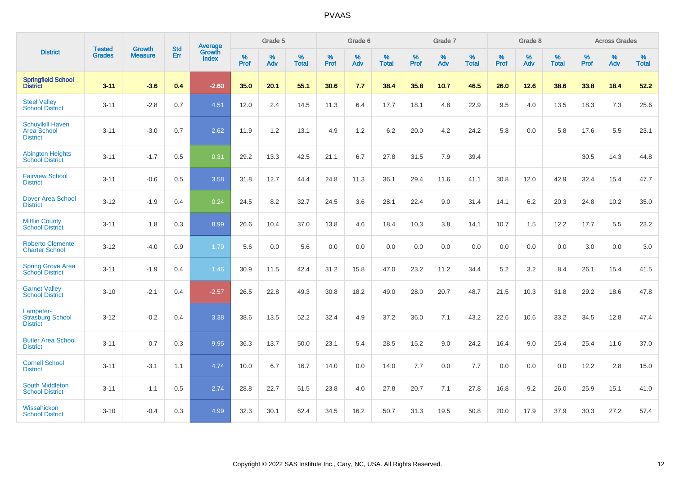|                                                                  | <b>Tested</b> | <b>Growth</b>  | <b>Std</b> | Average                |                  | Grade 5  |                   |                  | Grade 6  |                   |           | Grade 7  |                   |           | Grade 8  |                   |           | <b>Across Grades</b> |                   |
|------------------------------------------------------------------|---------------|----------------|------------|------------------------|------------------|----------|-------------------|------------------|----------|-------------------|-----------|----------|-------------------|-----------|----------|-------------------|-----------|----------------------|-------------------|
| <b>District</b>                                                  | <b>Grades</b> | <b>Measure</b> | Err        | Growth<br><b>Index</b> | %<br><b>Prof</b> | %<br>Adv | %<br><b>Total</b> | %<br><b>Prof</b> | %<br>Adv | %<br><b>Total</b> | %<br>Prof | %<br>Adv | %<br><b>Total</b> | %<br>Prof | %<br>Adv | %<br><b>Total</b> | %<br>Prof | %<br>Adv             | %<br><b>Total</b> |
| <b>Springfield School</b><br><b>District</b>                     | $3 - 11$      | $-3.6$         | 0.4        | $-2.60$                | 35.0             | 20.1     | 55.1              | 30.6             | 7.7      | 38.4              | 35.8      | 10.7     | 46.5              | 26.0      | 12.6     | 38.6              | 33.8      | 18.4                 | 52.2              |
| <b>Steel Valley</b><br><b>School District</b>                    | $3 - 11$      | $-2.8$         | 0.7        | 4.51                   | 12.0             | 2.4      | 14.5              | 11.3             | 6.4      | 17.7              | 18.1      | 4.8      | 22.9              | 9.5       | 4.0      | 13.5              | 18.3      | 7.3                  | 25.6              |
| <b>Schuylkill Haven</b><br><b>Area School</b><br><b>District</b> | $3 - 11$      | $-3.0$         | 0.7        | 2.62                   | 11.9             | 1.2      | 13.1              | 4.9              | 1.2      | 6.2               | 20.0      | 4.2      | 24.2              | 5.8       | 0.0      | 5.8               | 17.6      | 5.5                  | 23.1              |
| <b>Abington Heights</b><br><b>School District</b>                | $3 - 11$      | $-1.7$         | 0.5        | 0.31                   | 29.2             | 13.3     | 42.5              | 21.1             | 6.7      | 27.8              | 31.5      | 7.9      | 39.4              |           |          |                   | 30.5      | 14.3                 | 44.8              |
| <b>Fairview School</b><br><b>District</b>                        | $3 - 11$      | $-0.6$         | 0.5        | 3.58                   | 31.8             | 12.7     | 44.4              | 24.8             | 11.3     | 36.1              | 29.4      | 11.6     | 41.1              | 30.8      | 12.0     | 42.9              | 32.4      | 15.4                 | 47.7              |
| <b>Dover Area School</b><br><b>District</b>                      | $3 - 12$      | $-1.9$         | 0.4        | 0.24                   | 24.5             | 8.2      | 32.7              | 24.5             | 3.6      | 28.1              | 22.4      | 9.0      | 31.4              | 14.1      | $6.2\,$  | 20.3              | 24.8      | 10.2                 | 35.0              |
| <b>Mifflin County</b><br><b>School District</b>                  | $3 - 11$      | 1.8            | 0.3        | 8.99                   | 26.6             | 10.4     | 37.0              | 13.8             | 4.6      | 18.4              | 10.3      | 3.8      | 14.1              | 10.7      | 1.5      | 12.2              | 17.7      | 5.5                  | 23.2              |
| <b>Roberto Clemente</b><br><b>Charter School</b>                 | $3 - 12$      | $-4.0$         | 0.9        | 1.79                   | 5.6              | 0.0      | 5.6               | 0.0              | 0.0      | 0.0               | 0.0       | 0.0      | 0.0               | 0.0       | 0.0      | 0.0               | 3.0       | 0.0                  | 3.0               |
| <b>Spring Grove Area</b><br><b>School District</b>               | $3 - 11$      | $-1.9$         | 0.4        | 1.46                   | 30.9             | 11.5     | 42.4              | 31.2             | 15.8     | 47.0              | 23.2      | 11.2     | 34.4              | 5.2       | 3.2      | 8.4               | 26.1      | 15.4                 | 41.5              |
| <b>Garnet Valley</b><br><b>School District</b>                   | $3 - 10$      | $-2.1$         | 0.4        | $-2.57$                | 26.5             | 22.8     | 49.3              | 30.8             | 18.2     | 49.0              | 28.0      | 20.7     | 48.7              | 21.5      | 10.3     | 31.8              | 29.2      | 18.6                 | 47.8              |
| Lampeter-<br><b>Strasburg School</b><br><b>District</b>          | $3 - 12$      | $-0.2$         | 0.4        | 3.38                   | 38.6             | 13.5     | 52.2              | 32.4             | 4.9      | 37.2              | 36.0      | 7.1      | 43.2              | 22.6      | 10.6     | 33.2              | 34.5      | 12.8                 | 47.4              |
| <b>Butler Area School</b><br><b>District</b>                     | $3 - 11$      | 0.7            | 0.3        | 9.95                   | 36.3             | 13.7     | 50.0              | 23.1             | 5.4      | 28.5              | 15.2      | 9.0      | 24.2              | 16.4      | 9.0      | 25.4              | 25.4      | 11.6                 | 37.0              |
| <b>Cornell School</b><br><b>District</b>                         | $3 - 11$      | $-3.1$         | 1.1        | 4.74                   | 10.0             | 6.7      | 16.7              | 14.0             | 0.0      | 14.0              | $7.7$     | 0.0      | 7.7               | 0.0       | 0.0      | 0.0               | 12.2      | $2.8\,$              | 15.0              |
| <b>South Middleton</b><br><b>School District</b>                 | $3 - 11$      | $-1.1$         | 0.5        | 2.74                   | 28.8             | 22.7     | 51.5              | 23.8             | 4.0      | 27.8              | 20.7      | 7.1      | 27.8              | 16.8      | 9.2      | 26.0              | 25.9      | 15.1                 | 41.0              |
| Wissahickon<br><b>School District</b>                            | $3 - 10$      | $-0.4$         | 0.3        | 4.99                   | 32.3             | 30.1     | 62.4              | 34.5             | 16.2     | 50.7              | 31.3      | 19.5     | 50.8              | 20.0      | 17.9     | 37.9              | 30.3      | 27.2                 | 57.4              |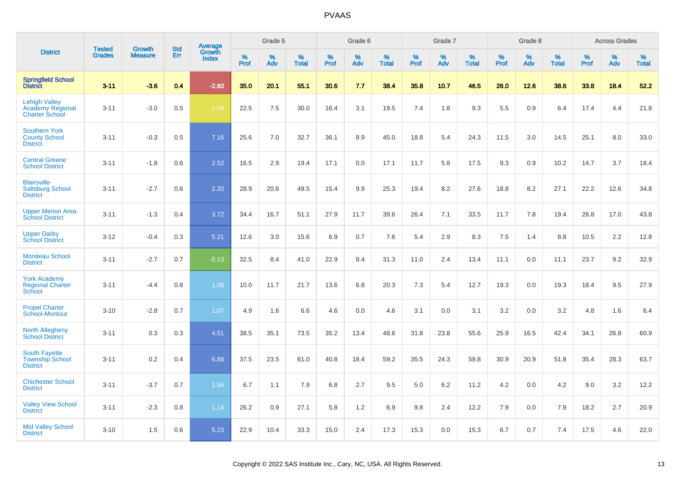|                                                                          |                                |                                 | <b>Std</b> |                                          |                  | Grade 5  |                   |              | Grade 6  |                   |           | Grade 7  |                   |           | Grade 8  |                   |              | <b>Across Grades</b> |                   |
|--------------------------------------------------------------------------|--------------------------------|---------------------------------|------------|------------------------------------------|------------------|----------|-------------------|--------------|----------|-------------------|-----------|----------|-------------------|-----------|----------|-------------------|--------------|----------------------|-------------------|
| <b>District</b>                                                          | <b>Tested</b><br><b>Grades</b> | <b>Growth</b><br><b>Measure</b> | Err        | <b>Average</b><br>Growth<br><b>Index</b> | %<br><b>Prof</b> | %<br>Adv | %<br><b>Total</b> | $\%$<br>Prof | %<br>Adv | %<br><b>Total</b> | %<br>Prof | %<br>Adv | %<br><b>Total</b> | %<br>Prof | %<br>Adv | %<br><b>Total</b> | $\%$<br>Prof | %<br>Adv             | %<br><b>Total</b> |
| <b>Springfield School</b><br><b>District</b>                             | $3 - 11$                       | $-3.6$                          | 0.4        | $-2.60$                                  | 35.0             | 20.1     | 55.1              | 30.6         | 7.7      | 38.4              | 35.8      | 10.7     | 46.5              | 26.0      | 12.6     | 38.6              | 33.8         | 18.4                 | 52.2              |
| <b>Lehigh Valley</b><br><b>Academy Regional</b><br><b>Charter School</b> | $3 - 11$                       | $-3.0$                          | 0.5        | $-1.04$                                  | 22.5             | 7.5      | 30.0              | 16.4         | 3.1      | 19.5              | 7.4       | 1.8      | 9.3               | 5.5       | 0.9      | 6.4               | 17.4         | 4.4                  | 21.8              |
| <b>Southern York</b><br><b>County School</b><br><b>District</b>          | $3 - 11$                       | $-0.3$                          | 0.5        | 7.16                                     | 25.6             | 7.0      | 32.7              | 36.1         | 8.9      | 45.0              | 18.8      | 5.4      | 24.3              | 11.5      | 3.0      | 14.5              | 25.1         | 8.0                  | 33.0              |
| <b>Central Greene</b><br><b>School District</b>                          | $3 - 11$                       | $-1.8$                          | 0.6        | 2.52                                     | 16.5             | 2.9      | 19.4              | 17.1         | 0.0      | 17.1              | 11.7      | 5.8      | 17.5              | 9.3       | 0.9      | 10.2              | 14.7         | 3.7                  | 18.4              |
| <b>Blairsville-</b><br><b>Saltsburg School</b><br><b>District</b>        | $3 - 11$                       | $-2.7$                          | 0.6        | 2.20                                     | 28.9             | 20.6     | 49.5              | 15.4         | 9.9      | 25.3              | 19.4      | 8.2      | 27.6              | 18.8      | 8.2      | 27.1              | 22.2         | 12.6                 | 34.8              |
| <b>Upper Merion Area</b><br><b>School District</b>                       | $3 - 11$                       | $-1.3$                          | 0.4        | 3.72                                     | 34.4             | 16.7     | 51.1              | 27.9         | 11.7     | 39.6              | 26.4      | 7.1      | 33.5              | 11.7      | 7.8      | 19.4              | 26.8         | 17.0                 | 43.8              |
| <b>Upper Darby</b><br><b>School District</b>                             | $3 - 12$                       | $-0.4$                          | 0.3        | 5.21                                     | 12.6             | 3.0      | 15.6              | 6.9          | 0.7      | 7.6               | 5.4       | 2.9      | 8.3               | 7.5       | 1.4      | 8.8               | 10.5         | 2.2                  | 12.8              |
| <b>Moniteau School</b><br><b>District</b>                                | $3 - 11$                       | $-2.7$                          | 0.7        | $-0.13$                                  | 32.5             | 8.4      | 41.0              | 22.9         | 8.4      | 31.3              | 11.0      | 2.4      | 13.4              | 11.1      | 0.0      | 11.1              | 23.7         | 9.2                  | 32.9              |
| <b>York Academy</b><br><b>Regional Charter</b><br>School                 | $3 - 11$                       | $-4.4$                          | 0.8        | 1.08                                     | 10.0             | 11.7     | 21.7              | 13.6         | 6.8      | 20.3              | 7.3       | 5.4      | 12.7              | 19.3      | 0.0      | 19.3              | 18.4         | 9.5                  | 27.9              |
| <b>Propel Charter</b><br>School-Montour                                  | $3 - 10$                       | $-2.8$                          | 0.7        | 1.07                                     | 4.9              | 1.6      | 6.6               | 4.6          | 0.0      | 4.6               | 3.1       | 0.0      | 3.1               | 3.2       | 0.0      | 3.2               | 4.8          | 1.6                  | 6.4               |
| <b>North Allegheny</b><br><b>School District</b>                         | $3 - 11$                       | 0.3                             | 0.3        | 4.51                                     | 38.5             | 35.1     | 73.5              | 35.2         | 13.4     | 48.6              | 31.8      | 23.8     | 55.6              | 25.9      | 16.5     | 42.4              | 34.1         | 26.8                 | 60.9              |
| <b>South Fayette</b><br><b>Township School</b><br><b>District</b>        | $3 - 11$                       | 0.2                             | 0.4        | 6.88                                     | 37.5             | 23.5     | 61.0              | 40.8         | 18.4     | 59.2              | 35.5      | 24.3     | 59.8              | 30.9      | 20.9     | 51.8              | 35.4         | 28.3                 | 63.7              |
| <b>Chichester School</b><br><b>District</b>                              | $3 - 11$                       | $-3.7$                          | 0.7        | 1.84                                     | 6.7              | 1.1      | 7.9               | 6.8          | 2.7      | 9.5               | 5.0       | 6.2      | 11.2              | 4.2       | 0.0      | 4.2               | 9.0          | 3.2                  | 12.2              |
| <b>Valley View School</b><br><b>District</b>                             | $3 - 11$                       | $-2.3$                          | 0.8        | 1.14                                     | 26.2             | 0.9      | 27.1              | 5.8          | 1.2      | 6.9               | 9.8       | 2.4      | 12.2              | 7.9       | 0.0      | 7.9               | 18.2         | 2.7                  | 20.9              |
| <b>Mid Valley School</b><br><b>District</b>                              | $3 - 10$                       | 1.5                             | 0.6        | 5.23                                     | 22.9             | 10.4     | 33.3              | 15.0         | 2.4      | 17.3              | 15.3      | 0.0      | 15.3              | 6.7       | 0.7      | 7.4               | 17.5         | 4.6                  | 22.0              |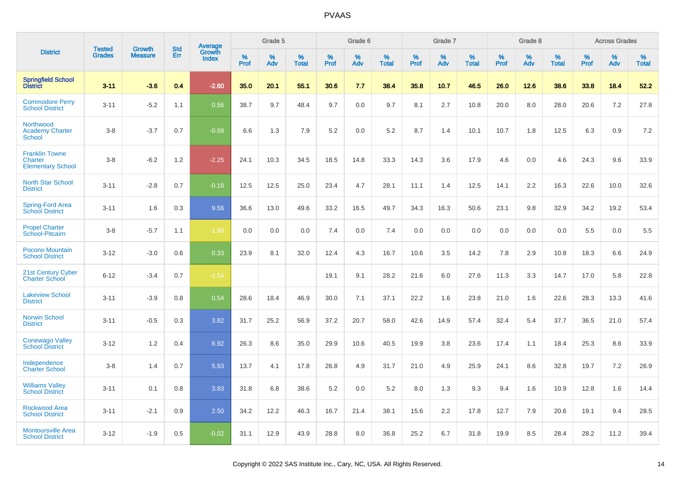|                                                              | <b>Tested</b> |                                 | <b>Std</b> |                                          |              | Grade 5  |                   |              | Grade 6  |                   |              | Grade 7  |                   |              | Grade 8  |                   |              | <b>Across Grades</b> |                   |
|--------------------------------------------------------------|---------------|---------------------------------|------------|------------------------------------------|--------------|----------|-------------------|--------------|----------|-------------------|--------------|----------|-------------------|--------------|----------|-------------------|--------------|----------------------|-------------------|
| <b>District</b>                                              | <b>Grades</b> | <b>Growth</b><br><b>Measure</b> | Err        | <b>Average</b><br>Growth<br><b>Index</b> | $\%$<br>Prof | %<br>Adv | %<br><b>Total</b> | $\%$<br>Prof | %<br>Adv | %<br><b>Total</b> | $\%$<br>Prof | %<br>Adv | %<br><b>Total</b> | $\%$<br>Prof | %<br>Adv | %<br><b>Total</b> | $\%$<br>Prof | %<br>Adv             | %<br><b>Total</b> |
| <b>Springfield School</b><br><b>District</b>                 | $3 - 11$      | $-3.6$                          | 0.4        | $-2.60$                                  | 35.0         | 20.1     | 55.1              | 30.6         | 7.7      | 38.4              | 35.8         | 10.7     | 46.5              | 26.0         | 12.6     | 38.6              | 33.8         | 18.4                 | 52.2              |
| <b>Commodore Perry</b><br><b>School District</b>             | $3 - 11$      | $-5.2$                          | 1.1        | 0.56                                     | 38.7         | 9.7      | 48.4              | 9.7          | 0.0      | 9.7               | 8.1          | 2.7      | 10.8              | 20.0         | 8.0      | 28.0              | 20.6         | 7.2                  | 27.8              |
| Northwood<br><b>Academy Charter</b><br><b>School</b>         | $3 - 8$       | $-3.7$                          | 0.7        | $-0.69$                                  | 6.6          | 1.3      | 7.9               | 5.2          | 0.0      | 5.2               | 8.7          | 1.4      | 10.1              | 10.7         | 1.8      | 12.5              | 6.3          | 0.9                  | 7.2               |
| <b>Franklin Towne</b><br>Charter<br><b>Elementary School</b> | $3 - 8$       | $-6.2$                          | 1.2        | $-2.25$                                  | 24.1         | 10.3     | 34.5              | 18.5         | 14.8     | 33.3              | 14.3         | 3.6      | 17.9              | 4.6          | 0.0      | 4.6               | 24.3         | 9.6                  | 33.9              |
| <b>North Star School</b><br><b>District</b>                  | $3 - 11$      | $-2.8$                          | 0.7        | $-0.18$                                  | 12.5         | 12.5     | 25.0              | 23.4         | 4.7      | 28.1              | 11.1         | 1.4      | 12.5              | 14.1         | 2.2      | 16.3              | 22.6         | 10.0                 | 32.6              |
| Spring-Ford Area<br><b>School District</b>                   | $3 - 11$      | 1.6                             | 0.3        | 9.56                                     | 36.6         | 13.0     | 49.6              | 33.2         | 16.5     | 49.7              | 34.3         | 16.3     | 50.6              | 23.1         | 9.8      | 32.9              | 34.2         | 19.2                 | 53.4              |
| <b>Propel Charter</b><br>School-Pitcairn                     | $3 - 8$       | $-5.7$                          | 1.1        | $-1.88$                                  | 0.0          | 0.0      | 0.0               | 7.4          | 0.0      | 7.4               | 0.0          | 0.0      | 0.0               | 0.0          | 0.0      | 0.0               | 5.5          | 0.0                  | 5.5               |
| Pocono Mountain<br><b>School District</b>                    | $3 - 12$      | $-3.0$                          | 0.6        | 0.33                                     | 23.9         | 8.1      | 32.0              | 12.4         | 4.3      | 16.7              | 10.6         | 3.5      | 14.2              | 7.8          | 2.9      | 10.8              | 18.3         | 6.6                  | 24.9              |
| 21st Century Cyber<br><b>Charter School</b>                  | $6 - 12$      | $-3.4$                          | 0.7        | $-1.54$                                  |              |          |                   | 19.1         | 9.1      | 28.2              | 21.6         | 6.0      | 27.6              | 11.3         | 3.3      | 14.7              | 17.0         | 5.8                  | 22.8              |
| <b>Lakeview School</b><br><b>District</b>                    | $3 - 11$      | $-3.9$                          | 0.8        | 0.54                                     | 28.6         | 18.4     | 46.9              | 30.0         | 7.1      | 37.1              | 22.2         | 1.6      | 23.8              | 21.0         | 1.6      | 22.6              | 28.3         | 13.3                 | 41.6              |
| <b>Norwin School</b><br><b>District</b>                      | $3 - 11$      | $-0.5$                          | 0.3        | 3.82                                     | 31.7         | 25.2     | 56.9              | 37.2         | 20.7     | 58.0              | 42.6         | 14.9     | 57.4              | 32.4         | 5.4      | 37.7              | 36.5         | 21.0                 | 57.4              |
| <b>Conewago Valley</b><br><b>School District</b>             | $3 - 12$      | 1.2                             | 0.4        | 6.92                                     | 26.3         | 8.6      | 35.0              | 29.9         | 10.6     | 40.5              | 19.9         | 3.8      | 23.6              | 17.4         | 1.1      | 18.4              | 25.3         | 8.6                  | 33.9              |
| Independence<br><b>Charter School</b>                        | $3 - 8$       | 1.4                             | 0.7        | 5.93                                     | 13.7         | 4.1      | 17.8              | 26.8         | 4.9      | 31.7              | 21.0         | 4.9      | 25.9              | 24.1         | 8.6      | 32.8              | 19.7         | 7.2                  | 26.9              |
| <b>Williams Valley</b><br><b>School District</b>             | $3 - 11$      | 0.1                             | 0.8        | 3.83                                     | 31.8         | 6.8      | 38.6              | 5.2          | 0.0      | 5.2               | 8.0          | 1.3      | 9.3               | 9.4          | 1.6      | 10.9              | 12.8         | 1.6                  | 14.4              |
| <b>Rockwood Area</b><br><b>School District</b>               | $3 - 11$      | $-2.1$                          | 0.9        | 2.50                                     | 34.2         | 12.2     | 46.3              | 16.7         | 21.4     | 38.1              | 15.6         | 2.2      | 17.8              | 12.7         | 7.9      | 20.6              | 19.1         | 9.4                  | 28.5              |
| <b>Montoursville Area</b><br><b>School District</b>          | $3 - 12$      | $-1.9$                          | 0.5        | $-0.02$                                  | 31.1         | 12.9     | 43.9              | 28.8         | 8.0      | 36.8              | 25.2         | 6.7      | 31.8              | 19.9         | 8.5      | 28.4              | 28.2         | 11.2                 | 39.4              |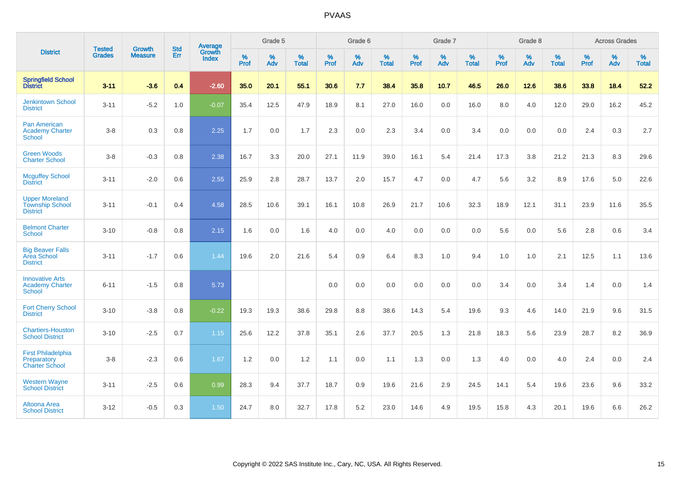|                                                                    | <b>Tested</b> | <b>Growth</b>  | <b>Std</b> | Average                |                     | Grade 5  |                      |                     | Grade 6  |                   |              | Grade 7  |                   |                     | Grade 8  |                   |                     | <b>Across Grades</b> |                   |
|--------------------------------------------------------------------|---------------|----------------|------------|------------------------|---------------------|----------|----------------------|---------------------|----------|-------------------|--------------|----------|-------------------|---------------------|----------|-------------------|---------------------|----------------------|-------------------|
| <b>District</b>                                                    | <b>Grades</b> | <b>Measure</b> | Err        | Growth<br><b>Index</b> | $\%$<br><b>Prof</b> | %<br>Adv | $\%$<br><b>Total</b> | $\%$<br><b>Prof</b> | %<br>Adv | %<br><b>Total</b> | $\%$<br>Prof | %<br>Adv | %<br><b>Total</b> | $\%$<br><b>Prof</b> | %<br>Adv | %<br><b>Total</b> | $\%$<br><b>Prof</b> | %<br>Adv             | %<br><b>Total</b> |
| <b>Springfield School</b><br><b>District</b>                       | $3 - 11$      | $-3.6$         | 0.4        | $-2.60$                | 35.0                | 20.1     | 55.1                 | 30.6                | 7.7      | 38.4              | 35.8         | 10.7     | 46.5              | 26.0                | 12.6     | 38.6              | 33.8                | 18.4                 | 52.2              |
| <b>Jenkintown School</b><br><b>District</b>                        | $3 - 11$      | $-5.2$         | 1.0        | $-0.07$                | 35.4                | 12.5     | 47.9                 | 18.9                | 8.1      | 27.0              | 16.0         | 0.0      | 16.0              | 8.0                 | 4.0      | 12.0              | 29.0                | 16.2                 | 45.2              |
| <b>Pan American</b><br><b>Academy Charter</b><br>School            | $3 - 8$       | 0.3            | 0.8        | 2.25                   | 1.7                 | 0.0      | 1.7                  | 2.3                 | 0.0      | 2.3               | 3.4          | 0.0      | 3.4               | 0.0                 | 0.0      | 0.0               | 2.4                 | 0.3                  | 2.7               |
| <b>Green Woods</b><br><b>Charter School</b>                        | $3 - 8$       | $-0.3$         | 0.8        | 2.38                   | 16.7                | 3.3      | 20.0                 | 27.1                | 11.9     | 39.0              | 16.1         | 5.4      | 21.4              | 17.3                | 3.8      | 21.2              | 21.3                | 8.3                  | 29.6              |
| <b>Mcguffey School</b><br><b>District</b>                          | $3 - 11$      | $-2.0$         | 0.6        | 2.55                   | 25.9                | 2.8      | 28.7                 | 13.7                | 2.0      | 15.7              | 4.7          | 0.0      | 4.7               | 5.6                 | 3.2      | 8.9               | 17.6                | 5.0                  | 22.6              |
| <b>Upper Moreland</b><br><b>Township School</b><br><b>District</b> | $3 - 11$      | $-0.1$         | 0.4        | 4.58                   | 28.5                | 10.6     | 39.1                 | 16.1                | 10.8     | 26.9              | 21.7         | 10.6     | 32.3              | 18.9                | 12.1     | 31.1              | 23.9                | 11.6                 | 35.5              |
| <b>Belmont Charter</b><br><b>School</b>                            | $3 - 10$      | $-0.8$         | 0.8        | 2.15                   | 1.6                 | 0.0      | 1.6                  | 4.0                 | 0.0      | 4.0               | 0.0          | 0.0      | 0.0               | 5.6                 | 0.0      | 5.6               | 2.8                 | 0.6                  | 3.4               |
| <b>Big Beaver Falls</b><br>Area School<br><b>District</b>          | $3 - 11$      | $-1.7$         | 0.6        | 1.44                   | 19.6                | 2.0      | 21.6                 | 5.4                 | 0.9      | 6.4               | 8.3          | 1.0      | 9.4               | 1.0                 | 1.0      | 2.1               | 12.5                | 1.1                  | 13.6              |
| <b>Innovative Arts</b><br><b>Academy Charter</b><br>School         | $6 - 11$      | $-1.5$         | 0.8        | 5.73                   |                     |          |                      | 0.0                 | 0.0      | 0.0               | 0.0          | 0.0      | 0.0               | 3.4                 | 0.0      | 3.4               | 1.4                 | 0.0                  | 1.4               |
| <b>Fort Cherry School</b><br><b>District</b>                       | $3 - 10$      | $-3.8$         | 0.8        | $-0.22$                | 19.3                | 19.3     | 38.6                 | 29.8                | 8.8      | 38.6              | 14.3         | 5.4      | 19.6              | 9.3                 | 4.6      | 14.0              | 21.9                | 9.6                  | 31.5              |
| <b>Chartiers-Houston</b><br><b>School District</b>                 | $3 - 10$      | $-2.5$         | 0.7        | 1.15                   | 25.6                | 12.2     | 37.8                 | 35.1                | 2.6      | 37.7              | 20.5         | 1.3      | 21.8              | 18.3                | 5.6      | 23.9              | 28.7                | 8.2                  | 36.9              |
| <b>First Philadelphia</b><br>Preparatory<br><b>Charter School</b>  | $3 - 8$       | $-2.3$         | 0.6        | 1.67                   | 1.2                 | 0.0      | 1.2                  | 1.1                 | 0.0      | 1.1               | 1.3          | 0.0      | 1.3               | 4.0                 | 0.0      | 4.0               | 2.4                 | 0.0                  | 2.4               |
| <b>Western Wayne</b><br><b>School District</b>                     | $3 - 11$      | $-2.5$         | 0.6        | 0.99                   | 28.3                | 9.4      | 37.7                 | 18.7                | 0.9      | 19.6              | 21.6         | 2.9      | 24.5              | 14.1                | 5.4      | 19.6              | 23.6                | 9.6                  | 33.2              |
| Altoona Area<br><b>School District</b>                             | $3 - 12$      | $-0.5$         | 0.3        | 1.50                   | 24.7                | 8.0      | 32.7                 | 17.8                | 5.2      | 23.0              | 14.6         | 4.9      | 19.5              | 15.8                | 4.3      | 20.1              | 19.6                | 6.6                  | 26.2              |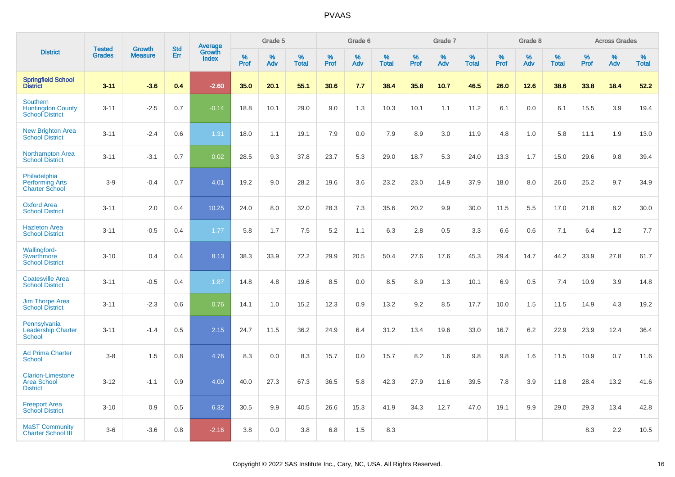|                                                                   | <b>Tested</b> | <b>Growth</b>  | <b>Std</b> | Average                |                  | Grade 5  |                   |           | Grade 6  |                   |                  | Grade 7  |                   |           | Grade 8  |                   |           | <b>Across Grades</b> |                   |
|-------------------------------------------------------------------|---------------|----------------|------------|------------------------|------------------|----------|-------------------|-----------|----------|-------------------|------------------|----------|-------------------|-----------|----------|-------------------|-----------|----------------------|-------------------|
| <b>District</b>                                                   | <b>Grades</b> | <b>Measure</b> | Err        | Growth<br><b>Index</b> | %<br><b>Prof</b> | %<br>Adv | %<br><b>Total</b> | %<br>Prof | %<br>Adv | %<br><b>Total</b> | %<br><b>Prof</b> | %<br>Adv | %<br><b>Total</b> | %<br>Prof | %<br>Adv | %<br><b>Total</b> | %<br>Prof | %<br>Adv             | %<br><b>Total</b> |
| <b>Springfield School</b><br>District                             | $3 - 11$      | $-3.6$         | 0.4        | $-2.60$                | 35.0             | 20.1     | 55.1              | 30.6      | 7.7      | 38.4              | 35.8             | 10.7     | 46.5              | 26.0      | 12.6     | 38.6              | 33.8      | 18.4                 | 52.2              |
| Southern<br><b>Huntingdon County</b><br><b>School District</b>    | $3 - 11$      | $-2.5$         | 0.7        | $-0.14$                | 18.8             | 10.1     | 29.0              | 9.0       | 1.3      | 10.3              | 10.1             | 1.1      | 11.2              | 6.1       | 0.0      | 6.1               | 15.5      | 3.9                  | 19.4              |
| <b>New Brighton Area</b><br><b>School District</b>                | $3 - 11$      | $-2.4$         | 0.6        | 1.31                   | 18.0             | 1.1      | 19.1              | 7.9       | 0.0      | 7.9               | 8.9              | 3.0      | 11.9              | 4.8       | 1.0      | 5.8               | 11.1      | 1.9                  | 13.0              |
| <b>Northampton Area</b><br><b>School District</b>                 | $3 - 11$      | $-3.1$         | 0.7        | 0.02                   | 28.5             | 9.3      | 37.8              | 23.7      | 5.3      | 29.0              | 18.7             | 5.3      | 24.0              | 13.3      | 1.7      | 15.0              | 29.6      | 9.8                  | 39.4              |
| Philadelphia<br><b>Performing Arts</b><br><b>Charter School</b>   | $3-9$         | $-0.4$         | 0.7        | 4.01                   | 19.2             | 9.0      | 28.2              | 19.6      | 3.6      | 23.2              | 23.0             | 14.9     | 37.9              | 18.0      | 8.0      | 26.0              | 25.2      | 9.7                  | 34.9              |
| <b>Oxford Area</b><br><b>School District</b>                      | $3 - 11$      | 2.0            | 0.4        | 10.25                  | 24.0             | 8.0      | 32.0              | 28.3      | 7.3      | 35.6              | 20.2             | 9.9      | 30.0              | 11.5      | 5.5      | 17.0              | 21.8      | 8.2                  | 30.0              |
| <b>Hazleton Area</b><br><b>School District</b>                    | $3 - 11$      | $-0.5$         | 0.4        | 1.77                   | 5.8              | 1.7      | 7.5               | 5.2       | 1.1      | 6.3               | 2.8              | 0.5      | 3.3               | 6.6       | 0.6      | 7.1               | 6.4       | 1.2                  | 7.7               |
| <b>Wallingford-</b><br>Swarthmore<br><b>School District</b>       | $3 - 10$      | 0.4            | 0.4        | 8.13                   | 38.3             | 33.9     | 72.2              | 29.9      | 20.5     | 50.4              | 27.6             | 17.6     | 45.3              | 29.4      | 14.7     | 44.2              | 33.9      | 27.8                 | 61.7              |
| <b>Coatesville Area</b><br><b>School District</b>                 | $3 - 11$      | $-0.5$         | 0.4        | 1.87                   | 14.8             | 4.8      | 19.6              | 8.5       | 0.0      | 8.5               | 8.9              | 1.3      | 10.1              | 6.9       | 0.5      | 7.4               | 10.9      | 3.9                  | 14.8              |
| <b>Jim Thorpe Area</b><br><b>School District</b>                  | $3 - 11$      | $-2.3$         | 0.6        | 0.76                   | 14.1             | 1.0      | 15.2              | 12.3      | 0.9      | 13.2              | 9.2              | 8.5      | 17.7              | 10.0      | 1.5      | 11.5              | 14.9      | 4.3                  | 19.2              |
| Pennsylvania<br><b>Leadership Charter</b><br><b>School</b>        | $3 - 11$      | $-1.4$         | 0.5        | 2.15                   | 24.7             | 11.5     | 36.2              | 24.9      | 6.4      | 31.2              | 13.4             | 19.6     | 33.0              | 16.7      | 6.2      | 22.9              | 23.9      | 12.4                 | 36.4              |
| <b>Ad Prima Charter</b><br><b>School</b>                          | $3-8$         | 1.5            | 0.8        | 4.76                   | 8.3              | 0.0      | 8.3               | 15.7      | 0.0      | 15.7              | 8.2              | 1.6      | 9.8               | 9.8       | 1.6      | 11.5              | 10.9      | 0.7                  | 11.6              |
| <b>Clarion-Limestone</b><br><b>Area School</b><br><b>District</b> | $3 - 12$      | $-1.1$         | 0.9        | 4.00                   | 40.0             | 27.3     | 67.3              | 36.5      | 5.8      | 42.3              | 27.9             | 11.6     | 39.5              | 7.8       | 3.9      | 11.8              | 28.4      | 13.2                 | 41.6              |
| <b>Freeport Area</b><br><b>School District</b>                    | $3 - 10$      | 0.9            | 0.5        | 6.32                   | 30.5             | 9.9      | 40.5              | 26.6      | 15.3     | 41.9              | 34.3             | 12.7     | 47.0              | 19.1      | 9.9      | 29.0              | 29.3      | 13.4                 | 42.8              |
| <b>MaST Community</b><br><b>Charter School III</b>                | $3-6$         | $-3.6$         | 0.8        | $-2.16$                | 3.8              | 0.0      | 3.8               | 6.8       | 1.5      | 8.3               |                  |          |                   |           |          |                   | 8.3       | 2.2                  | 10.5              |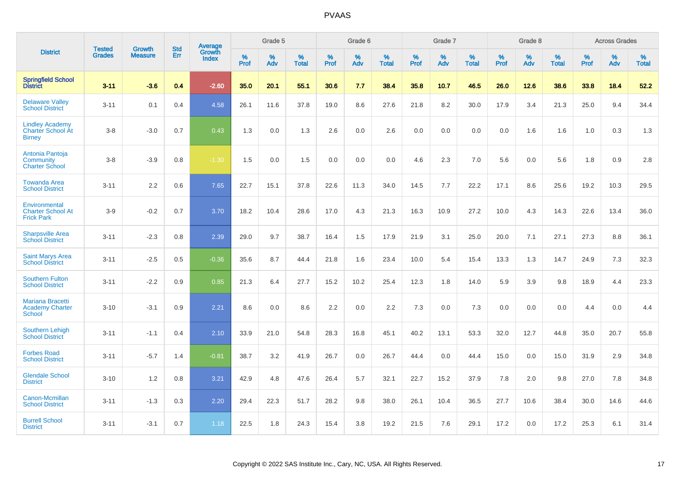|                                                                     |                                | <b>Growth</b>  | <b>Std</b> |                                          |              | Grade 5  |                   |           | Grade 6  |                   |           | Grade 7  |                   |              | Grade 8  |                   |              | <b>Across Grades</b> |                   |
|---------------------------------------------------------------------|--------------------------------|----------------|------------|------------------------------------------|--------------|----------|-------------------|-----------|----------|-------------------|-----------|----------|-------------------|--------------|----------|-------------------|--------------|----------------------|-------------------|
| <b>District</b>                                                     | <b>Tested</b><br><b>Grades</b> | <b>Measure</b> | <b>Err</b> | <b>Average</b><br>Growth<br><b>Index</b> | $\%$<br>Prof | %<br>Adv | %<br><b>Total</b> | %<br>Prof | %<br>Adv | %<br><b>Total</b> | %<br>Prof | %<br>Adv | %<br><b>Total</b> | $\%$<br>Prof | %<br>Adv | %<br><b>Total</b> | $\%$<br>Prof | %<br>Adv             | %<br><b>Total</b> |
| <b>Springfield School</b><br><b>District</b>                        | $3 - 11$                       | $-3.6$         | 0.4        | $-2.60$                                  | 35.0         | 20.1     | 55.1              | 30.6      | 7.7      | 38.4              | 35.8      | 10.7     | 46.5              | 26.0         | 12.6     | 38.6              | 33.8         | 18.4                 | 52.2              |
| <b>Delaware Valley</b><br><b>School District</b>                    | $3 - 11$                       | 0.1            | 0.4        | 4.58                                     | 26.1         | 11.6     | 37.8              | 19.0      | 8.6      | 27.6              | 21.8      | 8.2      | 30.0              | 17.9         | 3.4      | 21.3              | 25.0         | 9.4                  | 34.4              |
| <b>Lindley Academy</b><br><b>Charter School At</b><br><b>Birney</b> | $3 - 8$                        | $-3.0$         | 0.7        | 0.43                                     | 1.3          | 0.0      | 1.3               | 2.6       | 0.0      | 2.6               | 0.0       | 0.0      | 0.0               | 0.0          | 1.6      | 1.6               | 1.0          | 0.3                  | 1.3               |
| Antonia Pantoja<br>Community<br><b>Charter School</b>               | $3 - 8$                        | $-3.9$         | 0.8        | $-1.30$                                  | 1.5          | 0.0      | 1.5               | 0.0       | 0.0      | 0.0               | 4.6       | 2.3      | 7.0               | 5.6          | 0.0      | 5.6               | 1.8          | 0.9                  | 2.8               |
| <b>Towanda Area</b><br><b>School District</b>                       | $3 - 11$                       | 2.2            | 0.6        | 7.65                                     | 22.7         | 15.1     | 37.8              | 22.6      | 11.3     | 34.0              | 14.5      | 7.7      | 22.2              | 17.1         | 8.6      | 25.6              | 19.2         | 10.3                 | 29.5              |
| Environmental<br><b>Charter School At</b><br><b>Frick Park</b>      | $3-9$                          | $-0.2$         | 0.7        | 3.70                                     | 18.2         | 10.4     | 28.6              | 17.0      | 4.3      | 21.3              | 16.3      | 10.9     | 27.2              | 10.0         | 4.3      | 14.3              | 22.6         | 13.4                 | 36.0              |
| <b>Sharpsville Area</b><br><b>School District</b>                   | $3 - 11$                       | $-2.3$         | 0.8        | 2.39                                     | 29.0         | 9.7      | 38.7              | 16.4      | 1.5      | 17.9              | 21.9      | 3.1      | 25.0              | 20.0         | 7.1      | 27.1              | 27.3         | 8.8                  | 36.1              |
| <b>Saint Marys Area</b><br><b>School District</b>                   | $3 - 11$                       | $-2.5$         | 0.5        | $-0.36$                                  | 35.6         | 8.7      | 44.4              | 21.8      | 1.6      | 23.4              | 10.0      | 5.4      | 15.4              | 13.3         | 1.3      | 14.7              | 24.9         | 7.3                  | 32.3              |
| <b>Southern Fulton</b><br><b>School District</b>                    | $3 - 11$                       | $-2.2$         | 0.9        | 0.85                                     | 21.3         | 6.4      | 27.7              | 15.2      | 10.2     | 25.4              | 12.3      | 1.8      | 14.0              | 5.9          | 3.9      | 9.8               | 18.9         | 4.4                  | 23.3              |
| <b>Mariana Bracetti</b><br><b>Academy Charter</b><br><b>School</b>  | $3 - 10$                       | $-3.1$         | 0.9        | 2.21                                     | 8.6          | 0.0      | 8.6               | 2.2       | 0.0      | 2.2               | 7.3       | 0.0      | 7.3               | 0.0          | 0.0      | 0.0               | 4.4          | 0.0                  | 4.4               |
| <b>Southern Lehigh</b><br><b>School District</b>                    | $3 - 11$                       | $-1.1$         | 0.4        | 2.10                                     | 33.9         | 21.0     | 54.8              | 28.3      | 16.8     | 45.1              | 40.2      | 13.1     | 53.3              | 32.0         | 12.7     | 44.8              | 35.0         | 20.7                 | 55.8              |
| <b>Forbes Road</b><br><b>School District</b>                        | $3 - 11$                       | $-5.7$         | 1.4        | $-0.81$                                  | 38.7         | 3.2      | 41.9              | 26.7      | 0.0      | 26.7              | 44.4      | 0.0      | 44.4              | 15.0         | 0.0      | 15.0              | 31.9         | 2.9                  | 34.8              |
| <b>Glendale School</b><br><b>District</b>                           | $3 - 10$                       | 1.2            | 0.8        | 3.21                                     | 42.9         | 4.8      | 47.6              | 26.4      | 5.7      | 32.1              | 22.7      | 15.2     | 37.9              | 7.8          | 2.0      | 9.8               | 27.0         | 7.8                  | 34.8              |
| Canon-Mcmillan<br><b>School District</b>                            | $3 - 11$                       | $-1.3$         | 0.3        | 2.20                                     | 29.4         | 22.3     | 51.7              | 28.2      | 9.8      | 38.0              | 26.1      | 10.4     | 36.5              | 27.7         | 10.6     | 38.4              | 30.0         | 14.6                 | 44.6              |
| <b>Burrell School</b><br><b>District</b>                            | $3 - 11$                       | $-3.1$         | 0.7        | 1.18                                     | 22.5         | 1.8      | 24.3              | 15.4      | 3.8      | 19.2              | 21.5      | 7.6      | 29.1              | 17.2         | 0.0      | 17.2              | 25.3         | 6.1                  | 31.4              |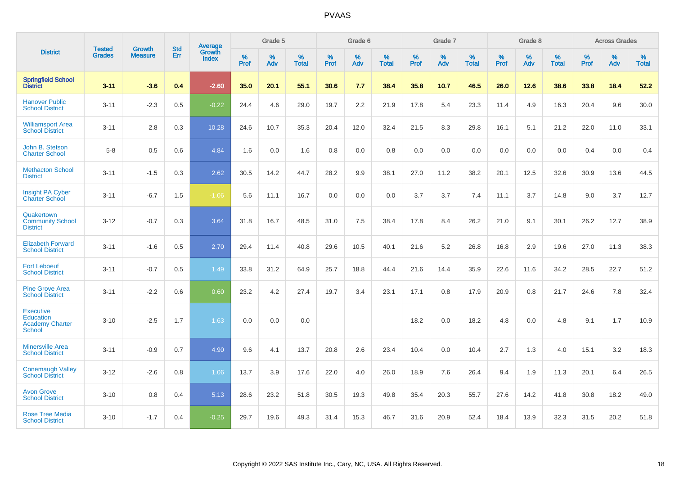|                                                                          |                                |                                 | <b>Std</b> | Average                |           | Grade 5  |                   |           | Grade 6  |                   |           | Grade 7  |                   |           | Grade 8  |                   |           | <b>Across Grades</b> |                   |
|--------------------------------------------------------------------------|--------------------------------|---------------------------------|------------|------------------------|-----------|----------|-------------------|-----------|----------|-------------------|-----------|----------|-------------------|-----------|----------|-------------------|-----------|----------------------|-------------------|
| <b>District</b>                                                          | <b>Tested</b><br><b>Grades</b> | <b>Growth</b><br><b>Measure</b> | Err        | <b>Growth</b><br>Index | %<br>Prof | %<br>Adv | %<br><b>Total</b> | %<br>Prof | %<br>Adv | %<br><b>Total</b> | %<br>Prof | %<br>Adv | %<br><b>Total</b> | %<br>Prof | %<br>Adv | %<br><b>Total</b> | %<br>Prof | %<br>Adv             | %<br><b>Total</b> |
| <b>Springfield School</b><br><b>District</b>                             | $3 - 11$                       | $-3.6$                          | 0.4        | $-2.60$                | 35.0      | 20.1     | 55.1              | 30.6      | 7.7      | 38.4              | 35.8      | 10.7     | 46.5              | 26.0      | 12.6     | 38.6              | 33.8      | 18.4                 | 52.2              |
| <b>Hanover Public</b><br><b>School District</b>                          | $3 - 11$                       | $-2.3$                          | 0.5        | $-0.22$                | 24.4      | 4.6      | 29.0              | 19.7      | 2.2      | 21.9              | 17.8      | 5.4      | 23.3              | 11.4      | 4.9      | 16.3              | 20.4      | 9.6                  | 30.0              |
| <b>Williamsport Area</b><br><b>School District</b>                       | $3 - 11$                       | 2.8                             | 0.3        | 10.28                  | 24.6      | 10.7     | 35.3              | 20.4      | 12.0     | 32.4              | 21.5      | 8.3      | 29.8              | 16.1      | 5.1      | 21.2              | 22.0      | 11.0                 | 33.1              |
| John B. Stetson<br><b>Charter School</b>                                 | $5 - 8$                        | 0.5                             | 0.6        | 4.84                   | 1.6       | 0.0      | 1.6               | 0.8       | 0.0      | 0.8               | 0.0       | 0.0      | 0.0               | 0.0       | 0.0      | 0.0               | 0.4       | 0.0                  | 0.4               |
| <b>Methacton School</b><br><b>District</b>                               | $3 - 11$                       | $-1.5$                          | 0.3        | 2.62                   | 30.5      | 14.2     | 44.7              | 28.2      | 9.9      | 38.1              | 27.0      | 11.2     | 38.2              | 20.1      | 12.5     | 32.6              | 30.9      | 13.6                 | 44.5              |
| <b>Insight PA Cyber</b><br><b>Charter School</b>                         | $3 - 11$                       | $-6.7$                          | 1.5        | $-1.06$                | 5.6       | 11.1     | 16.7              | 0.0       | 0.0      | 0.0               | 3.7       | 3.7      | 7.4               | 11.1      | 3.7      | 14.8              | 9.0       | 3.7                  | 12.7              |
| Quakertown<br><b>Community School</b><br><b>District</b>                 | $3 - 12$                       | $-0.7$                          | 0.3        | 3.64                   | 31.8      | 16.7     | 48.5              | 31.0      | 7.5      | 38.4              | 17.8      | 8.4      | 26.2              | 21.0      | 9.1      | 30.1              | 26.2      | 12.7                 | 38.9              |
| <b>Elizabeth Forward</b><br><b>School District</b>                       | $3 - 11$                       | $-1.6$                          | 0.5        | 2.70                   | 29.4      | 11.4     | 40.8              | 29.6      | 10.5     | 40.1              | 21.6      | 5.2      | 26.8              | 16.8      | 2.9      | 19.6              | 27.0      | 11.3                 | 38.3              |
| <b>Fort Leboeuf</b><br><b>School District</b>                            | $3 - 11$                       | $-0.7$                          | 0.5        | 1.49                   | 33.8      | 31.2     | 64.9              | 25.7      | 18.8     | 44.4              | 21.6      | 14.4     | 35.9              | 22.6      | 11.6     | 34.2              | 28.5      | 22.7                 | 51.2              |
| <b>Pine Grove Area</b><br><b>School District</b>                         | $3 - 11$                       | $-2.2$                          | 0.6        | 0.60                   | 23.2      | 4.2      | 27.4              | 19.7      | 3.4      | 23.1              | 17.1      | 0.8      | 17.9              | 20.9      | 0.8      | 21.7              | 24.6      | 7.8                  | 32.4              |
| <b>Executive</b><br>Education<br><b>Academy Charter</b><br><b>School</b> | $3 - 10$                       | $-2.5$                          | 1.7        | 1.63                   | 0.0       | 0.0      | 0.0               |           |          |                   | 18.2      | 0.0      | 18.2              | 4.8       | 0.0      | 4.8               | 9.1       | 1.7                  | 10.9              |
| <b>Minersville Area</b><br><b>School District</b>                        | $3 - 11$                       | $-0.9$                          | 0.7        | 4.90                   | 9.6       | 4.1      | 13.7              | 20.8      | 2.6      | 23.4              | 10.4      | 0.0      | 10.4              | 2.7       | 1.3      | 4.0               | 15.1      | 3.2                  | 18.3              |
| <b>Conemaugh Valley</b><br><b>School District</b>                        | $3 - 12$                       | $-2.6$                          | 0.8        | 1.06                   | 13.7      | 3.9      | 17.6              | 22.0      | 4.0      | 26.0              | 18.9      | 7.6      | 26.4              | 9.4       | 1.9      | 11.3              | 20.1      | 6.4                  | 26.5              |
| <b>Avon Grove</b><br><b>School District</b>                              | $3 - 10$                       | 0.8                             | 0.4        | 5.13                   | 28.6      | 23.2     | 51.8              | 30.5      | 19.3     | 49.8              | 35.4      | 20.3     | 55.7              | 27.6      | 14.2     | 41.8              | 30.8      | 18.2                 | 49.0              |
| <b>Rose Tree Media</b><br><b>School District</b>                         | $3 - 10$                       | $-1.7$                          | 0.4        | $-0.25$                | 29.7      | 19.6     | 49.3              | 31.4      | 15.3     | 46.7              | 31.6      | 20.9     | 52.4              | 18.4      | 13.9     | 32.3              | 31.5      | 20.2                 | 51.8              |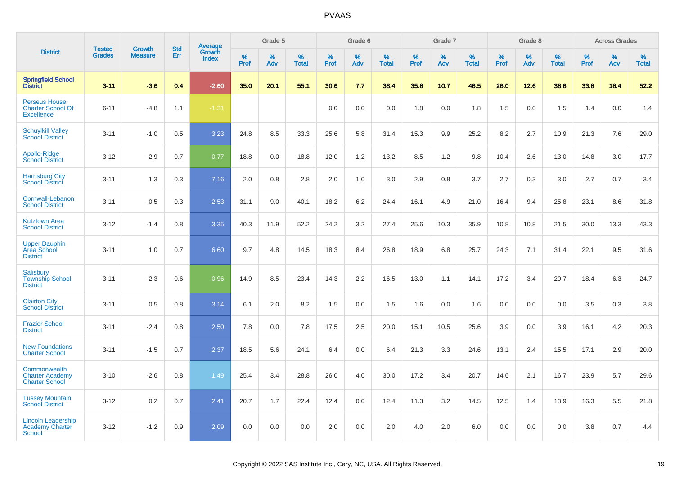|                                                                       |                                | <b>Growth</b>  | <b>Std</b> | Average                |                  | Grade 5  |                   |                  | Grade 6  |                   |                  | Grade 7  |                   |           | Grade 8  |                   |           | <b>Across Grades</b> |                   |
|-----------------------------------------------------------------------|--------------------------------|----------------|------------|------------------------|------------------|----------|-------------------|------------------|----------|-------------------|------------------|----------|-------------------|-----------|----------|-------------------|-----------|----------------------|-------------------|
| <b>District</b>                                                       | <b>Tested</b><br><b>Grades</b> | <b>Measure</b> | Err        | Growth<br><b>Index</b> | %<br><b>Prof</b> | %<br>Adv | %<br><b>Total</b> | %<br><b>Prof</b> | %<br>Adv | %<br><b>Total</b> | %<br><b>Prof</b> | %<br>Adv | %<br><b>Total</b> | %<br>Prof | %<br>Adv | %<br><b>Total</b> | %<br>Prof | %<br>Adv             | %<br><b>Total</b> |
| <b>Springfield School</b><br>District                                 | $3 - 11$                       | $-3.6$         | 0.4        | $-2.60$                | 35.0             | 20.1     | 55.1              | 30.6             | 7.7      | 38.4              | 35.8             | 10.7     | 46.5              | 26.0      | 12.6     | 38.6              | 33.8      | 18.4                 | 52.2              |
| <b>Perseus House</b><br><b>Charter School Of</b><br><b>Excellence</b> | $6 - 11$                       | $-4.8$         | 1.1        | $-1.31$                |                  |          |                   | 0.0              | 0.0      | 0.0               | 1.8              | 0.0      | 1.8               | 1.5       | 0.0      | 1.5               | 1.4       | 0.0                  | 1.4               |
| <b>Schuylkill Valley</b><br><b>School District</b>                    | $3 - 11$                       | $-1.0$         | 0.5        | 3.23                   | 24.8             | 8.5      | 33.3              | 25.6             | 5.8      | 31.4              | 15.3             | 9.9      | 25.2              | 8.2       | 2.7      | 10.9              | 21.3      | 7.6                  | 29.0              |
| Apollo-Ridge<br><b>School District</b>                                | $3-12$                         | $-2.9$         | 0.7        | $-0.77$                | 18.8             | 0.0      | 18.8              | 12.0             | 1.2      | 13.2              | 8.5              | 1.2      | 9.8               | 10.4      | 2.6      | 13.0              | 14.8      | 3.0                  | 17.7              |
| <b>Harrisburg City</b><br><b>School District</b>                      | $3 - 11$                       | 1.3            | 0.3        | 7.16                   | 2.0              | 0.8      | 2.8               | 2.0              | 1.0      | 3.0               | 2.9              | 0.8      | 3.7               | 2.7       | 0.3      | 3.0               | 2.7       | 0.7                  | 3.4               |
| Cornwall-Lebanon<br><b>School District</b>                            | $3 - 11$                       | $-0.5$         | 0.3        | 2.53                   | 31.1             | 9.0      | 40.1              | 18.2             | 6.2      | 24.4              | 16.1             | 4.9      | 21.0              | 16.4      | 9.4      | 25.8              | 23.1      | 8.6                  | 31.8              |
| <b>Kutztown Area</b><br><b>School District</b>                        | $3 - 12$                       | $-1.4$         | 0.8        | 3.35                   | 40.3             | 11.9     | 52.2              | 24.2             | 3.2      | 27.4              | 25.6             | 10.3     | 35.9              | 10.8      | 10.8     | 21.5              | 30.0      | 13.3                 | 43.3              |
| <b>Upper Dauphin</b><br><b>Area School</b><br><b>District</b>         | $3 - 11$                       | 1.0            | 0.7        | 6.60                   | 9.7              | 4.8      | 14.5              | 18.3             | 8.4      | 26.8              | 18.9             | 6.8      | 25.7              | 24.3      | 7.1      | 31.4              | 22.1      | 9.5                  | 31.6              |
| Salisbury<br><b>Township School</b><br><b>District</b>                | $3 - 11$                       | $-2.3$         | 0.6        | 0.96                   | 14.9             | 8.5      | 23.4              | 14.3             | 2.2      | 16.5              | 13.0             | 1.1      | 14.1              | 17.2      | 3.4      | 20.7              | 18.4      | 6.3                  | 24.7              |
| <b>Clairton City</b><br><b>School District</b>                        | $3 - 11$                       | 0.5            | 0.8        | 3.14                   | 6.1              | 2.0      | 8.2               | 1.5              | 0.0      | 1.5               | 1.6              | 0.0      | 1.6               | 0.0       | 0.0      | 0.0               | 3.5       | 0.3                  | 3.8               |
| <b>Frazier School</b><br><b>District</b>                              | $3 - 11$                       | $-2.4$         | 0.8        | 2.50                   | 7.8              | 0.0      | 7.8               | 17.5             | 2.5      | 20.0              | 15.1             | 10.5     | 25.6              | 3.9       | 0.0      | 3.9               | 16.1      | 4.2                  | 20.3              |
| <b>New Foundations</b><br><b>Charter School</b>                       | $3 - 11$                       | $-1.5$         | 0.7        | 2.37                   | 18.5             | 5.6      | 24.1              | 6.4              | 0.0      | 6.4               | 21.3             | 3.3      | 24.6              | 13.1      | 2.4      | 15.5              | 17.1      | 2.9                  | 20.0              |
| Commonwealth<br><b>Charter Academy</b><br><b>Charter School</b>       | $3 - 10$                       | $-2.6$         | 0.8        | 1.49                   | 25.4             | 3.4      | 28.8              | 26.0             | 4.0      | 30.0              | 17.2             | 3.4      | 20.7              | 14.6      | 2.1      | 16.7              | 23.9      | 5.7                  | 29.6              |
| <b>Tussey Mountain</b><br><b>School District</b>                      | $3 - 12$                       | 0.2            | 0.7        | 2.41                   | 20.7             | 1.7      | 22.4              | 12.4             | 0.0      | 12.4              | 11.3             | 3.2      | 14.5              | 12.5      | 1.4      | 13.9              | 16.3      | 5.5                  | 21.8              |
| <b>Lincoln Leadership</b><br><b>Academy Charter</b><br>School         | $3 - 12$                       | $-1.2$         | 0.9        | 2.09                   | 0.0              | 0.0      | 0.0               | 2.0              | 0.0      | 2.0               | 4.0              | 2.0      | 6.0               | 0.0       | 0.0      | 0.0               | 3.8       | 0.7                  | 4.4               |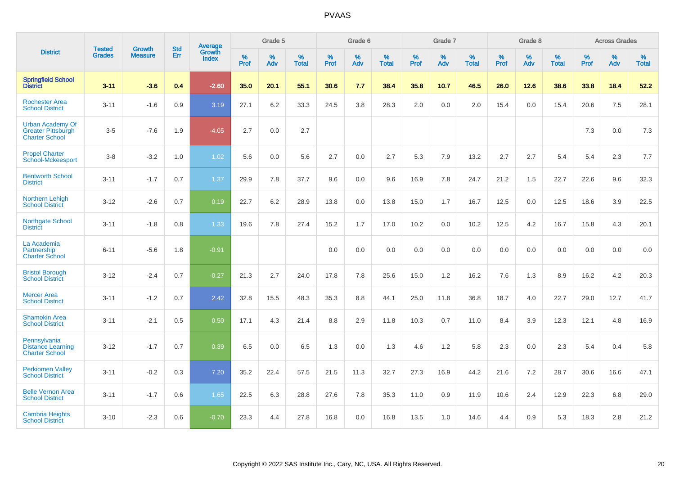|                                                                               | <b>Tested</b> | <b>Growth</b>  | <b>Std</b> | Average                       |              | Grade 5  |                   |           | Grade 6  |                   |           | Grade 7  |                   |           | Grade 8  |                   |           | <b>Across Grades</b> |                   |
|-------------------------------------------------------------------------------|---------------|----------------|------------|-------------------------------|--------------|----------|-------------------|-----------|----------|-------------------|-----------|----------|-------------------|-----------|----------|-------------------|-----------|----------------------|-------------------|
| <b>District</b>                                                               | <b>Grades</b> | <b>Measure</b> | Err        | <b>Growth</b><br><b>Index</b> | $\%$<br>Prof | %<br>Adv | %<br><b>Total</b> | %<br>Prof | %<br>Adv | %<br><b>Total</b> | %<br>Prof | %<br>Adv | %<br><b>Total</b> | %<br>Prof | %<br>Adv | %<br><b>Total</b> | %<br>Prof | %<br>Adv             | %<br><b>Total</b> |
| <b>Springfield School</b><br><b>District</b>                                  | $3 - 11$      | $-3.6$         | 0.4        | $-2.60$                       | 35.0         | 20.1     | 55.1              | 30.6      | 7.7      | 38.4              | 35.8      | 10.7     | 46.5              | 26.0      | 12.6     | 38.6              | 33.8      | 18.4                 | 52.2              |
| <b>Rochester Area</b><br><b>School District</b>                               | $3 - 11$      | $-1.6$         | 0.9        | 3.19                          | 27.1         | 6.2      | 33.3              | 24.5      | 3.8      | 28.3              | 2.0       | 0.0      | 2.0               | 15.4      | 0.0      | 15.4              | 20.6      | 7.5                  | 28.1              |
| <b>Urban Academy Of</b><br><b>Greater Pittsburgh</b><br><b>Charter School</b> | $3-5$         | $-7.6$         | 1.9        | $-4.05$                       | 2.7          | 0.0      | 2.7               |           |          |                   |           |          |                   |           |          |                   | 7.3       | 0.0                  | 7.3               |
| <b>Propel Charter</b><br>School-Mckeesport                                    | $3-8$         | $-3.2$         | 1.0        | 1.02                          | 5.6          | 0.0      | 5.6               | 2.7       | 0.0      | 2.7               | 5.3       | 7.9      | 13.2              | 2.7       | 2.7      | 5.4               | 5.4       | 2.3                  | 7.7               |
| <b>Bentworth School</b><br><b>District</b>                                    | $3 - 11$      | $-1.7$         | 0.7        | 1.37                          | 29.9         | 7.8      | 37.7              | 9.6       | 0.0      | 9.6               | 16.9      | 7.8      | 24.7              | 21.2      | 1.5      | 22.7              | 22.6      | 9.6                  | 32.3              |
| <b>Northern Lehigh</b><br><b>School District</b>                              | $3 - 12$      | $-2.6$         | 0.7        | 0.19                          | 22.7         | 6.2      | 28.9              | 13.8      | 0.0      | 13.8              | 15.0      | 1.7      | 16.7              | 12.5      | 0.0      | 12.5              | 18.6      | 3.9                  | 22.5              |
| Northgate School<br><b>District</b>                                           | $3 - 11$      | $-1.8$         | 0.8        | 1.33                          | 19.6         | 7.8      | 27.4              | 15.2      | 1.7      | 17.0              | 10.2      | 0.0      | 10.2              | 12.5      | 4.2      | 16.7              | 15.8      | 4.3                  | 20.1              |
| La Academia<br>Partnership<br><b>Charter School</b>                           | $6 - 11$      | $-5.6$         | 1.8        | $-0.91$                       |              |          |                   | 0.0       | 0.0      | 0.0               | 0.0       | 0.0      | 0.0               | 0.0       | 0.0      | 0.0               | 0.0       | 0.0                  | 0.0               |
| <b>Bristol Borough</b><br><b>School District</b>                              | $3-12$        | $-2.4$         | 0.7        | $-0.27$                       | 21.3         | 2.7      | 24.0              | 17.8      | 7.8      | 25.6              | 15.0      | 1.2      | 16.2              | 7.6       | 1.3      | 8.9               | 16.2      | 4.2                  | 20.3              |
| <b>Mercer Area</b><br><b>School District</b>                                  | $3 - 11$      | $-1.2$         | 0.7        | 2.42                          | 32.8         | 15.5     | 48.3              | 35.3      | 8.8      | 44.1              | 25.0      | 11.8     | 36.8              | 18.7      | 4.0      | 22.7              | 29.0      | 12.7                 | 41.7              |
| <b>Shamokin Area</b><br><b>School District</b>                                | $3 - 11$      | $-2.1$         | 0.5        | 0.50                          | 17.1         | 4.3      | 21.4              | 8.8       | 2.9      | 11.8              | 10.3      | 0.7      | 11.0              | 8.4       | 3.9      | 12.3              | 12.1      | 4.8                  | 16.9              |
| Pennsylvania<br><b>Distance Learning</b><br><b>Charter School</b>             | $3 - 12$      | $-1.7$         | 0.7        | 0.39                          | 6.5          | 0.0      | 6.5               | 1.3       | 0.0      | 1.3               | 4.6       | 1.2      | 5.8               | 2.3       | 0.0      | 2.3               | 5.4       | 0.4                  | 5.8               |
| <b>Perkiomen Valley</b><br><b>School District</b>                             | $3 - 11$      | $-0.2$         | 0.3        | 7.20                          | 35.2         | 22.4     | 57.5              | 21.5      | 11.3     | 32.7              | 27.3      | 16.9     | 44.2              | 21.6      | 7.2      | 28.7              | 30.6      | 16.6                 | 47.1              |
| <b>Belle Vernon Area</b><br><b>School District</b>                            | $3 - 11$      | $-1.7$         | 0.6        | 1.65                          | 22.5         | 6.3      | 28.8              | 27.6      | 7.8      | 35.3              | 11.0      | 0.9      | 11.9              | 10.6      | 2.4      | 12.9              | 22.3      | 6.8                  | 29.0              |
| <b>Cambria Heights</b><br><b>School District</b>                              | $3 - 10$      | $-2.3$         | 0.6        | $-0.70$                       | 23.3         | 4.4      | 27.8              | 16.8      | 0.0      | 16.8              | 13.5      | 1.0      | 14.6              | 4.4       | 0.9      | 5.3               | 18.3      | 2.8                  | 21.2              |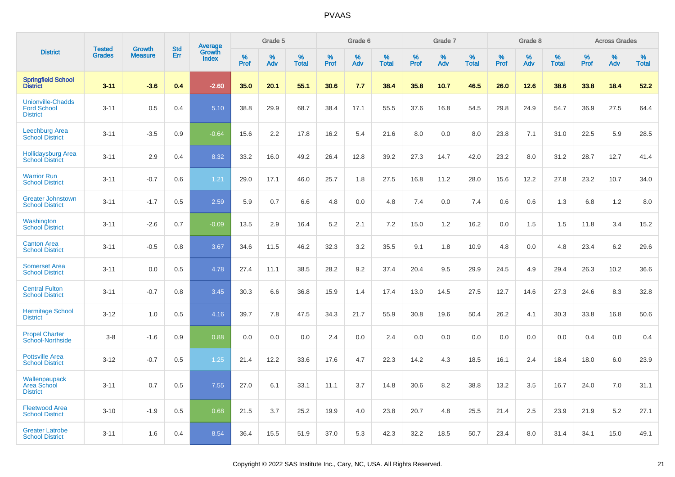|                                                                   | <b>Tested</b> |                                 | <b>Std</b> | Average                |              | Grade 5  |                   |              | Grade 6  |                   |              | Grade 7  |                   |              | Grade 8  |                   |              | <b>Across Grades</b> |                   |
|-------------------------------------------------------------------|---------------|---------------------------------|------------|------------------------|--------------|----------|-------------------|--------------|----------|-------------------|--------------|----------|-------------------|--------------|----------|-------------------|--------------|----------------------|-------------------|
| <b>District</b>                                                   | <b>Grades</b> | <b>Growth</b><br><b>Measure</b> | Err        | Growth<br><b>Index</b> | $\%$<br>Prof | %<br>Adv | %<br><b>Total</b> | $\%$<br>Prof | %<br>Adv | %<br><b>Total</b> | $\%$<br>Prof | %<br>Adv | %<br><b>Total</b> | $\%$<br>Prof | %<br>Adv | %<br><b>Total</b> | $\%$<br>Prof | %<br>Adv             | %<br><b>Total</b> |
| <b>Springfield School</b><br><b>District</b>                      | $3 - 11$      | $-3.6$                          | 0.4        | $-2.60$                | 35.0         | 20.1     | 55.1              | 30.6         | 7.7      | 38.4              | 35.8         | 10.7     | 46.5              | 26.0         | 12.6     | 38.6              | 33.8         | 18.4                 | 52.2              |
| <b>Unionville-Chadds</b><br><b>Ford School</b><br><b>District</b> | $3 - 11$      | 0.5                             | 0.4        | 5.10                   | 38.8         | 29.9     | 68.7              | 38.4         | 17.1     | 55.5              | 37.6         | 16.8     | 54.5              | 29.8         | 24.9     | 54.7              | 36.9         | 27.5                 | 64.4              |
| <b>Leechburg Area</b><br><b>School District</b>                   | $3 - 11$      | $-3.5$                          | 0.9        | $-0.64$                | 15.6         | 2.2      | 17.8              | 16.2         | 5.4      | 21.6              | 8.0          | 0.0      | 8.0               | 23.8         | 7.1      | 31.0              | 22.5         | 5.9                  | 28.5              |
| <b>Hollidaysburg Area</b><br><b>School District</b>               | $3 - 11$      | 2.9                             | 0.4        | 8.32                   | 33.2         | 16.0     | 49.2              | 26.4         | 12.8     | 39.2              | 27.3         | 14.7     | 42.0              | 23.2         | 8.0      | 31.2              | 28.7         | 12.7                 | 41.4              |
| <b>Warrior Run</b><br><b>School District</b>                      | $3 - 11$      | $-0.7$                          | 0.6        | 1.21                   | 29.0         | 17.1     | 46.0              | 25.7         | 1.8      | 27.5              | 16.8         | 11.2     | 28.0              | 15.6         | 12.2     | 27.8              | 23.2         | 10.7                 | 34.0              |
| <b>Greater Johnstown</b><br><b>School District</b>                | $3 - 11$      | $-1.7$                          | 0.5        | 2.59                   | 5.9          | 0.7      | 6.6               | 4.8          | 0.0      | 4.8               | 7.4          | 0.0      | 7.4               | 0.6          | 0.6      | 1.3               | 6.8          | 1.2                  | 8.0               |
| Washington<br><b>School District</b>                              | $3 - 11$      | $-2.6$                          | 0.7        | $-0.09$                | 13.5         | 2.9      | 16.4              | 5.2          | 2.1      | 7.2               | 15.0         | 1.2      | 16.2              | 0.0          | 1.5      | 1.5               | 11.8         | 3.4                  | 15.2              |
| <b>Canton Area</b><br><b>School District</b>                      | $3 - 11$      | $-0.5$                          | 0.8        | 3.67                   | 34.6         | 11.5     | 46.2              | 32.3         | 3.2      | 35.5              | 9.1          | 1.8      | 10.9              | 4.8          | 0.0      | 4.8               | 23.4         | 6.2                  | 29.6              |
| <b>Somerset Area</b><br><b>School District</b>                    | $3 - 11$      | 0.0                             | 0.5        | 4.78                   | 27.4         | 11.1     | 38.5              | 28.2         | 9.2      | 37.4              | 20.4         | 9.5      | 29.9              | 24.5         | 4.9      | 29.4              | 26.3         | 10.2                 | 36.6              |
| <b>Central Fulton</b><br><b>School District</b>                   | $3 - 11$      | $-0.7$                          | 0.8        | 3.45                   | 30.3         | 6.6      | 36.8              | 15.9         | 1.4      | 17.4              | 13.0         | 14.5     | 27.5              | 12.7         | 14.6     | 27.3              | 24.6         | 8.3                  | 32.8              |
| <b>Hermitage School</b><br><b>District</b>                        | $3 - 12$      | 1.0                             | 0.5        | 4.16                   | 39.7         | 7.8      | 47.5              | 34.3         | 21.7     | 55.9              | 30.8         | 19.6     | 50.4              | 26.2         | 4.1      | 30.3              | 33.8         | 16.8                 | 50.6              |
| <b>Propel Charter</b><br><b>School-Northside</b>                  | $3 - 8$       | $-1.6$                          | 0.9        | 0.88                   | 0.0          | 0.0      | 0.0               | 2.4          | 0.0      | 2.4               | 0.0          | 0.0      | 0.0               | 0.0          | 0.0      | 0.0               | 0.4          | 0.0                  | 0.4               |
| <b>Pottsville Area</b><br><b>School District</b>                  | $3 - 12$      | $-0.7$                          | 0.5        | 1.25                   | 21.4         | 12.2     | 33.6              | 17.6         | 4.7      | 22.3              | 14.2         | 4.3      | 18.5              | 16.1         | 2.4      | 18.4              | 18.0         | 6.0                  | 23.9              |
| Wallenpaupack<br><b>Area School</b><br><b>District</b>            | $3 - 11$      | 0.7                             | 0.5        | 7.55                   | 27.0         | 6.1      | 33.1              | 11.1         | 3.7      | 14.8              | 30.6         | 8.2      | 38.8              | 13.2         | 3.5      | 16.7              | 24.0         | 7.0                  | 31.1              |
| <b>Fleetwood Area</b><br><b>School District</b>                   | $3 - 10$      | $-1.9$                          | 0.5        | 0.68                   | 21.5         | 3.7      | 25.2              | 19.9         | 4.0      | 23.8              | 20.7         | 4.8      | 25.5              | 21.4         | 2.5      | 23.9              | 21.9         | 5.2                  | 27.1              |
| <b>Greater Latrobe</b><br><b>School District</b>                  | $3 - 11$      | 1.6                             | 0.4        | 8.54                   | 36.4         | 15.5     | 51.9              | 37.0         | 5.3      | 42.3              | 32.2         | 18.5     | 50.7              | 23.4         | 8.0      | 31.4              | 34.1         | 15.0                 | 49.1              |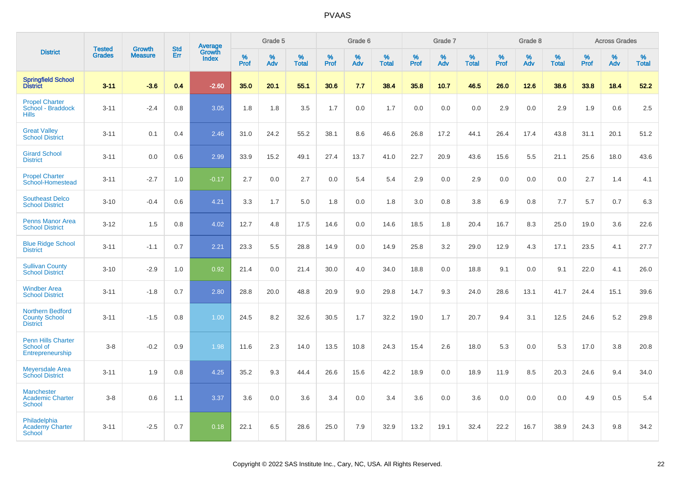|                                                                    |                                |                                 | <b>Std</b> | Average                |                  | Grade 5  |                   |                  | Grade 6  |                   |                  | Grade 7  |                   |           | Grade 8  |                   |                  | <b>Across Grades</b> |                   |
|--------------------------------------------------------------------|--------------------------------|---------------------------------|------------|------------------------|------------------|----------|-------------------|------------------|----------|-------------------|------------------|----------|-------------------|-----------|----------|-------------------|------------------|----------------------|-------------------|
| <b>District</b>                                                    | <b>Tested</b><br><b>Grades</b> | <b>Growth</b><br><b>Measure</b> | Err        | Growth<br><b>Index</b> | %<br><b>Prof</b> | %<br>Adv | %<br><b>Total</b> | %<br><b>Prof</b> | %<br>Adv | %<br><b>Total</b> | %<br><b>Prof</b> | %<br>Adv | %<br><b>Total</b> | %<br>Prof | %<br>Adv | %<br><b>Total</b> | %<br><b>Prof</b> | %<br>Adv             | %<br><b>Total</b> |
| <b>Springfield School</b><br>District                              | $3 - 11$                       | $-3.6$                          | 0.4        | $-2.60$                | 35.0             | 20.1     | 55.1              | 30.6             | 7.7      | 38.4              | 35.8             | 10.7     | 46.5              | 26.0      | 12.6     | 38.6              | 33.8             | 18.4                 | 52.2              |
| <b>Propel Charter</b><br>School - Braddock<br><b>Hills</b>         | $3 - 11$                       | $-2.4$                          | 0.8        | 3.05                   | 1.8              | 1.8      | 3.5               | 1.7              | 0.0      | 1.7               | 0.0              | 0.0      | 0.0               | 2.9       | 0.0      | 2.9               | 1.9              | 0.6                  | 2.5               |
| <b>Great Valley</b><br><b>School District</b>                      | $3 - 11$                       | 0.1                             | 0.4        | 2.46                   | 31.0             | 24.2     | 55.2              | 38.1             | 8.6      | 46.6              | 26.8             | 17.2     | 44.1              | 26.4      | 17.4     | 43.8              | 31.1             | 20.1                 | 51.2              |
| <b>Girard School</b><br><b>District</b>                            | $3 - 11$                       | 0.0                             | 0.6        | 2.99                   | 33.9             | 15.2     | 49.1              | 27.4             | 13.7     | 41.0              | 22.7             | 20.9     | 43.6              | 15.6      | 5.5      | 21.1              | 25.6             | 18.0                 | 43.6              |
| <b>Propel Charter</b><br>School-Homestead                          | $3 - 11$                       | $-2.7$                          | 1.0        | $-0.17$                | 2.7              | 0.0      | 2.7               | 0.0              | 5.4      | 5.4               | 2.9              | 0.0      | 2.9               | 0.0       | 0.0      | 0.0               | 2.7              | 1.4                  | 4.1               |
| <b>Southeast Delco</b><br><b>School District</b>                   | $3 - 10$                       | $-0.4$                          | 0.6        | 4.21                   | 3.3              | 1.7      | 5.0               | 1.8              | 0.0      | 1.8               | 3.0              | 0.8      | 3.8               | 6.9       | 0.8      | 7.7               | 5.7              | 0.7                  | 6.3               |
| <b>Penns Manor Area</b><br><b>School District</b>                  | $3 - 12$                       | 1.5                             | 0.8        | 4.02                   | 12.7             | 4.8      | 17.5              | 14.6             | 0.0      | 14.6              | 18.5             | 1.8      | 20.4              | 16.7      | 8.3      | 25.0              | 19.0             | 3.6                  | 22.6              |
| <b>Blue Ridge School</b><br><b>District</b>                        | $3 - 11$                       | $-1.1$                          | 0.7        | 2.21                   | 23.3             | 5.5      | 28.8              | 14.9             | 0.0      | 14.9              | 25.8             | 3.2      | 29.0              | 12.9      | 4.3      | 17.1              | 23.5             | 4.1                  | 27.7              |
| <b>Sullivan County</b><br><b>School District</b>                   | $3 - 10$                       | $-2.9$                          | 1.0        | 0.92                   | 21.4             | 0.0      | 21.4              | 30.0             | 4.0      | 34.0              | 18.8             | 0.0      | 18.8              | 9.1       | 0.0      | 9.1               | 22.0             | 4.1                  | 26.0              |
| <b>Windber Area</b><br><b>School District</b>                      | $3 - 11$                       | $-1.8$                          | 0.7        | 2.80                   | 28.8             | 20.0     | 48.8              | 20.9             | 9.0      | 29.8              | 14.7             | 9.3      | 24.0              | 28.6      | 13.1     | 41.7              | 24.4             | 15.1                 | 39.6              |
| <b>Northern Bedford</b><br><b>County School</b><br><b>District</b> | $3 - 11$                       | $-1.5$                          | 0.8        | 1.00                   | 24.5             | 8.2      | 32.6              | 30.5             | 1.7      | 32.2              | 19.0             | 1.7      | 20.7              | 9.4       | 3.1      | 12.5              | 24.6             | 5.2                  | 29.8              |
| <b>Penn Hills Charter</b><br>School of<br>Entrepreneurship         | $3-8$                          | $-0.2$                          | 0.9        | 1.98                   | 11.6             | 2.3      | 14.0              | 13.5             | 10.8     | 24.3              | 15.4             | 2.6      | 18.0              | 5.3       | 0.0      | 5.3               | 17.0             | 3.8                  | 20.8              |
| <b>Meyersdale Area</b><br><b>School District</b>                   | $3 - 11$                       | 1.9                             | 0.8        | 4.25                   | 35.2             | 9.3      | 44.4              | 26.6             | 15.6     | 42.2              | 18.9             | 0.0      | 18.9              | 11.9      | 8.5      | 20.3              | 24.6             | 9.4                  | 34.0              |
| <b>Manchester</b><br><b>Academic Charter</b><br><b>School</b>      | $3-8$                          | 0.6                             | 1.1        | 3.37                   | 3.6              | 0.0      | 3.6               | 3.4              | 0.0      | 3.4               | 3.6              | 0.0      | 3.6               | 0.0       | 0.0      | 0.0               | 4.9              | 0.5                  | 5.4               |
| Philadelphia<br><b>Academy Charter</b><br><b>School</b>            | $3 - 11$                       | $-2.5$                          | 0.7        | 0.18                   | 22.1             | 6.5      | 28.6              | 25.0             | 7.9      | 32.9              | 13.2             | 19.1     | 32.4              | 22.2      | 16.7     | 38.9              | 24.3             | 9.8                  | 34.2              |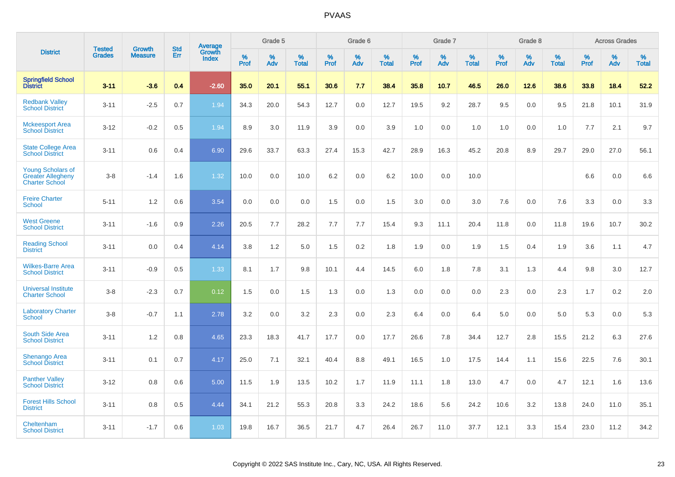|                                                                               | <b>Tested</b> | <b>Growth</b>  | <b>Std</b> | Average                |                     | Grade 5  |                      |                     | Grade 6  |                      |                     | Grade 7  |                      |              | Grade 8  |                      |                  | <b>Across Grades</b> |                      |
|-------------------------------------------------------------------------------|---------------|----------------|------------|------------------------|---------------------|----------|----------------------|---------------------|----------|----------------------|---------------------|----------|----------------------|--------------|----------|----------------------|------------------|----------------------|----------------------|
| <b>District</b>                                                               | <b>Grades</b> | <b>Measure</b> | Err        | Growth<br><b>Index</b> | $\%$<br><b>Prof</b> | %<br>Adv | $\%$<br><b>Total</b> | $\%$<br><b>Prof</b> | %<br>Adv | $\%$<br><b>Total</b> | $\%$<br><b>Prof</b> | %<br>Adv | $\%$<br><b>Total</b> | $\%$<br>Prof | %<br>Adv | $\%$<br><b>Total</b> | %<br><b>Prof</b> | %<br>Adv             | $\%$<br><b>Total</b> |
| <b>Springfield School</b><br>District                                         | $3 - 11$      | $-3.6$         | 0.4        | $-2.60$                | 35.0                | 20.1     | 55.1                 | 30.6                | 7.7      | 38.4                 | 35.8                | 10.7     | 46.5                 | 26.0         | 12.6     | 38.6                 | 33.8             | 18.4                 | 52.2                 |
| <b>Redbank Valley</b><br><b>School District</b>                               | $3 - 11$      | $-2.5$         | 0.7        | 1.94                   | 34.3                | 20.0     | 54.3                 | 12.7                | 0.0      | 12.7                 | 19.5                | 9.2      | 28.7                 | 9.5          | 0.0      | 9.5                  | 21.8             | 10.1                 | 31.9                 |
| <b>Mckeesport Area</b><br><b>School District</b>                              | $3 - 12$      | $-0.2$         | 0.5        | 1.94                   | 8.9                 | 3.0      | 11.9                 | 3.9                 | 0.0      | 3.9                  | 1.0                 | 0.0      | 1.0                  | 1.0          | 0.0      | 1.0                  | 7.7              | 2.1                  | 9.7                  |
| <b>State College Area</b><br><b>School District</b>                           | $3 - 11$      | 0.6            | 0.4        | 6.90                   | 29.6                | 33.7     | 63.3                 | 27.4                | 15.3     | 42.7                 | 28.9                | 16.3     | 45.2                 | 20.8         | 8.9      | 29.7                 | 29.0             | 27.0                 | 56.1                 |
| <b>Young Scholars of</b><br><b>Greater Allegheny</b><br><b>Charter School</b> | $3-8$         | $-1.4$         | 1.6        | 1.32                   | 10.0                | 0.0      | 10.0                 | 6.2                 | 0.0      | 6.2                  | 10.0                | 0.0      | 10.0                 |              |          |                      | 6.6              | 0.0                  | 6.6                  |
| <b>Freire Charter</b><br><b>School</b>                                        | $5 - 11$      | 1.2            | 0.6        | 3.54                   | 0.0                 | 0.0      | 0.0                  | 1.5                 | 0.0      | 1.5                  | 3.0                 | 0.0      | 3.0                  | 7.6          | 0.0      | 7.6                  | 3.3              | 0.0                  | 3.3                  |
| <b>West Greene</b><br><b>School District</b>                                  | $3 - 11$      | $-1.6$         | 0.9        | 2.26                   | 20.5                | 7.7      | 28.2                 | 7.7                 | 7.7      | 15.4                 | 9.3                 | 11.1     | 20.4                 | 11.8         | 0.0      | 11.8                 | 19.6             | 10.7                 | 30.2                 |
| <b>Reading School</b><br><b>District</b>                                      | $3 - 11$      | 0.0            | 0.4        | 4.14                   | 3.8                 | 1.2      | 5.0                  | 1.5                 | 0.2      | 1.8                  | 1.9                 | 0.0      | 1.9                  | 1.5          | 0.4      | 1.9                  | 3.6              | 1.1                  | 4.7                  |
| <b>Wilkes-Barre Area</b><br><b>School District</b>                            | $3 - 11$      | $-0.9$         | 0.5        | 1.33 <sup>°</sup>      | 8.1                 | 1.7      | 9.8                  | 10.1                | 4.4      | 14.5                 | 6.0                 | 1.8      | 7.8                  | 3.1          | 1.3      | 4.4                  | 9.8              | 3.0                  | 12.7                 |
| <b>Universal Institute</b><br><b>Charter School</b>                           | $3-8$         | $-2.3$         | 0.7        | 0.12                   | 1.5                 | 0.0      | 1.5                  | 1.3                 | 0.0      | 1.3                  | 0.0                 | 0.0      | 0.0                  | 2.3          | 0.0      | 2.3                  | 1.7              | 0.2                  | 2.0                  |
| <b>Laboratory Charter</b><br>School                                           | $3-8$         | $-0.7$         | 1.1        | 2.78                   | 3.2                 | 0.0      | 3.2                  | 2.3                 | 0.0      | 2.3                  | 6.4                 | 0.0      | 6.4                  | 5.0          | 0.0      | 5.0                  | 5.3              | 0.0                  | 5.3                  |
| <b>South Side Area</b><br><b>School District</b>                              | $3 - 11$      | 1.2            | 0.8        | 4.65                   | 23.3                | 18.3     | 41.7                 | 17.7                | 0.0      | 17.7                 | 26.6                | 7.8      | 34.4                 | 12.7         | 2.8      | 15.5                 | 21.2             | 6.3                  | 27.6                 |
| <b>Shenango Area</b><br><b>School District</b>                                | $3 - 11$      | 0.1            | 0.7        | 4.17                   | 25.0                | 7.1      | 32.1                 | 40.4                | 8.8      | 49.1                 | 16.5                | 1.0      | 17.5                 | 14.4         | 1.1      | 15.6                 | 22.5             | 7.6                  | 30.1                 |
| <b>Panther Valley</b><br><b>School District</b>                               | $3 - 12$      | 0.8            | 0.6        | 5.00                   | 11.5                | 1.9      | 13.5                 | 10.2                | 1.7      | 11.9                 | 11.1                | 1.8      | 13.0                 | 4.7          | 0.0      | 4.7                  | 12.1             | 1.6                  | 13.6                 |
| <b>Forest Hills School</b><br><b>District</b>                                 | $3 - 11$      | 0.8            | 0.5        | 4.44                   | 34.1                | 21.2     | 55.3                 | 20.8                | 3.3      | 24.2                 | 18.6                | 5.6      | 24.2                 | 10.6         | 3.2      | 13.8                 | 24.0             | 11.0                 | 35.1                 |
| Cheltenham<br><b>School District</b>                                          | $3 - 11$      | $-1.7$         | 0.6        | 1.03                   | 19.8                | 16.7     | 36.5                 | 21.7                | 4.7      | 26.4                 | 26.7                | 11.0     | 37.7                 | 12.1         | 3.3      | 15.4                 | 23.0             | 11.2                 | 34.2                 |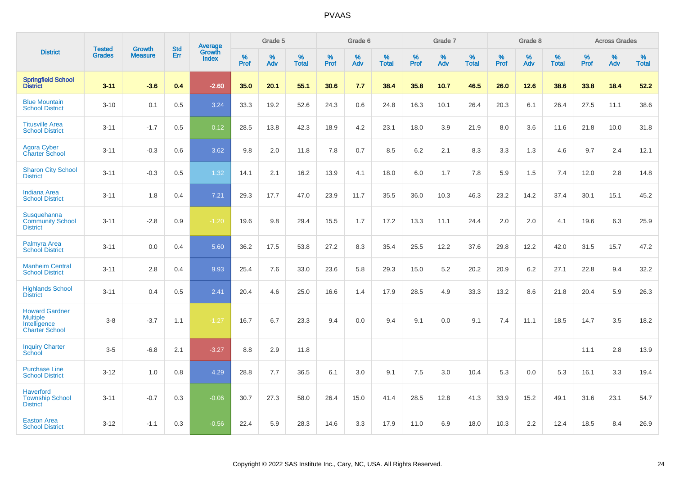|                                                                                   | <b>Tested</b> | <b>Growth</b>  | <b>Std</b> | <b>Average</b><br>Growth |                     | Grade 5  |                   |           | Grade 6  |                   |           | Grade 7  |                   |           | Grade 8  |                   |           | <b>Across Grades</b> |                   |
|-----------------------------------------------------------------------------------|---------------|----------------|------------|--------------------------|---------------------|----------|-------------------|-----------|----------|-------------------|-----------|----------|-------------------|-----------|----------|-------------------|-----------|----------------------|-------------------|
| <b>District</b>                                                                   | <b>Grades</b> | <b>Measure</b> | Err        | <b>Index</b>             | $\%$<br><b>Prof</b> | %<br>Adv | %<br><b>Total</b> | %<br>Prof | %<br>Adv | %<br><b>Total</b> | %<br>Prof | %<br>Adv | %<br><b>Total</b> | %<br>Prof | %<br>Adv | %<br><b>Total</b> | %<br>Prof | %<br>Adv             | %<br><b>Total</b> |
| <b>Springfield School</b><br>District                                             | $3 - 11$      | $-3.6$         | 0.4        | $-2.60$                  | 35.0                | 20.1     | 55.1              | 30.6      | 7.7      | 38.4              | 35.8      | 10.7     | 46.5              | 26.0      | 12.6     | 38.6              | 33.8      | 18.4                 | 52.2              |
| <b>Blue Mountain</b><br><b>School District</b>                                    | $3 - 10$      | 0.1            | 0.5        | 3.24                     | 33.3                | 19.2     | 52.6              | 24.3      | 0.6      | 24.8              | 16.3      | 10.1     | 26.4              | 20.3      | 6.1      | 26.4              | 27.5      | 11.1                 | 38.6              |
| <b>Titusville Area</b><br><b>School District</b>                                  | $3 - 11$      | $-1.7$         | 0.5        | 0.12                     | 28.5                | 13.8     | 42.3              | 18.9      | 4.2      | 23.1              | 18.0      | 3.9      | 21.9              | 8.0       | 3.6      | 11.6              | 21.8      | 10.0                 | 31.8              |
| <b>Agora Cyber</b><br><b>Charter School</b>                                       | $3 - 11$      | $-0.3$         | 0.6        | 3.62                     | 9.8                 | 2.0      | 11.8              | 7.8       | 0.7      | 8.5               | 6.2       | 2.1      | 8.3               | 3.3       | 1.3      | 4.6               | 9.7       | 2.4                  | 12.1              |
| <b>Sharon City School</b><br><b>District</b>                                      | $3 - 11$      | $-0.3$         | 0.5        | 1.32                     | 14.1                | 2.1      | 16.2              | 13.9      | 4.1      | 18.0              | 6.0       | 1.7      | 7.8               | 5.9       | 1.5      | 7.4               | 12.0      | 2.8                  | 14.8              |
| <b>Indiana Area</b><br><b>School District</b>                                     | $3 - 11$      | 1.8            | 0.4        | 7.21                     | 29.3                | 17.7     | 47.0              | 23.9      | 11.7     | 35.5              | 36.0      | 10.3     | 46.3              | 23.2      | 14.2     | 37.4              | 30.1      | 15.1                 | 45.2              |
| Susquehanna<br><b>Community School</b><br><b>District</b>                         | $3 - 11$      | $-2.8$         | 0.9        | $-1.20$                  | 19.6                | 9.8      | 29.4              | 15.5      | 1.7      | 17.2              | 13.3      | 11.1     | 24.4              | 2.0       | 2.0      | 4.1               | 19.6      | 6.3                  | 25.9              |
| Palmyra Area<br><b>School District</b>                                            | $3 - 11$      | 0.0            | 0.4        | 5.60                     | 36.2                | 17.5     | 53.8              | 27.2      | 8.3      | 35.4              | 25.5      | 12.2     | 37.6              | 29.8      | 12.2     | 42.0              | 31.5      | 15.7                 | 47.2              |
| <b>Manheim Central</b><br><b>School District</b>                                  | $3 - 11$      | 2.8            | 0.4        | 9.93                     | 25.4                | 7.6      | 33.0              | 23.6      | 5.8      | 29.3              | 15.0      | 5.2      | 20.2              | 20.9      | 6.2      | 27.1              | 22.8      | 9.4                  | 32.2              |
| <b>Highlands School</b><br><b>District</b>                                        | $3 - 11$      | 0.4            | 0.5        | $\overline{2.41}$        | 20.4                | 4.6      | 25.0              | 16.6      | 1.4      | 17.9              | 28.5      | 4.9      | 33.3              | 13.2      | 8.6      | 21.8              | 20.4      | 5.9                  | 26.3              |
| <b>Howard Gardner</b><br><b>Multiple</b><br>Intelligence<br><b>Charter School</b> | $3-8$         | $-3.7$         | 1.1        | $-1.27$                  | 16.7                | 6.7      | 23.3              | 9.4       | 0.0      | 9.4               | 9.1       | 0.0      | 9.1               | 7.4       | 11.1     | 18.5              | 14.7      | 3.5                  | 18.2              |
| <b>Inquiry Charter</b><br>School                                                  | $3-5$         | $-6.8$         | 2.1        | $-3.27$                  | 8.8                 | 2.9      | 11.8              |           |          |                   |           |          |                   |           |          |                   | 11.1      | 2.8                  | 13.9              |
| <b>Purchase Line</b><br><b>School District</b>                                    | $3 - 12$      | 1.0            | 0.8        | 4.29                     | 28.8                | 7.7      | 36.5              | 6.1       | 3.0      | 9.1               | 7.5       | 3.0      | 10.4              | 5.3       | 0.0      | 5.3               | 16.1      | 3.3                  | 19.4              |
| <b>Haverford</b><br><b>Township School</b><br><b>District</b>                     | $3 - 11$      | $-0.7$         | 0.3        | $-0.06$                  | 30.7                | 27.3     | 58.0              | 26.4      | 15.0     | 41.4              | 28.5      | 12.8     | 41.3              | 33.9      | 15.2     | 49.1              | 31.6      | 23.1                 | 54.7              |
| <b>Easton Area</b><br><b>School District</b>                                      | $3 - 12$      | $-1.1$         | 0.3        | $-0.56$                  | 22.4                | 5.9      | 28.3              | 14.6      | 3.3      | 17.9              | 11.0      | 6.9      | 18.0              | 10.3      | 2.2      | 12.4              | 18.5      | 8.4                  | 26.9              |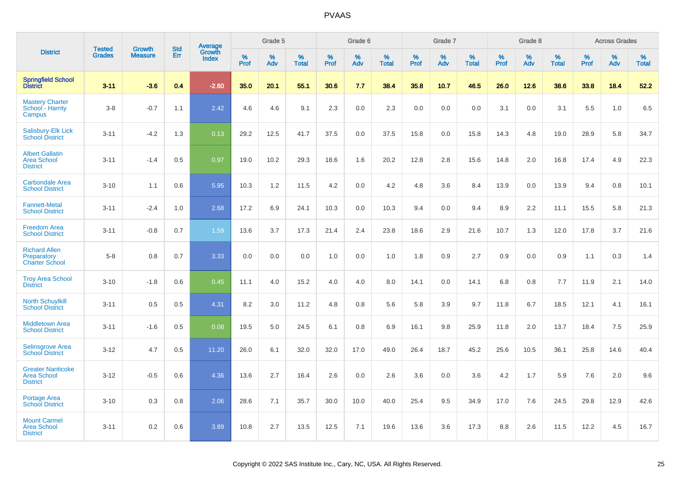|                                                                   |                                |                                 |                   |                                   |                     | Grade 5  |                   |                  | Grade 6  |                   |                  | Grade 7  |                   |           | Grade 8  |                   |              | <b>Across Grades</b> |                   |
|-------------------------------------------------------------------|--------------------------------|---------------------------------|-------------------|-----------------------------------|---------------------|----------|-------------------|------------------|----------|-------------------|------------------|----------|-------------------|-----------|----------|-------------------|--------------|----------------------|-------------------|
| <b>District</b>                                                   | <b>Tested</b><br><b>Grades</b> | <b>Growth</b><br><b>Measure</b> | <b>Std</b><br>Err | <b>Average</b><br>Growth<br>Index | $\%$<br><b>Prof</b> | %<br>Adv | %<br><b>Total</b> | %<br><b>Prof</b> | %<br>Adv | %<br><b>Total</b> | %<br><b>Prof</b> | %<br>Adv | %<br><b>Total</b> | %<br>Prof | %<br>Adv | %<br><b>Total</b> | $\%$<br>Prof | %<br>Adv             | %<br><b>Total</b> |
| <b>Springfield School</b><br>District                             | $3 - 11$                       | $-3.6$                          | 0.4               | $-2.60$                           | 35.0                | 20.1     | 55.1              | 30.6             | 7.7      | 38.4              | 35.8             | 10.7     | 46.5              | 26.0      | 12.6     | 38.6              | 33.8         | 18.4                 | 52.2              |
| <b>Mastery Charter</b><br>School - Harrity<br>Campus              | $3-8$                          | $-0.7$                          | 1.1               | 2.42                              | 4.6                 | 4.6      | 9.1               | 2.3              | 0.0      | 2.3               | 0.0              | 0.0      | 0.0               | 3.1       | 0.0      | 3.1               | 5.5          | 1.0                  | 6.5               |
| Salisbury-Elk Lick<br><b>School District</b>                      | $3 - 11$                       | $-4.2$                          | 1.3               | 0.13                              | 29.2                | 12.5     | 41.7              | 37.5             | 0.0      | 37.5              | 15.8             | 0.0      | 15.8              | 14.3      | 4.8      | 19.0              | 28.9         | 5.8                  | 34.7              |
| <b>Albert Gallatin</b><br><b>Area School</b><br><b>District</b>   | $3 - 11$                       | $-1.4$                          | 0.5               | 0.97                              | 19.0                | 10.2     | 29.3              | 18.6             | 1.6      | 20.2              | 12.8             | 2.8      | 15.6              | 14.8      | 2.0      | 16.8              | 17.4         | 4.9                  | 22.3              |
| <b>Carbondale Area</b><br><b>School District</b>                  | $3 - 10$                       | 1.1                             | 0.6               | 5.95                              | 10.3                | 1.2      | 11.5              | 4.2              | 0.0      | 4.2               | 4.8              | 3.6      | 8.4               | 13.9      | 0.0      | 13.9              | 9.4          | 0.8                  | 10.1              |
| <b>Fannett-Metal</b><br><b>School District</b>                    | $3 - 11$                       | $-2.4$                          | 1.0               | 2.68                              | 17.2                | 6.9      | 24.1              | 10.3             | 0.0      | 10.3              | 9.4              | 0.0      | 9.4               | 8.9       | 2.2      | 11.1              | 15.5         | 5.8                  | 21.3              |
| <b>Freedom Area</b><br><b>School District</b>                     | $3 - 11$                       | $-0.8$                          | 0.7               | 1.59                              | 13.6                | 3.7      | 17.3              | 21.4             | 2.4      | 23.8              | 18.6             | 2.9      | 21.6              | 10.7      | 1.3      | 12.0              | 17.8         | 3.7                  | 21.6              |
| <b>Richard Allen</b><br>Preparatory<br><b>Charter School</b>      | $5-8$                          | 0.8                             | 0.7               | 3.33                              | 0.0                 | 0.0      | 0.0               | 1.0              | 0.0      | 1.0               | 1.8              | 0.9      | 2.7               | 0.9       | 0.0      | 0.9               | 1.1          | 0.3                  | 1.4               |
| <b>Troy Area School</b><br><b>District</b>                        | $3 - 10$                       | $-1.8$                          | 0.6               | 0.45                              | 11.1                | 4.0      | 15.2              | 4.0              | 4.0      | 8.0               | 14.1             | 0.0      | 14.1              | 6.8       | 0.8      | 7.7               | 11.9         | 2.1                  | 14.0              |
| <b>North Schuylkill</b><br><b>School District</b>                 | $3 - 11$                       | 0.5                             | 0.5               | 4.31                              | 8.2                 | 3.0      | 11.2              | 4.8              | 0.8      | 5.6               | 5.8              | 3.9      | 9.7               | 11.8      | 6.7      | 18.5              | 12.1         | 4.1                  | 16.1              |
| <b>Middletown Area</b><br><b>School District</b>                  | $3 - 11$                       | $-1.6$                          | 0.5               | 0.08                              | 19.5                | 5.0      | 24.5              | 6.1              | 0.8      | 6.9               | 16.1             | 9.8      | 25.9              | 11.8      | 2.0      | 13.7              | 18.4         | 7.5                  | 25.9              |
| <b>Selinsgrove Area</b><br><b>School District</b>                 | $3 - 12$                       | 4.7                             | 0.5               | 11.20                             | 26.0                | 6.1      | 32.0              | 32.0             | 17.0     | 49.0              | 26.4             | 18.7     | 45.2              | 25.6      | 10.5     | 36.1              | 25.8         | 14.6                 | 40.4              |
| <b>Greater Nanticoke</b><br><b>Area School</b><br><b>District</b> | $3 - 12$                       | $-0.5$                          | 0.6               | 4.36                              | 13.6                | 2.7      | 16.4              | 2.6              | 0.0      | 2.6               | 3.6              | 0.0      | 3.6               | 4.2       | 1.7      | 5.9               | 7.6          | 2.0                  | 9.6               |
| Portage Area<br><b>School District</b>                            | $3 - 10$                       | 0.3                             | 0.8               | 2.06                              | 28.6                | 7.1      | 35.7              | 30.0             | 10.0     | 40.0              | 25.4             | 9.5      | 34.9              | 17.0      | 7.6      | 24.5              | 29.8         | 12.9                 | 42.6              |
| <b>Mount Carmel</b><br><b>Area School</b><br><b>District</b>      | $3 - 11$                       | 0.2                             | 0.6               | 3.89                              | 10.8                | 2.7      | 13.5              | 12.5             | 7.1      | 19.6              | 13.6             | 3.6      | 17.3              | 8.8       | 2.6      | 11.5              | 12.2         | 4.5                  | 16.7              |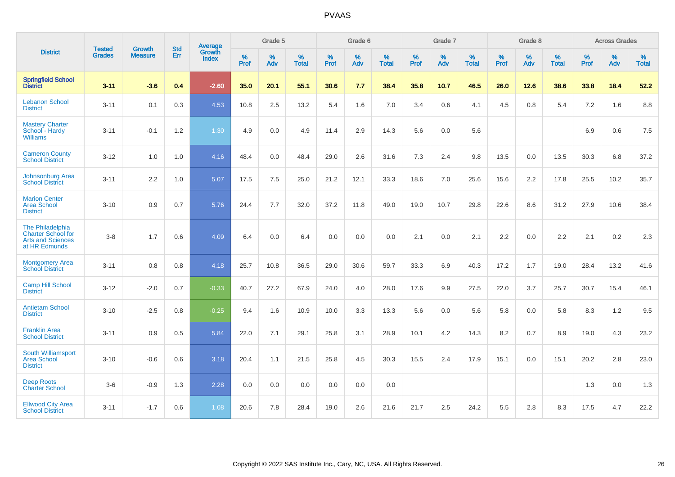|                                                                                            | <b>Tested</b> | <b>Growth</b>    | <b>Std</b> | Average                |                     | Grade 5  |                   |                     | Grade 6  |                   |              | Grade 7  |                   |                     | Grade 8  |                   |                     | <b>Across Grades</b> |                   |
|--------------------------------------------------------------------------------------------|---------------|------------------|------------|------------------------|---------------------|----------|-------------------|---------------------|----------|-------------------|--------------|----------|-------------------|---------------------|----------|-------------------|---------------------|----------------------|-------------------|
| <b>District</b>                                                                            | <b>Grades</b> | <b>Measure</b>   | <b>Err</b> | Growth<br><b>Index</b> | $\%$<br><b>Prof</b> | %<br>Adv | %<br><b>Total</b> | $\%$<br><b>Prof</b> | %<br>Adv | %<br><b>Total</b> | $\%$<br>Prof | %<br>Adv | %<br><b>Total</b> | $\%$<br><b>Prof</b> | %<br>Adv | %<br><b>Total</b> | $\%$<br><b>Prof</b> | %<br>Adv             | %<br><b>Total</b> |
| <b>Springfield School</b><br><b>District</b>                                               | $3 - 11$      | $-3.6$           | 0.4        | $-2.60$                | 35.0                | 20.1     | 55.1              | 30.6                | 7.7      | 38.4              | 35.8         | 10.7     | 46.5              | 26.0                | 12.6     | 38.6              | 33.8                | 18.4                 | 52.2              |
| <b>Lebanon School</b><br><b>District</b>                                                   | $3 - 11$      | 0.1              | 0.3        | 4.53                   | 10.8                | 2.5      | 13.2              | 5.4                 | 1.6      | 7.0               | 3.4          | 0.6      | 4.1               | 4.5                 | 0.8      | 5.4               | 7.2                 | 1.6                  | 8.8               |
| <b>Mastery Charter</b><br>School - Hardy<br><b>Williams</b>                                | $3 - 11$      | $-0.1$           | 1.2        | 1.30                   | 4.9                 | 0.0      | 4.9               | 11.4                | 2.9      | 14.3              | 5.6          | 0.0      | 5.6               |                     |          |                   | 6.9                 | 0.6                  | 7.5               |
| <b>Cameron County</b><br><b>School District</b>                                            | $3 - 12$      | 1.0              | 1.0        | 4.16                   | 48.4                | 0.0      | 48.4              | 29.0                | 2.6      | 31.6              | 7.3          | 2.4      | 9.8               | 13.5                | $0.0\,$  | 13.5              | 30.3                | 6.8                  | 37.2              |
| Johnsonburg Area<br><b>School District</b>                                                 | $3 - 11$      | $2.2\phantom{0}$ | 1.0        | 5.07                   | 17.5                | 7.5      | 25.0              | 21.2                | 12.1     | 33.3              | 18.6         | 7.0      | 25.6              | 15.6                | 2.2      | 17.8              | 25.5                | 10.2                 | 35.7              |
| <b>Marion Center</b><br><b>Area School</b><br><b>District</b>                              | $3 - 10$      | 0.9              | 0.7        | 5.76                   | 24.4                | 7.7      | 32.0              | 37.2                | 11.8     | 49.0              | 19.0         | 10.7     | 29.8              | 22.6                | 8.6      | 31.2              | 27.9                | 10.6                 | 38.4              |
| The Philadelphia<br><b>Charter School for</b><br><b>Arts and Sciences</b><br>at HR Edmunds | $3 - 8$       | 1.7              | 0.6        | 4.09                   | 6.4                 | 0.0      | 6.4               | 0.0                 | 0.0      | 0.0               | 2.1          | 0.0      | 2.1               | 2.2                 | 0.0      | 2.2               | 2.1                 | 0.2                  | 2.3               |
| <b>Montgomery Area</b><br><b>School District</b>                                           | $3 - 11$      | 0.8              | 0.8        | 4.18                   | 25.7                | 10.8     | 36.5              | 29.0                | 30.6     | 59.7              | 33.3         | 6.9      | 40.3              | 17.2                | 1.7      | 19.0              | 28.4                | 13.2                 | 41.6              |
| <b>Camp Hill School</b><br><b>District</b>                                                 | $3 - 12$      | $-2.0$           | 0.7        | $-0.33$                | 40.7                | 27.2     | 67.9              | 24.0                | 4.0      | 28.0              | 17.6         | 9.9      | 27.5              | 22.0                | 3.7      | 25.7              | 30.7                | 15.4                 | 46.1              |
| <b>Antietam School</b><br><b>District</b>                                                  | $3 - 10$      | $-2.5$           | 0.8        | $-0.25$                | 9.4                 | 1.6      | 10.9              | 10.0                | 3.3      | 13.3              | 5.6          | 0.0      | 5.6               | 5.8                 | 0.0      | 5.8               | 8.3                 | 1.2                  | 9.5               |
| <b>Franklin Area</b><br><b>School District</b>                                             | $3 - 11$      | 0.9              | 0.5        | 5.84                   | 22.0                | 7.1      | 29.1              | 25.8                | 3.1      | 28.9              | 10.1         | 4.2      | 14.3              | 8.2                 | 0.7      | 8.9               | 19.0                | 4.3                  | 23.2              |
| South Williamsport<br><b>Area School</b><br><b>District</b>                                | $3 - 10$      | $-0.6$           | 0.6        | 3.18                   | 20.4                | 1.1      | 21.5              | 25.8                | 4.5      | 30.3              | 15.5         | 2.4      | 17.9              | 15.1                | 0.0      | 15.1              | 20.2                | 2.8                  | 23.0              |
| <b>Deep Roots</b><br><b>Charter School</b>                                                 | $3-6$         | $-0.9$           | 1.3        | 2.28                   | 0.0                 | 0.0      | 0.0               | 0.0                 | 0.0      | 0.0               |              |          |                   |                     |          |                   | 1.3                 | 0.0                  | 1.3               |
| <b>Ellwood City Area</b><br><b>School District</b>                                         | $3 - 11$      | $-1.7$           | 0.6        | 1.08                   | 20.6                | 7.8      | 28.4              | 19.0                | 2.6      | 21.6              | 21.7         | 2.5      | 24.2              | 5.5                 | 2.8      | 8.3               | 17.5                | 4.7                  | 22.2              |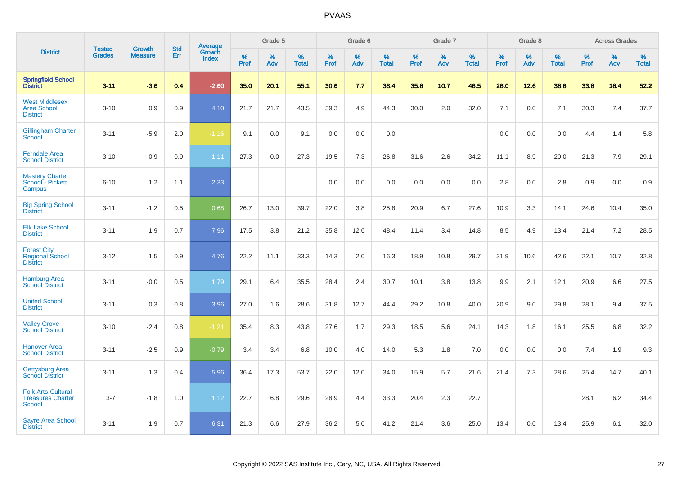|                                                                 |                                |                                 | <b>Std</b> | Average                |                     | Grade 5  |                   |                  | Grade 6  |                   |           | Grade 7  |                   |              | Grade 8  |                   |              | <b>Across Grades</b> |                   |
|-----------------------------------------------------------------|--------------------------------|---------------------------------|------------|------------------------|---------------------|----------|-------------------|------------------|----------|-------------------|-----------|----------|-------------------|--------------|----------|-------------------|--------------|----------------------|-------------------|
| <b>District</b>                                                 | <b>Tested</b><br><b>Grades</b> | <b>Growth</b><br><b>Measure</b> | Err        | Growth<br><b>Index</b> | $\%$<br><b>Prof</b> | %<br>Adv | %<br><b>Total</b> | %<br><b>Prof</b> | %<br>Adv | %<br><b>Total</b> | %<br>Prof | %<br>Adv | %<br><b>Total</b> | $\%$<br>Prof | %<br>Adv | %<br><b>Total</b> | $\%$<br>Prof | $\%$<br>Adv          | %<br><b>Total</b> |
| <b>Springfield School</b><br>District                           | $3 - 11$                       | $-3.6$                          | 0.4        | $-2.60$                | 35.0                | 20.1     | 55.1              | 30.6             | 7.7      | 38.4              | 35.8      | 10.7     | 46.5              | 26.0         | 12.6     | 38.6              | 33.8         | 18.4                 | 52.2              |
| <b>West Middlesex</b><br><b>Area School</b><br><b>District</b>  | $3 - 10$                       | 0.9                             | 0.9        | 4.10                   | 21.7                | 21.7     | 43.5              | 39.3             | 4.9      | 44.3              | 30.0      | 2.0      | 32.0              | 7.1          | 0.0      | 7.1               | 30.3         | 7.4                  | 37.7              |
| <b>Gillingham Charter</b><br>School                             | $3 - 11$                       | $-5.9$                          | 2.0        | $-1.16$                | 9.1                 | 0.0      | 9.1               | 0.0              | 0.0      | 0.0               |           |          |                   | 0.0          | 0.0      | 0.0               | 4.4          | 1.4                  | 5.8               |
| <b>Ferndale Area</b><br><b>School District</b>                  | $3 - 10$                       | $-0.9$                          | 0.9        | 1.11                   | 27.3                | 0.0      | 27.3              | 19.5             | 7.3      | 26.8              | 31.6      | 2.6      | 34.2              | 11.1         | 8.9      | 20.0              | 21.3         | 7.9                  | 29.1              |
| <b>Mastery Charter</b><br>School - Pickett<br>Campus            | $6 - 10$                       | 1.2                             | 1.1        | 2.33                   |                     |          |                   | 0.0              | 0.0      | 0.0               | 0.0       | 0.0      | 0.0               | 2.8          | 0.0      | 2.8               | 0.9          | 0.0                  | 0.9               |
| <b>Big Spring School</b><br><b>District</b>                     | $3 - 11$                       | $-1.2$                          | 0.5        | 0.68                   | 26.7                | 13.0     | 39.7              | 22.0             | 3.8      | 25.8              | 20.9      | 6.7      | 27.6              | 10.9         | 3.3      | 14.1              | 24.6         | 10.4                 | 35.0              |
| <b>Elk Lake School</b><br><b>District</b>                       | $3 - 11$                       | 1.9                             | 0.7        | 7.96                   | 17.5                | 3.8      | 21.2              | 35.8             | 12.6     | 48.4              | 11.4      | 3.4      | 14.8              | 8.5          | 4.9      | 13.4              | 21.4         | 7.2                  | 28.5              |
| <b>Forest City</b><br><b>Regional School</b><br><b>District</b> | $3 - 12$                       | 1.5                             | 0.9        | 4.76                   | 22.2                | 11.1     | 33.3              | 14.3             | 2.0      | 16.3              | 18.9      | 10.8     | 29.7              | 31.9         | 10.6     | 42.6              | 22.1         | 10.7                 | 32.8              |
| <b>Hamburg Area</b><br><b>School District</b>                   | $3 - 11$                       | $-0.0$                          | 0.5        | 1.79                   | 29.1                | 6.4      | 35.5              | 28.4             | 2.4      | 30.7              | 10.1      | 3.8      | 13.8              | 9.9          | 2.1      | 12.1              | 20.9         | 6.6                  | 27.5              |
| <b>United School</b><br><b>District</b>                         | $3 - 11$                       | 0.3                             | 0.8        | 3.96                   | 27.0                | 1.6      | 28.6              | 31.8             | 12.7     | 44.4              | 29.2      | 10.8     | 40.0              | 20.9         | 9.0      | 29.8              | 28.1         | 9.4                  | 37.5              |
| <b>Valley Grove</b><br><b>School District</b>                   | $3 - 10$                       | $-2.4$                          | 0.8        | $-1.21$                | 35.4                | 8.3      | 43.8              | 27.6             | 1.7      | 29.3              | 18.5      | 5.6      | 24.1              | 14.3         | 1.8      | 16.1              | 25.5         | 6.8                  | 32.2              |
| <b>Hanover Area</b><br><b>School District</b>                   | $3 - 11$                       | $-2.5$                          | 0.9        | $-0.79$                | 3.4                 | 3.4      | 6.8               | 10.0             | 4.0      | 14.0              | 5.3       | 1.8      | 7.0               | 0.0          | 0.0      | 0.0               | 7.4          | 1.9                  | 9.3               |
| <b>Gettysburg Area</b><br><b>School District</b>                | $3 - 11$                       | 1.3                             | 0.4        | 5.96                   | 36.4                | 17.3     | 53.7              | 22.0             | 12.0     | 34.0              | 15.9      | 5.7      | 21.6              | 21.4         | 7.3      | 28.6              | 25.4         | 14.7                 | 40.1              |
| <b>Folk Arts-Cultural</b><br><b>Treasures Charter</b><br>School | $3 - 7$                        | $-1.8$                          | 1.0        | 1.12                   | 22.7                | 6.8      | 29.6              | 28.9             | 4.4      | 33.3              | 20.4      | 2.3      | 22.7              |              |          |                   | 28.1         | 6.2                  | 34.4              |
| <b>Sayre Area School</b><br><b>District</b>                     | $3 - 11$                       | 1.9                             | 0.7        | 6.31                   | 21.3                | 6.6      | 27.9              | 36.2             | 5.0      | 41.2              | 21.4      | 3.6      | 25.0              | 13.4         | 0.0      | 13.4              | 25.9         | 6.1                  | 32.0              |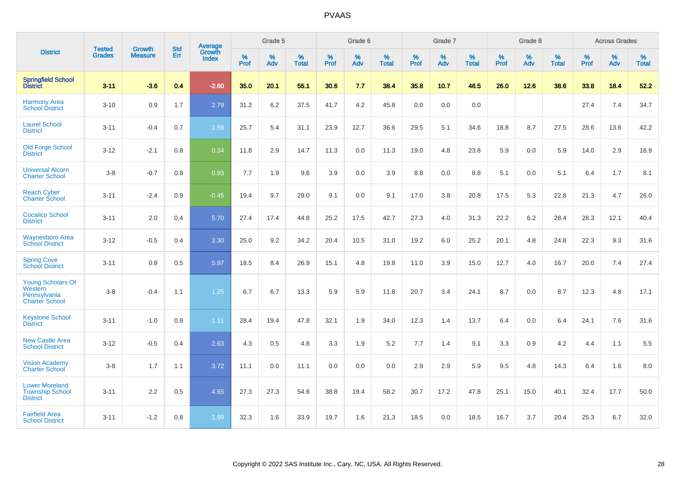|                                                                              |                                |                                 | <b>Std</b> | Average                       |           | Grade 5  |                   |           | Grade 6  |                   |           | Grade 7  |                   |           | Grade 8  |                   |           | <b>Across Grades</b> |                   |
|------------------------------------------------------------------------------|--------------------------------|---------------------------------|------------|-------------------------------|-----------|----------|-------------------|-----------|----------|-------------------|-----------|----------|-------------------|-----------|----------|-------------------|-----------|----------------------|-------------------|
| <b>District</b>                                                              | <b>Tested</b><br><b>Grades</b> | <b>Growth</b><br><b>Measure</b> | Err        | <b>Growth</b><br><b>Index</b> | %<br>Prof | %<br>Adv | %<br><b>Total</b> | %<br>Prof | %<br>Adv | %<br><b>Total</b> | %<br>Prof | %<br>Adv | %<br><b>Total</b> | %<br>Prof | %<br>Adv | %<br><b>Total</b> | %<br>Prof | %<br>Adv             | %<br><b>Total</b> |
| <b>Springfield School</b><br><b>District</b>                                 | $3 - 11$                       | $-3.6$                          | 0.4        | $-2.60$                       | 35.0      | 20.1     | 55.1              | 30.6      | 7.7      | 38.4              | 35.8      | 10.7     | 46.5              | 26.0      | 12.6     | 38.6              | 33.8      | 18.4                 | 52.2              |
| <b>Harmony Area</b><br><b>School District</b>                                | $3 - 10$                       | 0.9                             | 1.7        | 2.79                          | 31.2      | 6.2      | 37.5              | 41.7      | 4.2      | 45.8              | 0.0       | 0.0      | 0.0               |           |          |                   | 27.4      | 7.4                  | 34.7              |
| <b>Laurel School</b><br><b>District</b>                                      | $3 - 11$                       | $-0.4$                          | 0.7        | 1.59                          | 25.7      | 5.4      | 31.1              | 23.9      | 12.7     | 36.6              | 29.5      | 5.1      | 34.6              | 18.8      | 8.7      | 27.5              | 28.6      | 13.6                 | 42.2              |
| <b>Old Forge School</b><br><b>District</b>                                   | $3 - 12$                       | $-2.1$                          | 0.8        | 0.34                          | 11.8      | 2.9      | 14.7              | 11.3      | 0.0      | 11.3              | 19.0      | 4.8      | 23.8              | 5.9       | 0.0      | 5.9               | 14.0      | 2.9                  | 16.9              |
| <b>Universal Alcorn</b><br><b>Charter School</b>                             | $3 - 8$                        | $-0.7$                          | 0.8        | 0.93                          | 7.7       | 1.9      | 9.6               | 3.9       | 0.0      | 3.9               | 8.8       | 0.0      | 8.8               | 5.1       | 0.0      | 5.1               | 6.4       | 1.7                  | 8.1               |
| <b>Reach Cyber</b><br><b>Charter School</b>                                  | $3 - 11$                       | $-2.4$                          | 0.9        | $-0.45$                       | 19.4      | 9.7      | 29.0              | 9.1       | 0.0      | 9.1               | 17.0      | 3.8      | 20.8              | 17.5      | 5.3      | 22.8              | 21.3      | 4.7                  | 26.0              |
| <b>Cocalico School</b><br><b>District</b>                                    | $3 - 11$                       | 2.0                             | 0.4        | 5.70                          | 27.4      | 17.4     | 44.8              | 25.2      | 17.5     | 42.7              | 27.3      | 4.0      | 31.3              | 22.2      | $6.2\,$  | 28.4              | 28.3      | 12.1                 | 40.4              |
| <b>Waynesboro Area</b><br><b>School District</b>                             | $3 - 12$                       | $-0.5$                          | 0.4        | 2.30                          | 25.0      | 9.2      | 34.2              | 20.4      | 10.5     | 31.0              | 19.2      | 6.0      | 25.2              | 20.1      | 4.8      | 24.8              | 22.3      | 9.3                  | 31.6              |
| <b>Spring Cove</b><br><b>School District</b>                                 | $3 - 11$                       | 0.9                             | 0.5        | 5.97                          | 18.5      | 8.4      | 26.9              | 15.1      | 4.8      | 19.8              | 11.0      | 3.9      | 15.0              | 12.7      | 4.0      | 16.7              | 20.0      | 7.4                  | 27.4              |
| <b>Young Scholars Of</b><br>Western<br>Pennsylvania<br><b>Charter School</b> | $3 - 8$                        | $-0.4$                          | 1.1        | 1.25                          | 6.7       | 6.7      | 13.3              | 5.9       | 5.9      | 11.8              | 20.7      | 3.4      | 24.1              | 8.7       | 0.0      | 8.7               | 12.3      | 4.8                  | 17.1              |
| <b>Keystone School</b><br><b>District</b>                                    | $3 - 11$                       | $-1.0$                          | 0.8        | 1.11                          | 28.4      | 19.4     | 47.8              | 32.1      | 1.9      | 34.0              | 12.3      | 1.4      | 13.7              | 6.4       | 0.0      | 6.4               | 24.1      | 7.6                  | 31.6              |
| <b>New Castle Area</b><br><b>School District</b>                             | $3 - 12$                       | $-0.5$                          | 0.4        | 2.63                          | 4.3       | 0.5      | 4.8               | 3.3       | 1.9      | 5.2               | 7.7       | 1.4      | 9.1               | 3.3       | 0.9      | 4.2               | 4.4       | 1.1                  | 5.5               |
| <b>Vision Academy</b><br>Charter School                                      | $3 - 8$                        | 1.7                             | 1.1        | 3.72                          | 11.1      | 0.0      | 11.1              | 0.0       | 0.0      | 0.0               | 2.9       | 2.9      | 5.9               | 9.5       | 4.8      | 14.3              | 6.4       | 1.6                  | 8.0               |
| <b>Lower Moreland</b><br><b>Township School</b><br><b>District</b>           | $3 - 11$                       | 2.2                             | 0.5        | 4.65                          | 27.3      | 27.3     | 54.6              | 38.8      | 19.4     | 58.2              | 30.7      | 17.2     | 47.8              | 25.1      | 15.0     | 40.1              | 32.4      | 17.7                 | 50.0              |
| <b>Fairfield Area</b><br><b>School District</b>                              | $3 - 11$                       | $-1.2$                          | 0.8        | 1.99                          | 32.3      | 1.6      | 33.9              | 19.7      | 1.6      | 21.3              | 18.5      | 0.0      | 18.5              | 16.7      | 3.7      | 20.4              | 25.3      | 6.7                  | 32.0              |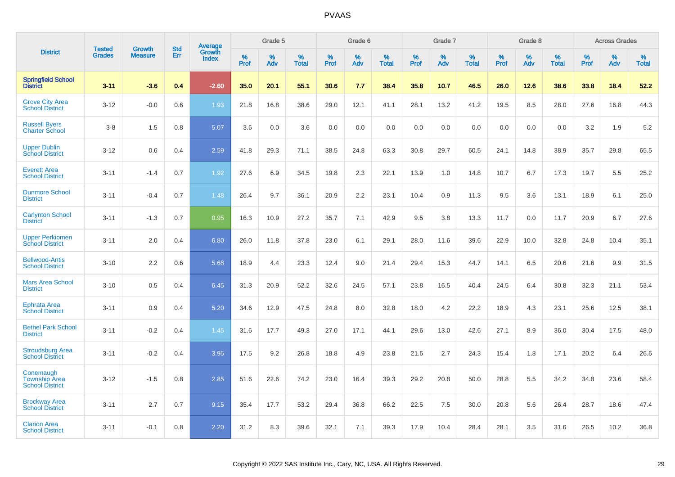|                                                             | <b>Tested</b> | <b>Growth</b>  | <b>Std</b> | <b>Average</b><br>Growth |                     | Grade 5  |                      |              | Grade 6  |                      |              | Grade 7  |                      |              | Grade 8  |                      |                     | <b>Across Grades</b> |                      |
|-------------------------------------------------------------|---------------|----------------|------------|--------------------------|---------------------|----------|----------------------|--------------|----------|----------------------|--------------|----------|----------------------|--------------|----------|----------------------|---------------------|----------------------|----------------------|
| <b>District</b>                                             | <b>Grades</b> | <b>Measure</b> | Err        | <b>Index</b>             | $\%$<br><b>Prof</b> | %<br>Adv | $\%$<br><b>Total</b> | $\%$<br>Prof | %<br>Adv | $\%$<br><b>Total</b> | $\%$<br>Prof | %<br>Adv | $\%$<br><b>Total</b> | $\%$<br>Prof | %<br>Adv | $\%$<br><b>Total</b> | $\%$<br><b>Prof</b> | $\%$<br>Adv          | $\%$<br><b>Total</b> |
| <b>Springfield School</b><br><b>District</b>                | $3 - 11$      | $-3.6$         | 0.4        | $-2.60$                  | 35.0                | 20.1     | 55.1                 | 30.6         | 7.7      | 38.4                 | 35.8         | 10.7     | 46.5                 | 26.0         | 12.6     | 38.6                 | 33.8                | 18.4                 | 52.2                 |
| <b>Grove City Area</b><br><b>School District</b>            | $3 - 12$      | $-0.0$         | 0.6        | 1.93                     | 21.8                | 16.8     | 38.6                 | 29.0         | 12.1     | 41.1                 | 28.1         | 13.2     | 41.2                 | 19.5         | 8.5      | 28.0                 | 27.6                | 16.8                 | 44.3                 |
| <b>Russell Byers</b><br><b>Charter School</b>               | $3 - 8$       | 1.5            | 0.8        | 5.07                     | 3.6                 | 0.0      | 3.6                  | 0.0          | 0.0      | 0.0                  | 0.0          | 0.0      | 0.0                  | 0.0          | 0.0      | 0.0                  | 3.2                 | 1.9                  | 5.2                  |
| <b>Upper Dublin</b><br><b>School District</b>               | $3 - 12$      | 0.6            | 0.4        | 2.59                     | 41.8                | 29.3     | 71.1                 | 38.5         | 24.8     | 63.3                 | 30.8         | 29.7     | 60.5                 | 24.1         | 14.8     | 38.9                 | 35.7                | 29.8                 | 65.5                 |
| <b>Everett Area</b><br><b>School District</b>               | $3 - 11$      | $-1.4$         | 0.7        | 1.92                     | 27.6                | 6.9      | 34.5                 | 19.8         | 2.3      | 22.1                 | 13.9         | 1.0      | 14.8                 | 10.7         | 6.7      | 17.3                 | 19.7                | 5.5                  | 25.2                 |
| <b>Dunmore School</b><br><b>District</b>                    | $3 - 11$      | $-0.4$         | 0.7        | 1.48                     | 26.4                | 9.7      | 36.1                 | 20.9         | 2.2      | 23.1                 | 10.4         | 0.9      | 11.3                 | 9.5          | 3.6      | 13.1                 | 18.9                | 6.1                  | 25.0                 |
| <b>Carlynton School</b><br><b>District</b>                  | $3 - 11$      | $-1.3$         | 0.7        | 0.95                     | 16.3                | 10.9     | 27.2                 | 35.7         | 7.1      | 42.9                 | 9.5          | 3.8      | 13.3                 | 11.7         | 0.0      | 11.7                 | 20.9                | 6.7                  | 27.6                 |
| <b>Upper Perkiomen</b><br><b>School District</b>            | $3 - 11$      | 2.0            | 0.4        | 6.80                     | 26.0                | 11.8     | 37.8                 | 23.0         | 6.1      | 29.1                 | 28.0         | 11.6     | 39.6                 | 22.9         | 10.0     | 32.8                 | 24.8                | 10.4                 | 35.1                 |
| <b>Bellwood-Antis</b><br><b>School District</b>             | $3 - 10$      | 2.2            | 0.6        | 5.68                     | 18.9                | 4.4      | 23.3                 | 12.4         | 9.0      | 21.4                 | 29.4         | 15.3     | 44.7                 | 14.1         | 6.5      | 20.6                 | 21.6                | 9.9                  | 31.5                 |
| <b>Mars Area School</b><br><b>District</b>                  | $3 - 10$      | 0.5            | 0.4        | 6.45                     | 31.3                | 20.9     | 52.2                 | 32.6         | 24.5     | 57.1                 | 23.8         | 16.5     | 40.4                 | 24.5         | 6.4      | 30.8                 | 32.3                | 21.1                 | 53.4                 |
| <b>Ephrata Area</b><br><b>School District</b>               | $3 - 11$      | 0.9            | 0.4        | 5.20                     | 34.6                | 12.9     | 47.5                 | 24.8         | 8.0      | 32.8                 | 18.0         | 4.2      | 22.2                 | 18.9         | 4.3      | 23.1                 | 25.6                | 12.5                 | 38.1                 |
| <b>Bethel Park School</b><br><b>District</b>                | $3 - 11$      | $-0.2$         | 0.4        | 1.45                     | 31.6                | 17.7     | 49.3                 | 27.0         | 17.1     | 44.1                 | 29.6         | 13.0     | 42.6                 | 27.1         | 8.9      | 36.0                 | 30.4                | 17.5                 | 48.0                 |
| <b>Stroudsburg Area</b><br><b>School District</b>           | $3 - 11$      | $-0.2$         | 0.4        | 3.95                     | 17.5                | 9.2      | 26.8                 | 18.8         | 4.9      | 23.8                 | 21.6         | 2.7      | 24.3                 | 15.4         | 1.8      | 17.1                 | 20.2                | 6.4                  | 26.6                 |
| Conemaugh<br><b>Township Area</b><br><b>School District</b> | $3 - 12$      | $-1.5$         | 0.8        | 2.85                     | 51.6                | 22.6     | 74.2                 | 23.0         | 16.4     | 39.3                 | 29.2         | 20.8     | 50.0                 | 28.8         | 5.5      | 34.2                 | 34.8                | 23.6                 | 58.4                 |
| <b>Brockway Area</b><br><b>School District</b>              | $3 - 11$      | 2.7            | 0.7        | 9.15                     | 35.4                | 17.7     | 53.2                 | 29.4         | 36.8     | 66.2                 | 22.5         | 7.5      | 30.0                 | 20.8         | 5.6      | 26.4                 | 28.7                | 18.6                 | 47.4                 |
| <b>Clarion Area</b><br><b>School District</b>               | $3 - 11$      | $-0.1$         | 0.8        | 2.20                     | 31.2                | 8.3      | 39.6                 | 32.1         | 7.1      | 39.3                 | 17.9         | 10.4     | 28.4                 | 28.1         | 3.5      | 31.6                 | 26.5                | 10.2                 | 36.8                 |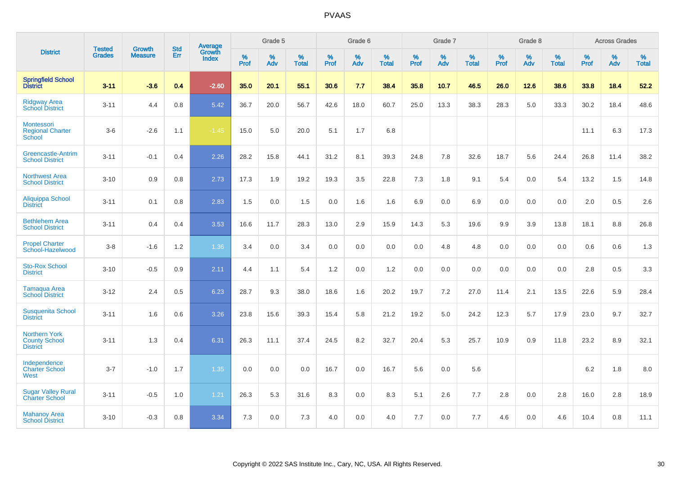|                                                                 | <b>Tested</b> | <b>Growth</b>  | <b>Std</b> | Average                       |              | Grade 5  |                   |           | Grade 6  |                   |           | Grade 7  |                   |           | Grade 8  |                   |           | <b>Across Grades</b> |                   |
|-----------------------------------------------------------------|---------------|----------------|------------|-------------------------------|--------------|----------|-------------------|-----------|----------|-------------------|-----------|----------|-------------------|-----------|----------|-------------------|-----------|----------------------|-------------------|
| <b>District</b>                                                 | <b>Grades</b> | <b>Measure</b> | Err        | <b>Growth</b><br><b>Index</b> | $\%$<br>Prof | %<br>Adv | %<br><b>Total</b> | %<br>Prof | %<br>Adv | %<br><b>Total</b> | %<br>Prof | %<br>Adv | %<br><b>Total</b> | %<br>Prof | %<br>Adv | %<br><b>Total</b> | %<br>Prof | %<br>Adv             | %<br><b>Total</b> |
| <b>Springfield School</b><br><b>District</b>                    | $3 - 11$      | $-3.6$         | 0.4        | $-2.60$                       | 35.0         | 20.1     | 55.1              | 30.6      | 7.7      | 38.4              | 35.8      | 10.7     | 46.5              | 26.0      | 12.6     | 38.6              | 33.8      | 18.4                 | 52.2              |
| <b>Ridgway Area</b><br><b>School District</b>                   | $3 - 11$      | 4.4            | 0.8        | 5.42                          | 36.7         | 20.0     | 56.7              | 42.6      | 18.0     | 60.7              | 25.0      | 13.3     | 38.3              | 28.3      | 5.0      | 33.3              | 30.2      | 18.4                 | 48.6              |
| Montessori<br><b>Regional Charter</b><br>School                 | $3-6$         | $-2.6$         | 1.1        | $-1.45$                       | 15.0         | 5.0      | 20.0              | 5.1       | 1.7      | 6.8               |           |          |                   |           |          |                   | 11.1      | 6.3                  | 17.3              |
| <b>Greencastle-Antrim</b><br><b>School District</b>             | $3 - 11$      | $-0.1$         | 0.4        | 2.26                          | 28.2         | 15.8     | 44.1              | 31.2      | 8.1      | 39.3              | 24.8      | 7.8      | 32.6              | 18.7      | 5.6      | 24.4              | 26.8      | 11.4                 | 38.2              |
| <b>Northwest Area</b><br><b>School District</b>                 | $3 - 10$      | 0.9            | 0.8        | 2.73                          | 17.3         | 1.9      | 19.2              | 19.3      | 3.5      | 22.8              | 7.3       | 1.8      | 9.1               | 5.4       | 0.0      | 5.4               | 13.2      | 1.5                  | 14.8              |
| <b>Aliquippa School</b><br><b>District</b>                      | $3 - 11$      | 0.1            | 0.8        | 2.83                          | 1.5          | 0.0      | 1.5               | 0.0       | 1.6      | 1.6               | 6.9       | 0.0      | 6.9               | 0.0       | 0.0      | 0.0               | 2.0       | 0.5                  | 2.6               |
| <b>Bethlehem Area</b><br><b>School District</b>                 | $3 - 11$      | 0.4            | 0.4        | 3.53                          | 16.6         | 11.7     | 28.3              | 13.0      | 2.9      | 15.9              | 14.3      | 5.3      | 19.6              | 9.9       | 3.9      | 13.8              | 18.1      | 8.8                  | 26.8              |
| <b>Propel Charter</b><br>School-Hazelwood                       | $3 - 8$       | $-1.6$         | 1.2        | 1.36                          | 3.4          | 0.0      | 3.4               | 0.0       | 0.0      | 0.0               | 0.0       | 4.8      | 4.8               | 0.0       | 0.0      | 0.0               | 0.6       | 0.6                  | 1.3               |
| <b>Sto-Rox School</b><br><b>District</b>                        | $3 - 10$      | $-0.5$         | 0.9        | 2.11                          | 4.4          | 1.1      | 5.4               | 1.2       | 0.0      | 1.2               | 0.0       | 0.0      | 0.0               | 0.0       | 0.0      | 0.0               | 2.8       | 0.5                  | 3.3               |
| <b>Tamaqua Area</b><br><b>School District</b>                   | $3 - 12$      | 2.4            | 0.5        | 6.23                          | 28.7         | 9.3      | 38.0              | 18.6      | 1.6      | 20.2              | 19.7      | 7.2      | 27.0              | 11.4      | 2.1      | 13.5              | 22.6      | 5.9                  | 28.4              |
| <b>Susquenita School</b><br><b>District</b>                     | $3 - 11$      | 1.6            | 0.6        | 3.26                          | 23.8         | 15.6     | 39.3              | 15.4      | 5.8      | 21.2              | 19.2      | 5.0      | 24.2              | 12.3      | 5.7      | 17.9              | 23.0      | 9.7                  | 32.7              |
| <b>Northern York</b><br><b>County School</b><br><b>District</b> | $3 - 11$      | 1.3            | 0.4        | 6.31                          | 26.3         | 11.1     | 37.4              | 24.5      | 8.2      | 32.7              | 20.4      | 5.3      | 25.7              | 10.9      | 0.9      | 11.8              | 23.2      | 8.9                  | 32.1              |
| Independence<br><b>Charter School</b><br>West                   | $3 - 7$       | $-1.0$         | 1.7        | 1.35                          | 0.0          | 0.0      | 0.0               | 16.7      | 0.0      | 16.7              | 5.6       | 0.0      | 5.6               |           |          |                   | 6.2       | 1.8                  | 8.0               |
| <b>Sugar Valley Rural</b><br><b>Charter School</b>              | $3 - 11$      | $-0.5$         | 1.0        | 1.21                          | 26.3         | 5.3      | 31.6              | 8.3       | 0.0      | 8.3               | 5.1       | 2.6      | 7.7               | 2.8       | 0.0      | 2.8               | 16.0      | 2.8                  | 18.9              |
| <b>Mahanoy Area</b><br><b>School District</b>                   | $3 - 10$      | $-0.3$         | 0.8        | 3.34                          | 7.3          | 0.0      | 7.3               | 4.0       | 0.0      | 4.0               | 7.7       | 0.0      | 7.7               | 4.6       | 0.0      | 4.6               | 10.4      | 0.8                  | 11.1              |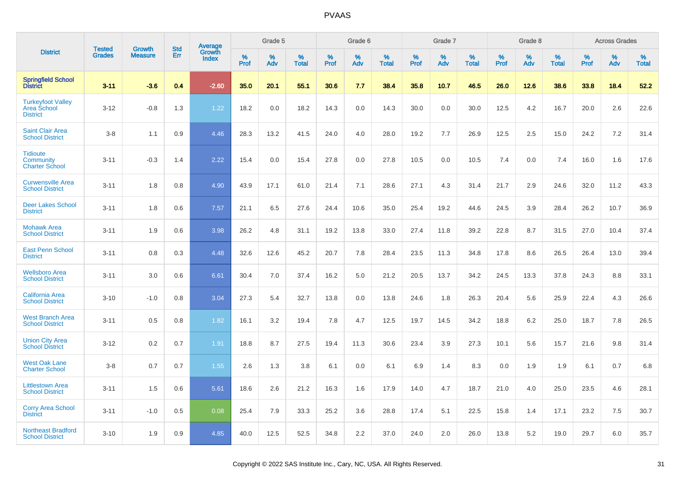|                                                                   |                                |                                 | <b>Std</b> |                                          |              | Grade 5  |                   |              | Grade 6  |                   |              | Grade 7  |                   |              | Grade 8  |                   |              | <b>Across Grades</b> |                   |
|-------------------------------------------------------------------|--------------------------------|---------------------------------|------------|------------------------------------------|--------------|----------|-------------------|--------------|----------|-------------------|--------------|----------|-------------------|--------------|----------|-------------------|--------------|----------------------|-------------------|
| <b>District</b>                                                   | <b>Tested</b><br><b>Grades</b> | <b>Growth</b><br><b>Measure</b> | Err        | <b>Average</b><br>Growth<br><b>Index</b> | $\%$<br>Prof | %<br>Adv | %<br><b>Total</b> | $\%$<br>Prof | %<br>Adv | %<br><b>Total</b> | $\%$<br>Prof | %<br>Adv | %<br><b>Total</b> | $\%$<br>Prof | %<br>Adv | %<br><b>Total</b> | $\%$<br>Prof | %<br>Adv             | %<br><b>Total</b> |
| <b>Springfield School</b><br><b>District</b>                      | $3 - 11$                       | $-3.6$                          | 0.4        | $-2.60$                                  | 35.0         | 20.1     | 55.1              | 30.6         | 7.7      | 38.4              | 35.8         | 10.7     | 46.5              | 26.0         | 12.6     | 38.6              | 33.8         | 18.4                 | 52.2              |
| <b>Turkeyfoot Valley</b><br><b>Area School</b><br><b>District</b> | $3 - 12$                       | $-0.8$                          | 1.3        | 1.22                                     | 18.2         | 0.0      | 18.2              | 14.3         | 0.0      | 14.3              | 30.0         | 0.0      | 30.0              | 12.5         | 4.2      | 16.7              | 20.0         | 2.6                  | 22.6              |
| <b>Saint Clair Area</b><br><b>School District</b>                 | $3 - 8$                        | 1.1                             | 0.9        | 4.46                                     | 28.3         | 13.2     | 41.5              | 24.0         | 4.0      | 28.0              | 19.2         | 7.7      | 26.9              | 12.5         | 2.5      | 15.0              | 24.2         | 7.2                  | 31.4              |
| <b>Tidioute</b><br>Community<br><b>Charter School</b>             | $3 - 11$                       | $-0.3$                          | 1.4        | 2.22                                     | 15.4         | 0.0      | 15.4              | 27.8         | 0.0      | 27.8              | 10.5         | 0.0      | 10.5              | 7.4          | 0.0      | 7.4               | 16.0         | 1.6                  | 17.6              |
| <b>Curwensville Area</b><br><b>School District</b>                | $3 - 11$                       | 1.8                             | 0.8        | 4.90                                     | 43.9         | 17.1     | 61.0              | 21.4         | 7.1      | 28.6              | 27.1         | 4.3      | 31.4              | 21.7         | 2.9      | 24.6              | 32.0         | 11.2                 | 43.3              |
| <b>Deer Lakes School</b><br><b>District</b>                       | $3 - 11$                       | 1.8                             | 0.6        | 7.57                                     | 21.1         | 6.5      | 27.6              | 24.4         | 10.6     | 35.0              | 25.4         | 19.2     | 44.6              | 24.5         | 3.9      | 28.4              | 26.2         | 10.7                 | 36.9              |
| <b>Mohawk Area</b><br><b>School District</b>                      | $3 - 11$                       | 1.9                             | 0.6        | 3.98                                     | 26.2         | 4.8      | 31.1              | 19.2         | 13.8     | 33.0              | 27.4         | 11.8     | 39.2              | 22.8         | 8.7      | 31.5              | 27.0         | 10.4                 | 37.4              |
| <b>East Penn School</b><br><b>District</b>                        | $3 - 11$                       | 0.8                             | 0.3        | 4.48                                     | 32.6         | 12.6     | 45.2              | 20.7         | 7.8      | 28.4              | 23.5         | 11.3     | 34.8              | 17.8         | 8.6      | 26.5              | 26.4         | 13.0                 | 39.4              |
| <b>Wellsboro Area</b><br><b>School District</b>                   | $3 - 11$                       | 3.0                             | 0.6        | 6.61                                     | 30.4         | 7.0      | 37.4              | 16.2         | 5.0      | 21.2              | 20.5         | 13.7     | 34.2              | 24.5         | 13.3     | 37.8              | 24.3         | 8.8                  | 33.1              |
| <b>California Area</b><br><b>School District</b>                  | $3 - 10$                       | $-1.0$                          | 0.8        | 3.04                                     | 27.3         | 5.4      | 32.7              | 13.8         | 0.0      | 13.8              | 24.6         | 1.8      | 26.3              | 20.4         | 5.6      | 25.9              | 22.4         | 4.3                  | 26.6              |
| <b>West Branch Area</b><br><b>School District</b>                 | $3 - 11$                       | 0.5                             | 0.8        | 1.82                                     | 16.1         | 3.2      | 19.4              | 7.8          | 4.7      | 12.5              | 19.7         | 14.5     | 34.2              | 18.8         | 6.2      | 25.0              | 18.7         | 7.8                  | 26.5              |
| <b>Union City Area</b><br><b>School District</b>                  | $3 - 12$                       | 0.2                             | 0.7        | 1.91                                     | 18.8         | 8.7      | 27.5              | 19.4         | 11.3     | 30.6              | 23.4         | 3.9      | 27.3              | 10.1         | 5.6      | 15.7              | 21.6         | 9.8                  | 31.4              |
| <b>West Oak Lane</b><br><b>Charter School</b>                     | $3 - 8$                        | 0.7                             | 0.7        | 1.55                                     | 2.6          | 1.3      | 3.8               | 6.1          | 0.0      | 6.1               | 6.9          | 1.4      | 8.3               | 0.0          | 1.9      | 1.9               | 6.1          | 0.7                  | 6.8               |
| <b>Littlestown Area</b><br><b>School District</b>                 | $3 - 11$                       | 1.5                             | 0.6        | 5.61                                     | 18.6         | 2.6      | 21.2              | 16.3         | 1.6      | 17.9              | 14.0         | 4.7      | 18.7              | 21.0         | 4.0      | 25.0              | 23.5         | 4.6                  | 28.1              |
| <b>Corry Area School</b><br><b>District</b>                       | $3 - 11$                       | $-1.0$                          | 0.5        | 0.08                                     | 25.4         | 7.9      | 33.3              | 25.2         | 3.6      | 28.8              | 17.4         | 5.1      | 22.5              | 15.8         | 1.4      | 17.1              | 23.2         | 7.5                  | 30.7              |
| <b>Northeast Bradford</b><br><b>School District</b>               | $3 - 10$                       | 1.9                             | 0.9        | 4.85                                     | 40.0         | 12.5     | 52.5              | 34.8         | 2.2      | 37.0              | 24.0         | 2.0      | 26.0              | 13.8         | 5.2      | 19.0              | 29.7         | 6.0                  | 35.7              |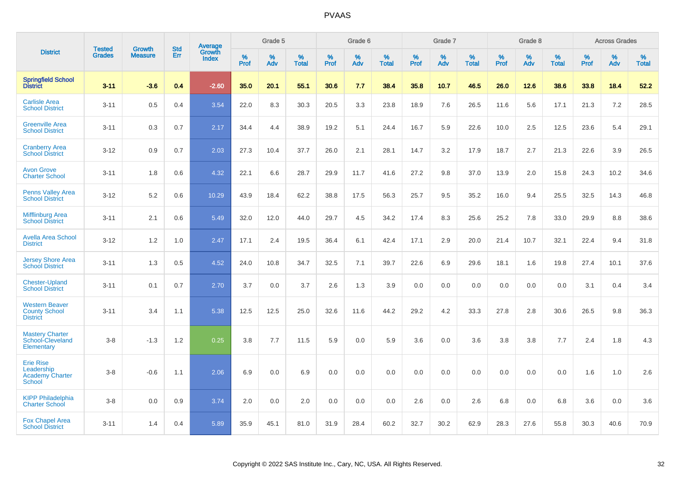|                                                                           | <b>Tested</b> | <b>Growth</b>  | <b>Std</b> |                                          |                     | Grade 5  |                   |                  | Grade 6  |                   |                  | Grade 7  |                   |           | Grade 8  |                   |                  | <b>Across Grades</b> |                   |
|---------------------------------------------------------------------------|---------------|----------------|------------|------------------------------------------|---------------------|----------|-------------------|------------------|----------|-------------------|------------------|----------|-------------------|-----------|----------|-------------------|------------------|----------------------|-------------------|
| <b>District</b>                                                           | <b>Grades</b> | <b>Measure</b> | Err        | <b>Average</b><br>Growth<br><b>Index</b> | $\%$<br><b>Prof</b> | %<br>Adv | %<br><b>Total</b> | %<br><b>Prof</b> | %<br>Adv | %<br><b>Total</b> | %<br><b>Prof</b> | %<br>Adv | %<br><b>Total</b> | %<br>Prof | %<br>Adv | %<br><b>Total</b> | %<br><b>Prof</b> | %<br>Adv             | %<br><b>Total</b> |
| <b>Springfield School</b><br>District                                     | $3 - 11$      | $-3.6$         | 0.4        | $-2.60$                                  | 35.0                | 20.1     | 55.1              | 30.6             | 7.7      | 38.4              | 35.8             | 10.7     | 46.5              | 26.0      | 12.6     | 38.6              | 33.8             | 18.4                 | 52.2              |
| <b>Carlisle Area</b><br><b>School District</b>                            | $3 - 11$      | 0.5            | 0.4        | 3.54                                     | 22.0                | 8.3      | 30.3              | 20.5             | 3.3      | 23.8              | 18.9             | 7.6      | 26.5              | 11.6      | 5.6      | 17.1              | 21.3             | 7.2                  | 28.5              |
| <b>Greenville Area</b><br><b>School District</b>                          | $3 - 11$      | 0.3            | 0.7        | 2.17                                     | 34.4                | 4.4      | 38.9              | 19.2             | 5.1      | 24.4              | 16.7             | 5.9      | 22.6              | 10.0      | 2.5      | 12.5              | 23.6             | 5.4                  | 29.1              |
| <b>Cranberry Area</b><br><b>School District</b>                           | $3 - 12$      | 0.9            | 0.7        | 2.03                                     | 27.3                | 10.4     | 37.7              | 26.0             | 2.1      | 28.1              | 14.7             | 3.2      | 17.9              | 18.7      | 2.7      | 21.3              | 22.6             | 3.9                  | 26.5              |
| <b>Avon Grove</b><br><b>Charter School</b>                                | $3 - 11$      | 1.8            | 0.6        | 4.32                                     | 22.1                | 6.6      | 28.7              | 29.9             | 11.7     | 41.6              | 27.2             | 9.8      | 37.0              | 13.9      | 2.0      | 15.8              | 24.3             | 10.2                 | 34.6              |
| <b>Penns Valley Area</b><br><b>School District</b>                        | $3-12$        | 5.2            | 0.6        | 10.29                                    | 43.9                | 18.4     | 62.2              | 38.8             | 17.5     | 56.3              | 25.7             | 9.5      | 35.2              | 16.0      | 9.4      | 25.5              | 32.5             | 14.3                 | 46.8              |
| <b>Mifflinburg Area</b><br><b>School District</b>                         | $3 - 11$      | 2.1            | 0.6        | 5.49                                     | 32.0                | 12.0     | 44.0              | 29.7             | 4.5      | 34.2              | 17.4             | 8.3      | 25.6              | 25.2      | 7.8      | 33.0              | 29.9             | 8.8                  | 38.6              |
| <b>Avella Area School</b><br><b>District</b>                              | $3 - 12$      | 1.2            | 1.0        | 2.47                                     | 17.1                | 2.4      | 19.5              | 36.4             | 6.1      | 42.4              | 17.1             | 2.9      | 20.0              | 21.4      | 10.7     | 32.1              | 22.4             | 9.4                  | 31.8              |
| <b>Jersey Shore Area</b><br><b>School District</b>                        | $3 - 11$      | 1.3            | 0.5        | 4.52                                     | 24.0                | 10.8     | 34.7              | 32.5             | 7.1      | 39.7              | 22.6             | 6.9      | 29.6              | 18.1      | 1.6      | 19.8              | 27.4             | 10.1                 | 37.6              |
| <b>Chester-Upland</b><br><b>School District</b>                           | $3 - 11$      | 0.1            | 0.7        | 2.70                                     | 3.7                 | 0.0      | 3.7               | 2.6              | 1.3      | 3.9               | 0.0              | 0.0      | 0.0               | 0.0       | 0.0      | 0.0               | 3.1              | 0.4                  | 3.4               |
| <b>Western Beaver</b><br><b>County School</b><br><b>District</b>          | $3 - 11$      | 3.4            | 1.1        | 5.38                                     | 12.5                | 12.5     | 25.0              | 32.6             | 11.6     | 44.2              | 29.2             | 4.2      | 33.3              | 27.8      | 2.8      | 30.6              | 26.5             | 9.8                  | 36.3              |
| <b>Mastery Charter</b><br>School-Cleveland<br>Elementary                  | $3-8$         | $-1.3$         | 1.2        | 0.25                                     | 3.8                 | 7.7      | 11.5              | 5.9              | 0.0      | 5.9               | 3.6              | 0.0      | 3.6               | 3.8       | 3.8      | 7.7               | 2.4              | 1.8                  | 4.3               |
| <b>Erie Rise</b><br>Leadership<br><b>Academy Charter</b><br><b>School</b> | $3-8$         | $-0.6$         | 1.1        | 2.06                                     | 6.9                 | 0.0      | 6.9               | 0.0              | 0.0      | 0.0               | 0.0              | 0.0      | 0.0               | 0.0       | 0.0      | 0.0               | 1.6              | 1.0                  | 2.6               |
| <b>KIPP Philadelphia</b><br><b>Charter School</b>                         | $3 - 8$       | 0.0            | 0.9        | 3.74                                     | 2.0                 | 0.0      | 2.0               | 0.0              | 0.0      | 0.0               | 2.6              | 0.0      | 2.6               | 6.8       | 0.0      | 6.8               | 3.6              | 0.0                  | 3.6               |
| <b>Fox Chapel Area</b><br><b>School District</b>                          | $3 - 11$      | 1.4            | 0.4        | 5.89                                     | 35.9                | 45.1     | 81.0              | 31.9             | 28.4     | 60.2              | 32.7             | 30.2     | 62.9              | 28.3      | 27.6     | 55.8              | 30.3             | 40.6                 | 70.9              |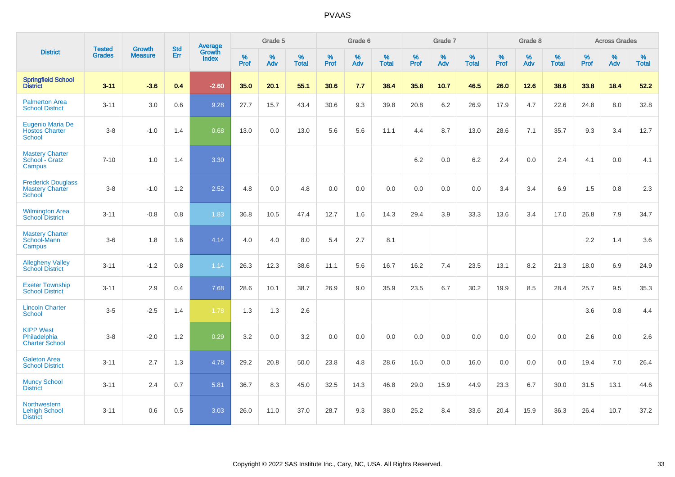|                                                                      | <b>Tested</b> | <b>Growth</b>  | <b>Std</b> | Average                |                     | Grade 5  |                   |              | Grade 6  |                   |              | Grade 7  |                   |              | Grade 8  |                   |              | <b>Across Grades</b> |                   |
|----------------------------------------------------------------------|---------------|----------------|------------|------------------------|---------------------|----------|-------------------|--------------|----------|-------------------|--------------|----------|-------------------|--------------|----------|-------------------|--------------|----------------------|-------------------|
| <b>District</b>                                                      | <b>Grades</b> | <b>Measure</b> | Err        | Growth<br><b>Index</b> | $\%$<br><b>Prof</b> | %<br>Adv | %<br><b>Total</b> | $\%$<br>Prof | %<br>Adv | %<br><b>Total</b> | $\%$<br>Prof | %<br>Adv | %<br><b>Total</b> | $\%$<br>Prof | %<br>Adv | %<br><b>Total</b> | $\%$<br>Prof | %<br>Adv             | %<br><b>Total</b> |
| <b>Springfield School</b><br>District                                | $3 - 11$      | $-3.6$         | 0.4        | $-2.60$                | 35.0                | 20.1     | 55.1              | 30.6         | 7.7      | 38.4              | 35.8         | 10.7     | 46.5              | 26.0         | 12.6     | 38.6              | 33.8         | 18.4                 | 52.2              |
| <b>Palmerton Area</b><br><b>School District</b>                      | $3 - 11$      | 3.0            | 0.6        | 9.28                   | 27.7                | 15.7     | 43.4              | 30.6         | 9.3      | 39.8              | 20.8         | 6.2      | 26.9              | 17.9         | 4.7      | 22.6              | 24.8         | 8.0                  | 32.8              |
| Eugenio Maria De<br><b>Hostos Charter</b><br><b>School</b>           | $3-8$         | $-1.0$         | 1.4        | 0.68                   | 13.0                | 0.0      | 13.0              | 5.6          | 5.6      | 11.1              | 4.4          | 8.7      | 13.0              | 28.6         | 7.1      | 35.7              | 9.3          | 3.4                  | 12.7              |
| <b>Mastery Charter</b><br>School - Gratz<br>Campus                   | $7 - 10$      | 1.0            | 1.4        | 3.30                   |                     |          |                   |              |          |                   | 6.2          | $0.0\,$  | $6.2\,$           | 2.4          | $0.0\,$  | 2.4               | 4.1          | $0.0\,$              | 4.1               |
| <b>Frederick Douglass</b><br><b>Mastery Charter</b><br><b>School</b> | $3-8$         | $-1.0$         | 1.2        | 2.52                   | 4.8                 | 0.0      | 4.8               | 0.0          | 0.0      | 0.0               | 0.0          | 0.0      | 0.0               | 3.4          | 3.4      | 6.9               | 1.5          | 0.8                  | 2.3               |
| <b>Wilmington Area</b><br><b>School District</b>                     | $3 - 11$      | $-0.8$         | 0.8        | 1.83                   | 36.8                | 10.5     | 47.4              | 12.7         | 1.6      | 14.3              | 29.4         | 3.9      | 33.3              | 13.6         | 3.4      | 17.0              | 26.8         | 7.9                  | 34.7              |
| <b>Mastery Charter</b><br>School-Mann<br>Campus                      | $3-6$         | 1.8            | 1.6        | 4.14                   | 4.0                 | 4.0      | 8.0               | 5.4          | 2.7      | 8.1               |              |          |                   |              |          |                   | 2.2          | 1.4                  | 3.6               |
| <b>Allegheny Valley</b><br><b>School District</b>                    | $3 - 11$      | $-1.2$         | 0.8        | 1.14                   | 26.3                | 12.3     | 38.6              | 11.1         | 5.6      | 16.7              | 16.2         | 7.4      | 23.5              | 13.1         | 8.2      | 21.3              | 18.0         | 6.9                  | 24.9              |
| <b>Exeter Township</b><br><b>School District</b>                     | $3 - 11$      | 2.9            | 0.4        | 7.68                   | 28.6                | 10.1     | 38.7              | 26.9         | 9.0      | 35.9              | 23.5         | 6.7      | 30.2              | 19.9         | 8.5      | 28.4              | 25.7         | 9.5                  | 35.3              |
| <b>Lincoln Charter</b><br><b>School</b>                              | $3-5$         | $-2.5$         | 1.4        | $-1.78$                | 1.3                 | 1.3      | 2.6               |              |          |                   |              |          |                   |              |          |                   | 3.6          | 0.8                  | 4.4               |
| <b>KIPP West</b><br>Philadelphia<br><b>Charter School</b>            | $3-8$         | $-2.0$         | 1.2        | 0.29                   | 3.2                 | 0.0      | 3.2               | 0.0          | 0.0      | 0.0               | 0.0          | 0.0      | 0.0               | 0.0          | 0.0      | 0.0               | 2.6          | 0.0                  | 2.6               |
| <b>Galeton Area</b><br><b>School District</b>                        | $3 - 11$      | 2.7            | 1.3        | 4.78                   | 29.2                | 20.8     | 50.0              | 23.8         | 4.8      | 28.6              | 16.0         | 0.0      | 16.0              | 0.0          | 0.0      | 0.0               | 19.4         | 7.0                  | 26.4              |
| <b>Muncy School</b><br><b>District</b>                               | $3 - 11$      | 2.4            | 0.7        | 5.81                   | 36.7                | 8.3      | 45.0              | 32.5         | 14.3     | 46.8              | 29.0         | 15.9     | 44.9              | 23.3         | 6.7      | 30.0              | 31.5         | 13.1                 | 44.6              |
| <b>Northwestern</b><br><b>Lehigh School</b><br><b>District</b>       | $3 - 11$      | 0.6            | 0.5        | 3.03                   | 26.0                | 11.0     | 37.0              | 28.7         | 9.3      | 38.0              | 25.2         | 8.4      | 33.6              | 20.4         | 15.9     | 36.3              | 26.4         | 10.7                 | 37.2              |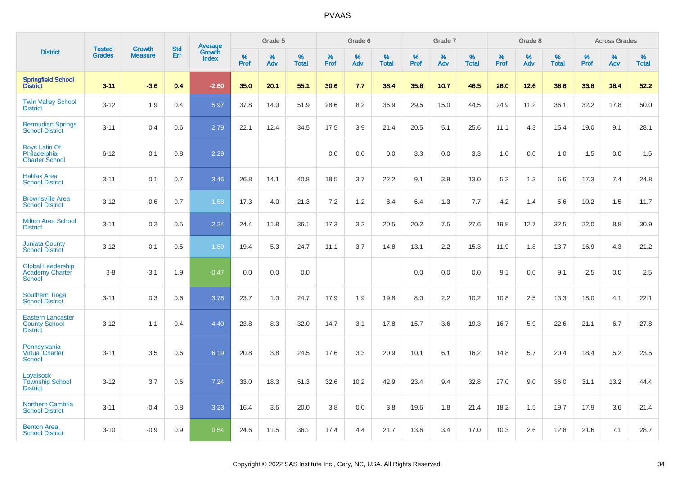|                                                                     |                                | <b>Growth</b>  | <b>Std</b> |                                          |              | Grade 5  |                   |           | Grade 6  |                   |           | Grade 7  |                   |           | Grade 8  |                   |              | <b>Across Grades</b> |                   |
|---------------------------------------------------------------------|--------------------------------|----------------|------------|------------------------------------------|--------------|----------|-------------------|-----------|----------|-------------------|-----------|----------|-------------------|-----------|----------|-------------------|--------------|----------------------|-------------------|
| <b>District</b>                                                     | <b>Tested</b><br><b>Grades</b> | <b>Measure</b> | Err        | <b>Average</b><br>Growth<br><b>Index</b> | $\%$<br>Prof | %<br>Adv | %<br><b>Total</b> | %<br>Prof | %<br>Adv | %<br><b>Total</b> | %<br>Prof | %<br>Adv | %<br><b>Total</b> | %<br>Prof | %<br>Adv | %<br><b>Total</b> | $\%$<br>Prof | %<br>Adv             | %<br><b>Total</b> |
| <b>Springfield School</b><br>District                               | $3 - 11$                       | $-3.6$         | 0.4        | $-2.60$                                  | 35.0         | 20.1     | 55.1              | 30.6      | 7.7      | 38.4              | 35.8      | 10.7     | 46.5              | 26.0      | 12.6     | 38.6              | 33.8         | 18.4                 | 52.2              |
| <b>Twin Valley School</b><br><b>District</b>                        | $3 - 12$                       | 1.9            | 0.4        | 5.97                                     | 37.8         | 14.0     | 51.9              | 28.6      | 8.2      | 36.9              | 29.5      | 15.0     | 44.5              | 24.9      | 11.2     | 36.1              | 32.2         | 17.8                 | 50.0              |
| <b>Bermudian Springs</b><br><b>School District</b>                  | $3 - 11$                       | 0.4            | 0.6        | 2.79                                     | 22.1         | 12.4     | 34.5              | 17.5      | 3.9      | 21.4              | 20.5      | 5.1      | 25.6              | 11.1      | 4.3      | 15.4              | 19.0         | 9.1                  | 28.1              |
| <b>Boys Latin Of</b><br>Philadelphia<br><b>Charter School</b>       | $6 - 12$                       | 0.1            | 0.8        | 2.29                                     |              |          |                   | 0.0       | 0.0      | 0.0               | 3.3       | 0.0      | 3.3               | 1.0       | 0.0      | 1.0               | 1.5          | 0.0                  | 1.5               |
| <b>Halifax Area</b><br><b>School District</b>                       | $3 - 11$                       | 0.1            | 0.7        | 3.46                                     | 26.8         | 14.1     | 40.8              | 18.5      | 3.7      | 22.2              | 9.1       | 3.9      | 13.0              | 5.3       | 1.3      | 6.6               | 17.3         | 7.4                  | 24.8              |
| <b>Brownsville Area</b><br><b>School District</b>                   | $3 - 12$                       | $-0.6$         | 0.7        | 1.53                                     | 17.3         | 4.0      | 21.3              | 7.2       | $1.2$    | 8.4               | 6.4       | 1.3      | 7.7               | 4.2       | 1.4      | 5.6               | 10.2         | 1.5                  | 11.7              |
| <b>Milton Area School</b><br><b>District</b>                        | $3 - 11$                       | 0.2            | 0.5        | 2.24                                     | 24.4         | 11.8     | 36.1              | 17.3      | 3.2      | 20.5              | 20.2      | 7.5      | 27.6              | 19.8      | 12.7     | 32.5              | 22.0         | 8.8                  | 30.9              |
| <b>Juniata County</b><br><b>School District</b>                     | $3 - 12$                       | $-0.1$         | 0.5        | 1.50                                     | 19.4         | 5.3      | 24.7              | 11.1      | 3.7      | 14.8              | 13.1      | 2.2      | 15.3              | 11.9      | 1.8      | 13.7              | 16.9         | 4.3                  | 21.2              |
| <b>Global Leadership</b><br><b>Academy Charter</b><br><b>School</b> | $3-8$                          | $-3.1$         | 1.9        | $-0.47$                                  | 0.0          | 0.0      | 0.0               |           |          |                   | 0.0       | 0.0      | 0.0               | 9.1       | 0.0      | 9.1               | 2.5          | 0.0                  | 2.5               |
| <b>Southern Tioga</b><br><b>School District</b>                     | $3 - 11$                       | 0.3            | 0.6        | 3.78                                     | 23.7         | 1.0      | 24.7              | 17.9      | 1.9      | 19.8              | 8.0       | 2.2      | 10.2              | 10.8      | 2.5      | 13.3              | 18.0         | 4.1                  | 22.1              |
| <b>Eastern Lancaster</b><br><b>County School</b><br><b>District</b> | $3 - 12$                       | 1.1            | 0.4        | 4.40                                     | 23.8         | 8.3      | 32.0              | 14.7      | 3.1      | 17.8              | 15.7      | 3.6      | 19.3              | 16.7      | 5.9      | 22.6              | 21.1         | 6.7                  | 27.8              |
| Pennsylvania<br><b>Virtual Charter</b><br>School                    | $3 - 11$                       | 3.5            | 0.6        | 6.19                                     | 20.8         | 3.8      | 24.5              | 17.6      | 3.3      | 20.9              | 10.1      | 6.1      | 16.2              | 14.8      | 5.7      | 20.4              | 18.4         | 5.2                  | 23.5              |
| Loyalsock<br><b>Township School</b><br><b>District</b>              | $3 - 12$                       | 3.7            | 0.6        | 7.24                                     | 33.0         | 18.3     | 51.3              | 32.6      | 10.2     | 42.9              | 23.4      | 9.4      | 32.8              | 27.0      | 9.0      | 36.0              | 31.1         | 13.2                 | 44.4              |
| <b>Northern Cambria</b><br><b>School District</b>                   | $3 - 11$                       | $-0.4$         | 0.8        | 3.23                                     | 16.4         | 3.6      | 20.0              | 3.8       | 0.0      | 3.8               | 19.6      | 1.8      | 21.4              | 18.2      | 1.5      | 19.7              | 17.9         | 3.6                  | 21.4              |
| <b>Benton Area</b><br><b>School District</b>                        | $3 - 10$                       | $-0.9$         | 0.9        | 0.54                                     | 24.6         | 11.5     | 36.1              | 17.4      | 4.4      | 21.7              | 13.6      | 3.4      | 17.0              | 10.3      | 2.6      | 12.8              | 21.6         | 7.1                  | 28.7              |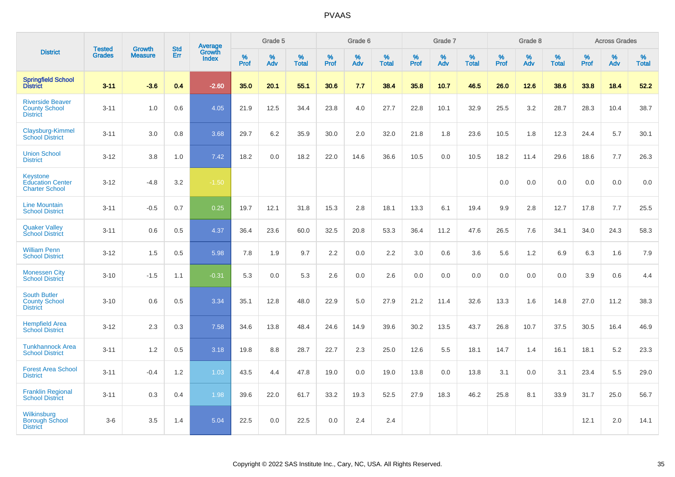|                                                                     |                                |                                 | <b>Std</b> | <b>Average</b>         |              | Grade 5  |                   |                  | Grade 6  |                   |           | Grade 7  |                   |           | Grade 8  |                   |                     | <b>Across Grades</b> |                   |
|---------------------------------------------------------------------|--------------------------------|---------------------------------|------------|------------------------|--------------|----------|-------------------|------------------|----------|-------------------|-----------|----------|-------------------|-----------|----------|-------------------|---------------------|----------------------|-------------------|
| <b>District</b>                                                     | <b>Tested</b><br><b>Grades</b> | <b>Growth</b><br><b>Measure</b> | Err        | Growth<br><b>Index</b> | $\%$<br>Prof | %<br>Adv | %<br><b>Total</b> | %<br><b>Prof</b> | %<br>Adv | %<br><b>Total</b> | %<br>Prof | %<br>Adv | %<br><b>Total</b> | %<br>Prof | %<br>Adv | %<br><b>Total</b> | $\%$<br><b>Prof</b> | %<br>Adv             | %<br><b>Total</b> |
| <b>Springfield School</b><br>District                               | $3 - 11$                       | $-3.6$                          | 0.4        | $-2.60$                | 35.0         | 20.1     | 55.1              | 30.6             | 7.7      | 38.4              | 35.8      | 10.7     | 46.5              | 26.0      | 12.6     | 38.6              | 33.8                | 18.4                 | 52.2              |
| <b>Riverside Beaver</b><br><b>County School</b><br><b>District</b>  | $3 - 11$                       | 1.0                             | 0.6        | 4.05                   | 21.9         | 12.5     | 34.4              | 23.8             | 4.0      | 27.7              | 22.8      | 10.1     | 32.9              | 25.5      | 3.2      | 28.7              | 28.3                | 10.4                 | 38.7              |
| Claysburg-Kimmel<br><b>School District</b>                          | $3 - 11$                       | 3.0                             | 0.8        | 3.68                   | 29.7         | 6.2      | 35.9              | 30.0             | 2.0      | 32.0              | 21.8      | 1.8      | 23.6              | 10.5      | 1.8      | 12.3              | 24.4                | 5.7                  | 30.1              |
| <b>Union School</b><br><b>District</b>                              | $3 - 12$                       | 3.8                             | 1.0        | 7.42                   | 18.2         | 0.0      | 18.2              | 22.0             | 14.6     | 36.6              | 10.5      | 0.0      | 10.5              | 18.2      | 11.4     | 29.6              | 18.6                | 7.7                  | 26.3              |
| <b>Keystone</b><br><b>Education Center</b><br><b>Charter School</b> | $3 - 12$                       | $-4.8$                          | 3.2        | $-1.50$                |              |          |                   |                  |          |                   |           |          |                   | 0.0       | 0.0      | 0.0               | 0.0                 | 0.0                  | 0.0               |
| <b>Line Mountain</b><br><b>School District</b>                      | $3 - 11$                       | $-0.5$                          | 0.7        | 0.25                   | 19.7         | 12.1     | 31.8              | 15.3             | 2.8      | 18.1              | 13.3      | 6.1      | 19.4              | 9.9       | 2.8      | 12.7              | 17.8                | 7.7                  | 25.5              |
| <b>Quaker Valley</b><br><b>School District</b>                      | $3 - 11$                       | 0.6                             | 0.5        | 4.37                   | 36.4         | 23.6     | 60.0              | 32.5             | 20.8     | 53.3              | 36.4      | 11.2     | 47.6              | 26.5      | 7.6      | 34.1              | 34.0                | 24.3                 | 58.3              |
| <b>William Penn</b><br><b>School District</b>                       | $3 - 12$                       | 1.5                             | 0.5        | 5.98                   | 7.8          | 1.9      | 9.7               | 2.2              | 0.0      | 2.2               | 3.0       | 0.6      | 3.6               | 5.6       | 1.2      | 6.9               | 6.3                 | 1.6                  | 7.9               |
| <b>Monessen City</b><br><b>School District</b>                      | $3 - 10$                       | $-1.5$                          | 1.1        | $-0.31$                | 5.3          | 0.0      | 5.3               | 2.6              | 0.0      | 2.6               | 0.0       | 0.0      | 0.0               | 0.0       | 0.0      | 0.0               | 3.9                 | 0.6                  | 4.4               |
| <b>South Butler</b><br><b>County School</b><br><b>District</b>      | $3 - 10$                       | 0.6                             | 0.5        | 3.34                   | 35.1         | 12.8     | 48.0              | 22.9             | 5.0      | 27.9              | 21.2      | 11.4     | 32.6              | 13.3      | 1.6      | 14.8              | 27.0                | 11.2                 | 38.3              |
| <b>Hempfield Area</b><br><b>School District</b>                     | $3 - 12$                       | 2.3                             | 0.3        | 7.58                   | 34.6         | 13.8     | 48.4              | 24.6             | 14.9     | 39.6              | 30.2      | 13.5     | 43.7              | 26.8      | 10.7     | 37.5              | 30.5                | 16.4                 | 46.9              |
| <b>Tunkhannock Area</b><br><b>School District</b>                   | $3 - 11$                       | 1.2                             | 0.5        | 3.18                   | 19.8         | 8.8      | 28.7              | 22.7             | 2.3      | 25.0              | 12.6      | 5.5      | 18.1              | 14.7      | 1.4      | 16.1              | 18.1                | 5.2                  | 23.3              |
| <b>Forest Area School</b><br><b>District</b>                        | $3 - 11$                       | $-0.4$                          | 1.2        | 1.03                   | 43.5         | 4.4      | 47.8              | 19.0             | 0.0      | 19.0              | 13.8      | 0.0      | 13.8              | 3.1       | 0.0      | 3.1               | 23.4                | 5.5                  | 29.0              |
| <b>Franklin Regional</b><br><b>School District</b>                  | $3 - 11$                       | 0.3                             | 0.4        | 1.98                   | 39.6         | 22.0     | 61.7              | 33.2             | 19.3     | 52.5              | 27.9      | 18.3     | 46.2              | 25.8      | 8.1      | 33.9              | 31.7                | 25.0                 | 56.7              |
| Wilkinsburg<br><b>Borough School</b><br><b>District</b>             | $3-6$                          | 3.5                             | 1.4        | 5.04                   | 22.5         | 0.0      | 22.5              | 0.0              | 2.4      | 2.4               |           |          |                   |           |          |                   | 12.1                | 2.0                  | 14.1              |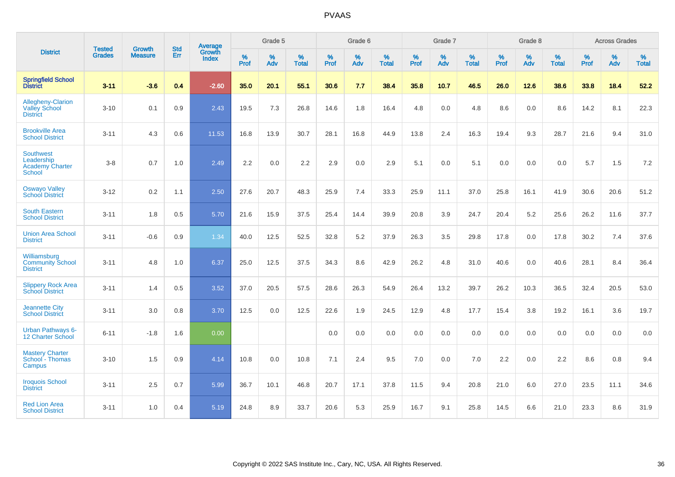|                                                                    | <b>Tested</b> | <b>Growth</b>  | <b>Std</b> | Average                |                     | Grade 5  |                   |                     | Grade 6  |                   |              | Grade 7  |                   |                     | Grade 8  |                   |                     | <b>Across Grades</b> |                   |
|--------------------------------------------------------------------|---------------|----------------|------------|------------------------|---------------------|----------|-------------------|---------------------|----------|-------------------|--------------|----------|-------------------|---------------------|----------|-------------------|---------------------|----------------------|-------------------|
| <b>District</b>                                                    | <b>Grades</b> | <b>Measure</b> | Err        | Growth<br><b>Index</b> | $\%$<br><b>Prof</b> | %<br>Adv | %<br><b>Total</b> | $\%$<br><b>Prof</b> | %<br>Adv | %<br><b>Total</b> | $\%$<br>Prof | %<br>Adv | %<br><b>Total</b> | $\%$<br><b>Prof</b> | %<br>Adv | %<br><b>Total</b> | $\%$<br><b>Prof</b> | %<br>Adv             | %<br><b>Total</b> |
| <b>Springfield School</b><br><b>District</b>                       | $3 - 11$      | $-3.6$         | 0.4        | $-2.60$                | 35.0                | 20.1     | 55.1              | 30.6                | 7.7      | 38.4              | 35.8         | 10.7     | 46.5              | 26.0                | 12.6     | 38.6              | 33.8                | 18.4                 | 52.2              |
| Allegheny-Clarion<br><b>Valley School</b><br><b>District</b>       | $3 - 10$      | 0.1            | 0.9        | 2.43                   | 19.5                | 7.3      | 26.8              | 14.6                | 1.8      | 16.4              | 4.8          | 0.0      | 4.8               | 8.6                 | 0.0      | 8.6               | 14.2                | 8.1                  | 22.3              |
| <b>Brookville Area</b><br><b>School District</b>                   | $3 - 11$      | 4.3            | 0.6        | 11.53                  | 16.8                | 13.9     | 30.7              | 28.1                | 16.8     | 44.9              | 13.8         | 2.4      | 16.3              | 19.4                | 9.3      | 28.7              | 21.6                | 9.4                  | 31.0              |
| <b>Southwest</b><br>Leadership<br><b>Academy Charter</b><br>School | $3 - 8$       | 0.7            | 1.0        | 2.49                   | 2.2                 | 0.0      | 2.2               | 2.9                 | 0.0      | 2.9               | 5.1          | 0.0      | 5.1               | 0.0                 | 0.0      | 0.0               | 5.7                 | 1.5                  | 7.2               |
| <b>Oswayo Valley</b><br><b>School District</b>                     | $3 - 12$      | 0.2            | 1.1        | 2.50                   | 27.6                | 20.7     | 48.3              | 25.9                | 7.4      | 33.3              | 25.9         | 11.1     | 37.0              | 25.8                | 16.1     | 41.9              | 30.6                | 20.6                 | 51.2              |
| <b>South Eastern</b><br><b>School District</b>                     | $3 - 11$      | 1.8            | 0.5        | 5.70                   | 21.6                | 15.9     | 37.5              | 25.4                | 14.4     | 39.9              | 20.8         | 3.9      | 24.7              | 20.4                | 5.2      | 25.6              | 26.2                | 11.6                 | 37.7              |
| <b>Union Area School</b><br><b>District</b>                        | $3 - 11$      | $-0.6$         | 0.9        | 1.34                   | 40.0                | 12.5     | 52.5              | 32.8                | $5.2\,$  | 37.9              | 26.3         | 3.5      | 29.8              | 17.8                | 0.0      | 17.8              | 30.2                | 7.4                  | 37.6              |
| Williamsburg<br><b>Community School</b><br><b>District</b>         | $3 - 11$      | 4.8            | 1.0        | 6.37                   | 25.0                | 12.5     | 37.5              | 34.3                | 8.6      | 42.9              | 26.2         | 4.8      | 31.0              | 40.6                | 0.0      | 40.6              | 28.1                | 8.4                  | 36.4              |
| <b>Slippery Rock Area</b><br><b>School District</b>                | $3 - 11$      | 1.4            | 0.5        | 3.52                   | 37.0                | 20.5     | 57.5              | 28.6                | 26.3     | 54.9              | 26.4         | 13.2     | 39.7              | 26.2                | 10.3     | 36.5              | 32.4                | 20.5                 | 53.0              |
| <b>Jeannette City</b><br><b>School District</b>                    | $3 - 11$      | 3.0            | 0.8        | 3.70                   | 12.5                | 0.0      | 12.5              | 22.6                | 1.9      | 24.5              | 12.9         | 4.8      | 17.7              | 15.4                | 3.8      | 19.2              | 16.1                | 3.6                  | 19.7              |
| <b>Urban Pathways 6-</b><br>12 Charter School                      | $6 - 11$      | $-1.8$         | 1.6        | 0.00                   |                     |          |                   | 0.0                 | 0.0      | 0.0               | 0.0          | 0.0      | 0.0               | 0.0                 | 0.0      | 0.0               | 0.0                 | 0.0                  | 0.0               |
| <b>Mastery Charter</b><br>School - Thomas<br>Campus                | $3 - 10$      | 1.5            | 0.9        | 4.14                   | 10.8                | 0.0      | 10.8              | 7.1                 | 2.4      | 9.5               | 7.0          | 0.0      | 7.0               | 2.2                 | 0.0      | 2.2               | 8.6                 | 0.8                  | 9.4               |
| <b>Iroquois School</b><br><b>District</b>                          | $3 - 11$      | 2.5            | 0.7        | 5.99                   | 36.7                | 10.1     | 46.8              | 20.7                | 17.1     | 37.8              | 11.5         | 9.4      | 20.8              | 21.0                | 6.0      | 27.0              | 23.5                | 11.1                 | 34.6              |
| <b>Red Lion Area</b><br><b>School District</b>                     | $3 - 11$      | 1.0            | 0.4        | 5.19                   | 24.8                | 8.9      | 33.7              | 20.6                | 5.3      | 25.9              | 16.7         | 9.1      | 25.8              | 14.5                | 6.6      | 21.0              | 23.3                | 8.6                  | 31.9              |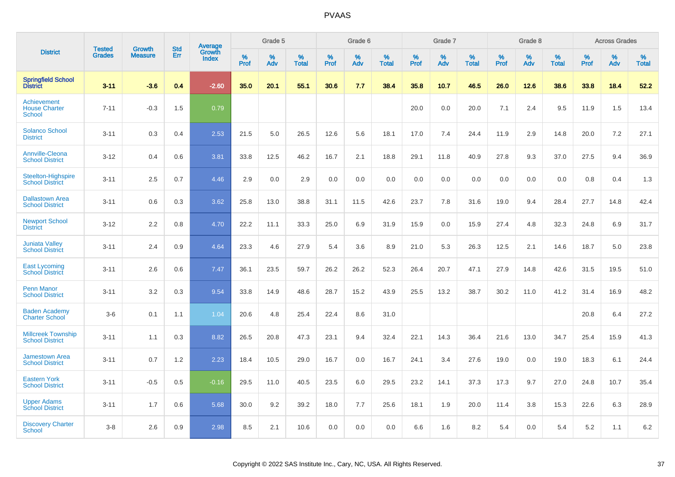|                                                      |                                |                                 | <b>Std</b> | Average                |           | Grade 5  |                   |           | Grade 6  |                   |           | Grade 7  |                   |           | Grade 8  |                   |           | <b>Across Grades</b> |                   |
|------------------------------------------------------|--------------------------------|---------------------------------|------------|------------------------|-----------|----------|-------------------|-----------|----------|-------------------|-----------|----------|-------------------|-----------|----------|-------------------|-----------|----------------------|-------------------|
| <b>District</b>                                      | <b>Tested</b><br><b>Grades</b> | <b>Growth</b><br><b>Measure</b> | Err        | Growth<br><b>Index</b> | %<br>Prof | %<br>Adv | %<br><b>Total</b> | %<br>Prof | %<br>Adv | %<br><b>Total</b> | %<br>Prof | %<br>Adv | %<br><b>Total</b> | %<br>Prof | %<br>Adv | %<br><b>Total</b> | %<br>Prof | %<br>Adv             | %<br><b>Total</b> |
| <b>Springfield School</b><br><b>District</b>         | $3 - 11$                       | $-3.6$                          | 0.4        | $-2.60$                | 35.0      | 20.1     | 55.1              | 30.6      | 7.7      | 38.4              | 35.8      | 10.7     | 46.5              | 26.0      | 12.6     | 38.6              | 33.8      | 18.4                 | 52.2              |
| Achievement<br><b>House Charter</b><br><b>School</b> | $7 - 11$                       | $-0.3$                          | 1.5        | 0.79                   |           |          |                   |           |          |                   | 20.0      | 0.0      | 20.0              | 7.1       | 2.4      | 9.5               | 11.9      | 1.5                  | 13.4              |
| <b>Solanco School</b><br><b>District</b>             | $3 - 11$                       | 0.3                             | 0.4        | 2.53                   | 21.5      | 5.0      | 26.5              | 12.6      | 5.6      | 18.1              | 17.0      | 7.4      | 24.4              | 11.9      | 2.9      | 14.8              | 20.0      | 7.2                  | 27.1              |
| <b>Annville-Cleona</b><br><b>School District</b>     | $3 - 12$                       | 0.4                             | 0.6        | 3.81                   | 33.8      | 12.5     | 46.2              | 16.7      | 2.1      | 18.8              | 29.1      | 11.8     | 40.9              | 27.8      | 9.3      | 37.0              | 27.5      | 9.4                  | 36.9              |
| <b>Steelton-Highspire</b><br><b>School District</b>  | $3 - 11$                       | 2.5                             | 0.7        | 4.46                   | 2.9       | 0.0      | 2.9               | 0.0       | 0.0      | 0.0               | 0.0       | 0.0      | 0.0               | 0.0       | 0.0      | 0.0               | 0.8       | 0.4                  | 1.3               |
| <b>Dallastown Area</b><br><b>School District</b>     | $3 - 11$                       | 0.6                             | 0.3        | 3.62                   | 25.8      | 13.0     | 38.8              | 31.1      | 11.5     | 42.6              | 23.7      | 7.8      | 31.6              | 19.0      | 9.4      | 28.4              | 27.7      | 14.8                 | 42.4              |
| <b>Newport School</b><br><b>District</b>             | $3 - 12$                       | 2.2                             | 0.8        | 4.70                   | 22.2      | 11.1     | 33.3              | 25.0      | 6.9      | 31.9              | 15.9      | 0.0      | 15.9              | 27.4      | 4.8      | 32.3              | 24.8      | 6.9                  | 31.7              |
| <b>Juniata Valley</b><br><b>School District</b>      | $3 - 11$                       | 2.4                             | 0.9        | 4.64                   | 23.3      | 4.6      | 27.9              | 5.4       | 3.6      | 8.9               | 21.0      | 5.3      | 26.3              | 12.5      | 2.1      | 14.6              | 18.7      | 5.0                  | 23.8              |
| <b>East Lycoming</b><br><b>School District</b>       | $3 - 11$                       | 2.6                             | 0.6        | 7.47                   | 36.1      | 23.5     | 59.7              | 26.2      | 26.2     | 52.3              | 26.4      | 20.7     | 47.1              | 27.9      | 14.8     | 42.6              | 31.5      | 19.5                 | 51.0              |
| <b>Penn Manor</b><br><b>School District</b>          | $3 - 11$                       | 3.2                             | 0.3        | 9.54                   | 33.8      | 14.9     | 48.6              | 28.7      | 15.2     | 43.9              | 25.5      | 13.2     | 38.7              | 30.2      | 11.0     | 41.2              | 31.4      | 16.9                 | 48.2              |
| <b>Baden Academy</b><br><b>Charter School</b>        | $3-6$                          | 0.1                             | 1.1        | 1.04                   | 20.6      | 4.8      | 25.4              | 22.4      | 8.6      | 31.0              |           |          |                   |           |          |                   | 20.8      | 6.4                  | 27.2              |
| <b>Millcreek Township</b><br><b>School District</b>  | $3 - 11$                       | 1.1                             | 0.3        | 8.82                   | 26.5      | 20.8     | 47.3              | 23.1      | 9.4      | 32.4              | 22.1      | 14.3     | 36.4              | 21.6      | 13.0     | 34.7              | 25.4      | 15.9                 | 41.3              |
| <b>Jamestown Area</b><br><b>School District</b>      | $3 - 11$                       | 0.7                             | 1.2        | 2.23                   | 18.4      | 10.5     | 29.0              | 16.7      | 0.0      | 16.7              | 24.1      | 3.4      | 27.6              | 19.0      | 0.0      | 19.0              | 18.3      | 6.1                  | 24.4              |
| <b>Eastern York</b><br><b>School District</b>        | $3 - 11$                       | $-0.5$                          | 0.5        | $-0.16$                | 29.5      | 11.0     | 40.5              | 23.5      | 6.0      | 29.5              | 23.2      | 14.1     | 37.3              | 17.3      | 9.7      | 27.0              | 24.8      | 10.7                 | 35.4              |
| <b>Upper Adams</b><br><b>School District</b>         | $3 - 11$                       | 1.7                             | 0.6        | 5.68                   | 30.0      | 9.2      | 39.2              | 18.0      | 7.7      | 25.6              | 18.1      | 1.9      | 20.0              | 11.4      | 3.8      | 15.3              | 22.6      | 6.3                  | 28.9              |
| <b>Discovery Charter</b><br><b>School</b>            | $3 - 8$                        | 2.6                             | 0.9        | 2.98                   | 8.5       | 2.1      | 10.6              | 0.0       | 0.0      | 0.0               | 6.6       | 1.6      | 8.2               | 5.4       | $0.0\,$  | 5.4               | 5.2       | 1.1                  | 6.2               |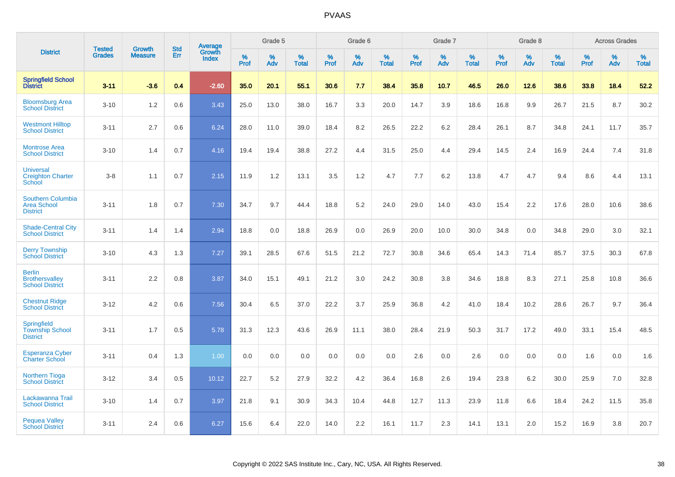|                                                                   |                                | <b>Growth</b>  | <b>Std</b> | <b>Average</b>         |              | Grade 5  |                   |           | Grade 6  |                   |              | Grade 7  |                   |              | Grade 8  |                   |              | <b>Across Grades</b> |                   |
|-------------------------------------------------------------------|--------------------------------|----------------|------------|------------------------|--------------|----------|-------------------|-----------|----------|-------------------|--------------|----------|-------------------|--------------|----------|-------------------|--------------|----------------------|-------------------|
| <b>District</b>                                                   | <b>Tested</b><br><b>Grades</b> | <b>Measure</b> | <b>Err</b> | Growth<br><b>Index</b> | $\%$<br>Prof | %<br>Adv | %<br><b>Total</b> | %<br>Prof | %<br>Adv | %<br><b>Total</b> | $\%$<br>Prof | %<br>Adv | %<br><b>Total</b> | $\%$<br>Prof | %<br>Adv | %<br><b>Total</b> | $\%$<br>Prof | %<br>Adv             | %<br><b>Total</b> |
| <b>Springfield School</b><br><b>District</b>                      | $3 - 11$                       | $-3.6$         | 0.4        | $-2.60$                | 35.0         | 20.1     | 55.1              | 30.6      | 7.7      | 38.4              | 35.8         | 10.7     | 46.5              | 26.0         | 12.6     | 38.6              | 33.8         | 18.4                 | 52.2              |
| <b>Bloomsburg Area</b><br><b>School District</b>                  | $3 - 10$                       | 1.2            | 0.6        | 3.43                   | 25.0         | 13.0     | 38.0              | 16.7      | 3.3      | 20.0              | 14.7         | 3.9      | 18.6              | 16.8         | 9.9      | 26.7              | 21.5         | 8.7                  | 30.2              |
| <b>Westmont Hilltop</b><br><b>School District</b>                 | $3 - 11$                       | 2.7            | 0.6        | 6.24                   | 28.0         | 11.0     | 39.0              | 18.4      | 8.2      | 26.5              | 22.2         | 6.2      | 28.4              | 26.1         | 8.7      | 34.8              | 24.1         | 11.7                 | 35.7              |
| <b>Montrose Area</b><br><b>School District</b>                    | $3 - 10$                       | 1.4            | 0.7        | 4.16                   | 19.4         | 19.4     | 38.8              | 27.2      | 4.4      | 31.5              | 25.0         | 4.4      | 29.4              | 14.5         | 2.4      | 16.9              | 24.4         | 7.4                  | 31.8              |
| <b>Universal</b><br><b>Creighton Charter</b><br>School            | $3 - 8$                        | 1.1            | 0.7        | 2.15                   | 11.9         | 1.2      | 13.1              | 3.5       | 1.2      | 4.7               | 7.7          | 6.2      | 13.8              | 4.7          | 4.7      | 9.4               | 8.6          | 4.4                  | 13.1              |
| <b>Southern Columbia</b><br><b>Area School</b><br><b>District</b> | $3 - 11$                       | 1.8            | 0.7        | 7.30                   | 34.7         | 9.7      | 44.4              | 18.8      | 5.2      | 24.0              | 29.0         | 14.0     | 43.0              | 15.4         | 2.2      | 17.6              | 28.0         | 10.6                 | 38.6              |
| <b>Shade-Central City</b><br><b>School District</b>               | $3 - 11$                       | 1.4            | 1.4        | 2.94                   | 18.8         | 0.0      | 18.8              | 26.9      | 0.0      | 26.9              | 20.0         | 10.0     | 30.0              | 34.8         | 0.0      | 34.8              | 29.0         | 3.0                  | 32.1              |
| <b>Derry Township</b><br><b>School District</b>                   | $3 - 10$                       | 4.3            | 1.3        | 7.27                   | 39.1         | 28.5     | 67.6              | 51.5      | 21.2     | 72.7              | 30.8         | 34.6     | 65.4              | 14.3         | 71.4     | 85.7              | 37.5         | 30.3                 | 67.8              |
| <b>Berlin</b><br><b>Brothersvalley</b><br><b>School District</b>  | $3 - 11$                       | 2.2            | 0.8        | 3.87                   | 34.0         | 15.1     | 49.1              | 21.2      | 3.0      | 24.2              | 30.8         | 3.8      | 34.6              | 18.8         | 8.3      | 27.1              | 25.8         | 10.8                 | 36.6              |
| <b>Chestnut Ridge</b><br><b>School District</b>                   | $3 - 12$                       | 4.2            | 0.6        | 7.56                   | 30.4         | 6.5      | 37.0              | 22.2      | 3.7      | 25.9              | 36.8         | 4.2      | 41.0              | 18.4         | 10.2     | 28.6              | 26.7         | 9.7                  | 36.4              |
| Springfield<br><b>Township School</b><br><b>District</b>          | $3 - 11$                       | 1.7            | 0.5        | 5.78                   | 31.3         | 12.3     | 43.6              | 26.9      | 11.1     | 38.0              | 28.4         | 21.9     | 50.3              | 31.7         | 17.2     | 49.0              | 33.1         | 15.4                 | 48.5              |
| <b>Esperanza Cyber</b><br><b>Charter School</b>                   | $3 - 11$                       | 0.4            | 1.3        | 1.00                   | 0.0          | 0.0      | 0.0               | 0.0       | 0.0      | 0.0               | 2.6          | 0.0      | 2.6               | 0.0          | 0.0      | 0.0               | 1.6          | 0.0                  | 1.6               |
| <b>Northern Tioga</b><br><b>School District</b>                   | $3 - 12$                       | 3.4            | 0.5        | 10.12                  | 22.7         | 5.2      | 27.9              | 32.2      | 4.2      | 36.4              | 16.8         | 2.6      | 19.4              | 23.8         | 6.2      | 30.0              | 25.9         | 7.0                  | 32.8              |
| Lackawanna Trail<br><b>School District</b>                        | $3 - 10$                       | 1.4            | 0.7        | 3.97                   | 21.8         | 9.1      | 30.9              | 34.3      | 10.4     | 44.8              | 12.7         | 11.3     | 23.9              | 11.8         | 6.6      | 18.4              | 24.2         | 11.5                 | 35.8              |
| <b>Pequea Valley</b><br><b>School District</b>                    | $3 - 11$                       | 2.4            | 0.6        | 6.27                   | 15.6         | 6.4      | 22.0              | 14.0      | 2.2      | 16.1              | 11.7         | 2.3      | 14.1              | 13.1         | 2.0      | 15.2              | 16.9         | 3.8                  | 20.7              |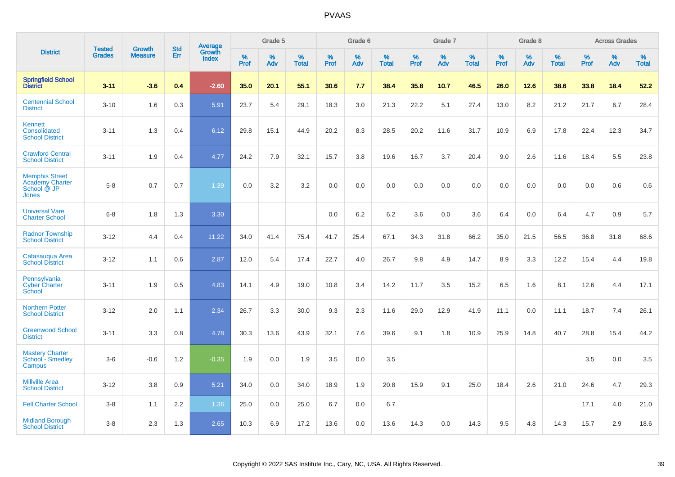|                                                                         |                                |                                 | <b>Std</b> | Average                |           | Grade 5  |                   |           | Grade 6  |                   |           | Grade 7  |                      |           | Grade 8  |                   |              | <b>Across Grades</b> |                   |
|-------------------------------------------------------------------------|--------------------------------|---------------------------------|------------|------------------------|-----------|----------|-------------------|-----------|----------|-------------------|-----------|----------|----------------------|-----------|----------|-------------------|--------------|----------------------|-------------------|
| <b>District</b>                                                         | <b>Tested</b><br><b>Grades</b> | <b>Growth</b><br><b>Measure</b> | Err        | Growth<br><b>Index</b> | %<br>Prof | %<br>Adv | %<br><b>Total</b> | %<br>Prof | %<br>Adv | %<br><b>Total</b> | %<br>Prof | %<br>Adv | $\%$<br><b>Total</b> | %<br>Prof | %<br>Adv | %<br><b>Total</b> | $\%$<br>Prof | %<br>Adv             | %<br><b>Total</b> |
| <b>Springfield School</b><br><b>District</b>                            | $3 - 11$                       | $-3.6$                          | 0.4        | $-2.60$                | 35.0      | 20.1     | 55.1              | 30.6      | 7.7      | 38.4              | 35.8      | 10.7     | 46.5                 | 26.0      | 12.6     | 38.6              | 33.8         | 18.4                 | 52.2              |
| <b>Centennial School</b><br><b>District</b>                             | $3 - 10$                       | 1.6                             | 0.3        | 5.91                   | 23.7      | 5.4      | 29.1              | 18.3      | 3.0      | 21.3              | 22.2      | 5.1      | 27.4                 | 13.0      | 8.2      | 21.2              | 21.7         | 6.7                  | 28.4              |
| Kennett<br>Consolidated<br><b>School District</b>                       | $3 - 11$                       | 1.3                             | 0.4        | 6.12                   | 29.8      | 15.1     | 44.9              | 20.2      | 8.3      | 28.5              | 20.2      | 11.6     | 31.7                 | 10.9      | 6.9      | 17.8              | 22.4         | 12.3                 | 34.7              |
| <b>Crawford Central</b><br><b>School District</b>                       | $3 - 11$                       | 1.9                             | 0.4        | 4.77                   | 24.2      | 7.9      | 32.1              | 15.7      | 3.8      | 19.6              | 16.7      | 3.7      | 20.4                 | 9.0       | 2.6      | 11.6              | 18.4         | 5.5                  | 23.8              |
| <b>Memphis Street</b><br><b>Academy Charter</b><br>School @ JP<br>Jones | $5 - 8$                        | 0.7                             | 0.7        | 1.39                   | 0.0       | 3.2      | 3.2               | 0.0       | 0.0      | 0.0               | 0.0       | 0.0      | 0.0                  | 0.0       | 0.0      | 0.0               | 0.0          | 0.6                  | 0.6               |
| <b>Universal Vare</b><br><b>Charter School</b>                          | $6 - 8$                        | 1.8                             | 1.3        | 3.30                   |           |          |                   | 0.0       | 6.2      | 6.2               | 3.6       | 0.0      | 3.6                  | 6.4       | 0.0      | 6.4               | 4.7          | 0.9                  | 5.7               |
| <b>Radnor Township</b><br><b>School District</b>                        | $3 - 12$                       | 4.4                             | 0.4        | 11.22                  | 34.0      | 41.4     | 75.4              | 41.7      | 25.4     | 67.1              | 34.3      | 31.8     | 66.2                 | 35.0      | 21.5     | 56.5              | 36.8         | 31.8                 | 68.6              |
| Catasaugua Area<br><b>School District</b>                               | $3 - 12$                       | 1.1                             | 0.6        | 2.87                   | 12.0      | 5.4      | 17.4              | 22.7      | 4.0      | 26.7              | 9.8       | 4.9      | 14.7                 | 8.9       | 3.3      | 12.2              | 15.4         | 4.4                  | 19.8              |
| Pennsylvania<br><b>Cyber Charter</b><br>School                          | $3 - 11$                       | 1.9                             | 0.5        | 4.83                   | 14.1      | 4.9      | 19.0              | 10.8      | 3.4      | 14.2              | 11.7      | 3.5      | 15.2                 | 6.5       | 1.6      | 8.1               | 12.6         | 4.4                  | 17.1              |
| <b>Northern Potter</b><br><b>School District</b>                        | $3 - 12$                       | 2.0                             | 1.1        | 2.34                   | 26.7      | 3.3      | 30.0              | 9.3       | 2.3      | 11.6              | 29.0      | 12.9     | 41.9                 | 11.1      | 0.0      | 11.1              | 18.7         | 7.4                  | 26.1              |
| <b>Greenwood School</b><br><b>District</b>                              | $3 - 11$                       | 3.3                             | 0.8        | 4.78                   | 30.3      | 13.6     | 43.9              | 32.1      | 7.6      | 39.6              | 9.1       | 1.8      | 10.9                 | 25.9      | 14.8     | 40.7              | 28.8         | 15.4                 | 44.2              |
| <b>Mastery Charter</b><br>School - Smedley<br>Campus                    | $3-6$                          | $-0.6$                          | 1.2        | $-0.35$                | 1.9       | 0.0      | 1.9               | 3.5       | 0.0      | 3.5               |           |          |                      |           |          |                   | 3.5          | 0.0                  | 3.5               |
| <b>Millville Area</b><br><b>School District</b>                         | $3 - 12$                       | 3.8                             | 0.9        | 5.21                   | 34.0      | 0.0      | 34.0              | 18.9      | 1.9      | 20.8              | 15.9      | 9.1      | 25.0                 | 18.4      | 2.6      | 21.0              | 24.6         | 4.7                  | 29.3              |
| <b>Fell Charter School</b>                                              | $3 - 8$                        | 1.1                             | 2.2        | 1.36                   | 25.0      | 0.0      | 25.0              | 6.7       | 0.0      | 6.7               |           |          |                      |           |          |                   | 17.1         | 4.0                  | 21.0              |
| <b>Midland Borough</b><br><b>School District</b>                        | $3 - 8$                        | 2.3                             | 1.3        | 2.65                   | 10.3      | 6.9      | 17.2              | 13.6      | 0.0      | 13.6              | 14.3      | 0.0      | 14.3                 | 9.5       | 4.8      | 14.3              | 15.7         | 2.9                  | 18.6              |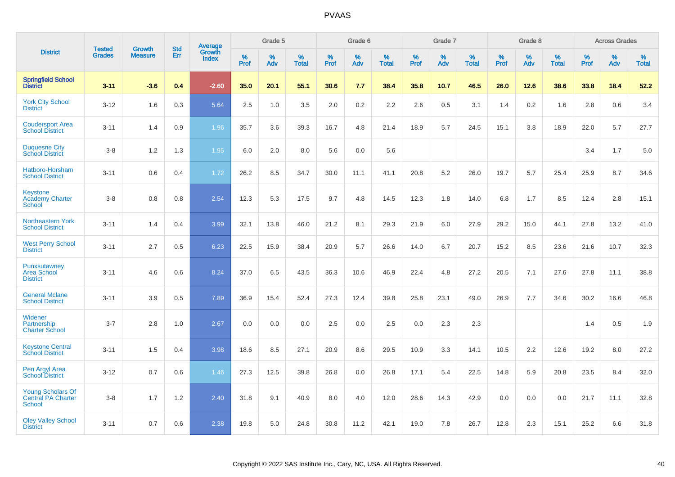|                                                                 |                                | <b>Growth</b>  | <b>Std</b> |                                          |              | Grade 5  |                   |              | Grade 6  |                   |              | Grade 7  |                      |              | Grade 8  |                   |              | <b>Across Grades</b> |                   |
|-----------------------------------------------------------------|--------------------------------|----------------|------------|------------------------------------------|--------------|----------|-------------------|--------------|----------|-------------------|--------------|----------|----------------------|--------------|----------|-------------------|--------------|----------------------|-------------------|
| <b>District</b>                                                 | <b>Tested</b><br><b>Grades</b> | <b>Measure</b> | <b>Err</b> | <b>Average</b><br>Growth<br><b>Index</b> | $\%$<br>Prof | %<br>Adv | %<br><b>Total</b> | $\%$<br>Prof | %<br>Adv | %<br><b>Total</b> | $\%$<br>Prof | %<br>Adv | $\%$<br><b>Total</b> | $\%$<br>Prof | %<br>Adv | %<br><b>Total</b> | $\%$<br>Prof | %<br>Adv             | %<br><b>Total</b> |
| <b>Springfield School</b><br><b>District</b>                    | $3 - 11$                       | $-3.6$         | 0.4        | $-2.60$                                  | 35.0         | 20.1     | 55.1              | 30.6         | 7.7      | 38.4              | 35.8         | 10.7     | 46.5                 | 26.0         | 12.6     | 38.6              | 33.8         | 18.4                 | 52.2              |
| <b>York City School</b><br><b>District</b>                      | $3 - 12$                       | 1.6            | 0.3        | 5.64                                     | 2.5          | 1.0      | 3.5               | 2.0          | $0.2\,$  | 2.2               | 2.6          | 0.5      | 3.1                  | 1.4          | 0.2      | 1.6               | 2.8          | 0.6                  | 3.4               |
| <b>Coudersport Area</b><br><b>School District</b>               | $3 - 11$                       | 1.4            | 0.9        | 1.96                                     | 35.7         | 3.6      | 39.3              | 16.7         | 4.8      | 21.4              | 18.9         | 5.7      | 24.5                 | 15.1         | 3.8      | 18.9              | 22.0         | 5.7                  | 27.7              |
| <b>Duquesne City</b><br><b>School District</b>                  | $3 - 8$                        | 1.2            | 1.3        | 1.95                                     | 6.0          | 2.0      | 8.0               | 5.6          | 0.0      | 5.6               |              |          |                      |              |          |                   | 3.4          | 1.7                  | 5.0               |
| Hatboro-Horsham<br><b>School District</b>                       | $3 - 11$                       | 0.6            | 0.4        | 1.72                                     | 26.2         | 8.5      | 34.7              | 30.0         | 11.1     | 41.1              | 20.8         | 5.2      | 26.0                 | 19.7         | 5.7      | 25.4              | 25.9         | 8.7                  | 34.6              |
| <b>Keystone</b><br><b>Academy Charter</b><br>School             | $3 - 8$                        | 0.8            | 0.8        | 2.54                                     | 12.3         | 5.3      | 17.5              | 9.7          | 4.8      | 14.5              | 12.3         | 1.8      | 14.0                 | 6.8          | 1.7      | 8.5               | 12.4         | 2.8                  | 15.1              |
| Northeastern York<br><b>School District</b>                     | $3 - 11$                       | 1.4            | 0.4        | 3.99                                     | 32.1         | 13.8     | 46.0              | 21.2         | 8.1      | 29.3              | 21.9         | 6.0      | 27.9                 | 29.2         | 15.0     | 44.1              | 27.8         | 13.2                 | 41.0              |
| <b>West Perry School</b><br><b>District</b>                     | $3 - 11$                       | 2.7            | 0.5        | 6.23                                     | 22.5         | 15.9     | 38.4              | 20.9         | 5.7      | 26.6              | 14.0         | 6.7      | 20.7                 | 15.2         | 8.5      | 23.6              | 21.6         | 10.7                 | 32.3              |
| Punxsutawney<br><b>Area School</b><br><b>District</b>           | $3 - 11$                       | 4.6            | 0.6        | 8.24                                     | 37.0         | 6.5      | 43.5              | 36.3         | 10.6     | 46.9              | 22.4         | 4.8      | 27.2                 | 20.5         | 7.1      | 27.6              | 27.8         | 11.1                 | 38.8              |
| <b>General Mclane</b><br><b>School District</b>                 | $3 - 11$                       | 3.9            | 0.5        | 7.89                                     | 36.9         | 15.4     | 52.4              | 27.3         | 12.4     | 39.8              | 25.8         | 23.1     | 49.0                 | 26.9         | 7.7      | 34.6              | 30.2         | 16.6                 | 46.8              |
| Widener<br>Partnership<br><b>Charter School</b>                 | $3 - 7$                        | 2.8            | 1.0        | 2.67                                     | 0.0          | 0.0      | 0.0               | 2.5          | 0.0      | 2.5               | 0.0          | 2.3      | 2.3                  |              |          |                   | 1.4          | 0.5                  | 1.9               |
| <b>Keystone Central</b><br><b>School District</b>               | $3 - 11$                       | 1.5            | 0.4        | 3.98                                     | 18.6         | 8.5      | 27.1              | 20.9         | 8.6      | 29.5              | 10.9         | 3.3      | 14.1                 | 10.5         | 2.2      | 12.6              | 19.2         | 8.0                  | 27.2              |
| Pen Argyl Area<br><b>School District</b>                        | $3 - 12$                       | 0.7            | 0.6        | 1.46                                     | 27.3         | 12.5     | 39.8              | 26.8         | 0.0      | 26.8              | 17.1         | 5.4      | 22.5                 | 14.8         | 5.9      | 20.8              | 23.5         | 8.4                  | 32.0              |
| <b>Young Scholars Of</b><br>Central PA Charter<br><b>School</b> | $3 - 8$                        | 1.7            | 1.2        | 2.40                                     | 31.8         | 9.1      | 40.9              | 8.0          | 4.0      | 12.0              | 28.6         | 14.3     | 42.9                 | 0.0          | 0.0      | 0.0               | 21.7         | 11.1                 | 32.8              |
| <b>Oley Valley School</b><br><b>District</b>                    | $3 - 11$                       | 0.7            | 0.6        | 2.38                                     | 19.8         | 5.0      | 24.8              | 30.8         | 11.2     | 42.1              | 19.0         | 7.8      | 26.7                 | 12.8         | 2.3      | 15.1              | 25.2         | 6.6                  | 31.8              |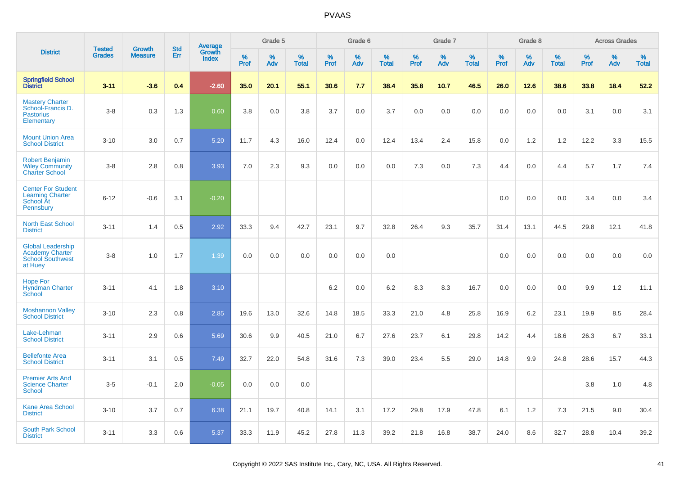|                                                                                          | <b>Tested</b> | <b>Growth</b>  | <b>Std</b> |                                   |                     | Grade 5  |                   |                     | Grade 6  |                   |              | Grade 7  |                   |              | Grade 8  |                   |              | <b>Across Grades</b> |                   |
|------------------------------------------------------------------------------------------|---------------|----------------|------------|-----------------------------------|---------------------|----------|-------------------|---------------------|----------|-------------------|--------------|----------|-------------------|--------------|----------|-------------------|--------------|----------------------|-------------------|
| <b>District</b>                                                                          | <b>Grades</b> | <b>Measure</b> | Err        | Average<br>Growth<br><b>Index</b> | $\%$<br><b>Prof</b> | %<br>Adv | %<br><b>Total</b> | $\%$<br><b>Prof</b> | %<br>Adv | %<br><b>Total</b> | $\%$<br>Prof | %<br>Adv | %<br><b>Total</b> | $\%$<br>Prof | %<br>Adv | %<br><b>Total</b> | $\%$<br>Prof | %<br>Adv             | %<br><b>Total</b> |
| <b>Springfield School</b><br><b>District</b>                                             | $3 - 11$      | $-3.6$         | 0.4        | $-2.60$                           | 35.0                | 20.1     | 55.1              | 30.6                | 7.7      | 38.4              | 35.8         | 10.7     | 46.5              | 26.0         | 12.6     | 38.6              | 33.8         | 18.4                 | 52.2              |
| <b>Mastery Charter</b><br>School-Francis D.<br><b>Pastorius</b><br>Elementary            | $3-8$         | 0.3            | 1.3        | 0.60                              | 3.8                 | 0.0      | 3.8               | 3.7                 | 0.0      | 3.7               | 0.0          | 0.0      | 0.0               | 0.0          | 0.0      | 0.0               | 3.1          | 0.0                  | 3.1               |
| <b>Mount Union Area</b><br><b>School District</b>                                        | $3 - 10$      | 3.0            | 0.7        | 5.20                              | 11.7                | 4.3      | 16.0              | 12.4                | 0.0      | 12.4              | 13.4         | 2.4      | 15.8              | 0.0          | 1.2      | 1.2               | 12.2         | 3.3                  | 15.5              |
| <b>Robert Benjamin</b><br><b>Wiley Community</b><br><b>Charter School</b>                | $3-8$         | 2.8            | 0.8        | 3.93                              | 7.0                 | 2.3      | 9.3               | 0.0                 | 0.0      | 0.0               | 7.3          | 0.0      | 7.3               | 4.4          | 0.0      | 4.4               | 5.7          | 1.7                  | 7.4               |
| <b>Center For Student</b><br><b>Learning Charter</b><br>School At<br>Pennsbury           | $6 - 12$      | $-0.6$         | 3.1        | $-0.20$                           |                     |          |                   |                     |          |                   |              |          |                   | 0.0          | 0.0      | 0.0               | 3.4          | 0.0                  | 3.4               |
| <b>North East School</b><br><b>District</b>                                              | $3 - 11$      | 1.4            | 0.5        | 2.92                              | 33.3                | 9.4      | 42.7              | 23.1                | 9.7      | 32.8              | 26.4         | 9.3      | 35.7              | 31.4         | 13.1     | 44.5              | 29.8         | 12.1                 | 41.8              |
| <b>Global Leadership</b><br><b>Academy Charter</b><br><b>School Southwest</b><br>at Huey | $3 - 8$       | 1.0            | 1.7        | 1.39                              | 0.0                 | 0.0      | 0.0               | 0.0                 | 0.0      | 0.0               |              |          |                   | 0.0          | 0.0      | 0.0               | 0.0          | 0.0                  | 0.0               |
| <b>Hope For</b><br><b>Hyndman Charter</b><br>School                                      | $3 - 11$      | 4.1            | 1.8        | 3.10                              |                     |          |                   | 6.2                 | 0.0      | 6.2               | 8.3          | 8.3      | 16.7              | 0.0          | 0.0      | 0.0               | 9.9          | $1.2$                | 11.1              |
| <b>Moshannon Valley</b><br><b>School District</b>                                        | $3 - 10$      | 2.3            | 0.8        | 2.85                              | 19.6                | 13.0     | 32.6              | 14.8                | 18.5     | 33.3              | 21.0         | 4.8      | 25.8              | 16.9         | 6.2      | 23.1              | 19.9         | 8.5                  | 28.4              |
| Lake-Lehman<br><b>School District</b>                                                    | $3 - 11$      | 2.9            | 0.6        | 5.69                              | 30.6                | 9.9      | 40.5              | 21.0                | 6.7      | 27.6              | 23.7         | 6.1      | 29.8              | 14.2         | 4.4      | 18.6              | 26.3         | 6.7                  | 33.1              |
| <b>Bellefonte Area</b><br><b>School District</b>                                         | $3 - 11$      | 3.1            | 0.5        | 7.49                              | 32.7                | 22.0     | 54.8              | 31.6                | 7.3      | 39.0              | 23.4         | 5.5      | 29.0              | 14.8         | 9.9      | 24.8              | 28.6         | 15.7                 | 44.3              |
| <b>Premier Arts And</b><br><b>Science Charter</b><br>School                              | $3-5$         | $-0.1$         | 2.0        | $-0.05$                           | 0.0                 | 0.0      | 0.0               |                     |          |                   |              |          |                   |              |          |                   | 3.8          | 1.0                  | 4.8               |
| <b>Kane Area School</b><br><b>District</b>                                               | $3 - 10$      | 3.7            | 0.7        | 6.38                              | 21.1                | 19.7     | 40.8              | 14.1                | 3.1      | 17.2              | 29.8         | 17.9     | 47.8              | 6.1          | 1.2      | 7.3               | 21.5         | 9.0                  | 30.4              |
| <b>South Park School</b><br><b>District</b>                                              | $3 - 11$      | 3.3            | 0.6        | 5.37                              | 33.3                | 11.9     | 45.2              | 27.8                | 11.3     | 39.2              | 21.8         | 16.8     | 38.7              | 24.0         | 8.6      | 32.7              | 28.8         | 10.4                 | 39.2              |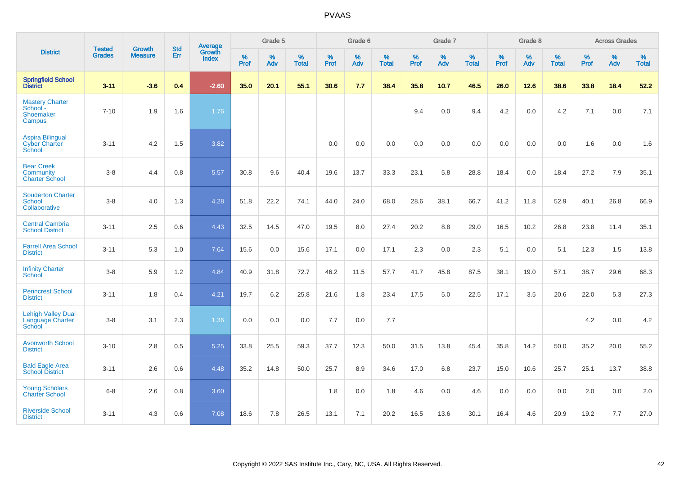|                                                                  | <b>Tested</b> | <b>Growth</b>  | <b>Std</b> | Average                |           | Grade 5  |                   |           | Grade 6  |                   |           | Grade 7  |                   |           | Grade 8  |                   |           | <b>Across Grades</b> |                   |
|------------------------------------------------------------------|---------------|----------------|------------|------------------------|-----------|----------|-------------------|-----------|----------|-------------------|-----------|----------|-------------------|-----------|----------|-------------------|-----------|----------------------|-------------------|
| <b>District</b>                                                  | <b>Grades</b> | <b>Measure</b> | Err        | Growth<br><b>Index</b> | %<br>Prof | %<br>Adv | %<br><b>Total</b> | %<br>Prof | %<br>Adv | %<br><b>Total</b> | %<br>Prof | %<br>Adv | %<br><b>Total</b> | %<br>Prof | %<br>Adv | %<br><b>Total</b> | %<br>Prof | %<br>Adv             | %<br><b>Total</b> |
| <b>Springfield School</b><br><b>District</b>                     | $3 - 11$      | $-3.6$         | 0.4        | $-2.60$                | 35.0      | 20.1     | 55.1              | 30.6      | 7.7      | 38.4              | 35.8      | 10.7     | 46.5              | 26.0      | 12.6     | 38.6              | 33.8      | 18.4                 | 52.2              |
| <b>Mastery Charter</b><br>School -<br><b>Shoemaker</b><br>Campus | $7 - 10$      | 1.9            | 1.6        | 1.76                   |           |          |                   |           |          |                   | 9.4       | 0.0      | 9.4               | 4.2       | 0.0      | 4.2               | 7.1       | 0.0                  | 7.1               |
| <b>Aspira Bilingual</b><br><b>Cyber Charter</b><br>School        | $3 - 11$      | 4.2            | 1.5        | 3.82                   |           |          |                   | 0.0       | 0.0      | 0.0               | 0.0       | 0.0      | 0.0               | 0.0       | 0.0      | 0.0               | 1.6       | 0.0                  | 1.6               |
| <b>Bear Creek</b><br>Community<br><b>Charter School</b>          | $3 - 8$       | 4.4            | 0.8        | 5.57                   | 30.8      | 9.6      | 40.4              | 19.6      | 13.7     | 33.3              | 23.1      | 5.8      | 28.8              | 18.4      | 0.0      | 18.4              | 27.2      | 7.9                  | 35.1              |
| <b>Souderton Charter</b><br><b>School</b><br>Collaborative       | $3 - 8$       | 4.0            | 1.3        | 4.28                   | 51.8      | 22.2     | 74.1              | 44.0      | 24.0     | 68.0              | 28.6      | 38.1     | 66.7              | 41.2      | 11.8     | 52.9              | 40.1      | 26.8                 | 66.9              |
| <b>Central Cambria</b><br><b>School District</b>                 | $3 - 11$      | 2.5            | 0.6        | 4.43                   | 32.5      | 14.5     | 47.0              | 19.5      | 8.0      | 27.4              | 20.2      | 8.8      | 29.0              | 16.5      | 10.2     | 26.8              | 23.8      | 11.4                 | 35.1              |
| <b>Farrell Area School</b><br><b>District</b>                    | $3 - 11$      | 5.3            | 1.0        | 7.64                   | 15.6      | 0.0      | 15.6              | 17.1      | 0.0      | 17.1              | 2.3       | 0.0      | 2.3               | 5.1       | 0.0      | 5.1               | 12.3      | 1.5                  | 13.8              |
| <b>Infinity Charter</b><br>School                                | $3 - 8$       | 5.9            | 1.2        | 4.84                   | 40.9      | 31.8     | 72.7              | 46.2      | 11.5     | 57.7              | 41.7      | 45.8     | 87.5              | 38.1      | 19.0     | 57.1              | 38.7      | 29.6                 | 68.3              |
| <b>Penncrest School</b><br><b>District</b>                       | $3 - 11$      | 1.8            | 0.4        | 4.21                   | 19.7      | 6.2      | 25.8              | 21.6      | 1.8      | 23.4              | 17.5      | 5.0      | 22.5              | 17.1      | 3.5      | 20.6              | 22.0      | 5.3                  | 27.3              |
| <b>Lehigh Valley Dual</b><br>Language Charter<br>School          | $3 - 8$       | 3.1            | 2.3        | 1.36                   | 0.0       | 0.0      | 0.0               | 7.7       | 0.0      | 7.7               |           |          |                   |           |          |                   | 4.2       | 0.0                  | 4.2               |
| <b>Avonworth School</b><br><b>District</b>                       | $3 - 10$      | 2.8            | 0.5        | 5.25                   | 33.8      | 25.5     | 59.3              | 37.7      | 12.3     | 50.0              | 31.5      | 13.8     | 45.4              | 35.8      | 14.2     | 50.0              | 35.2      | 20.0                 | 55.2              |
| <b>Bald Eagle Area</b><br><b>School District</b>                 | $3 - 11$      | 2.6            | 0.6        | 4.48                   | 35.2      | 14.8     | 50.0              | 25.7      | 8.9      | 34.6              | 17.0      | 6.8      | 23.7              | 15.0      | 10.6     | 25.7              | 25.1      | 13.7                 | 38.8              |
| <b>Young Scholars</b><br><b>Charter School</b>                   | $6 - 8$       | 2.6            | 0.8        | 3.60                   |           |          |                   | 1.8       | 0.0      | 1.8               | 4.6       | 0.0      | 4.6               | 0.0       | 0.0      | 0.0               | 2.0       | 0.0                  | 2.0               |
| <b>Riverside School</b><br><b>District</b>                       | $3 - 11$      | 4.3            | 0.6        | 7.08                   | 18.6      | 7.8      | 26.5              | 13.1      | 7.1      | 20.2              | 16.5      | 13.6     | 30.1              | 16.4      | 4.6      | 20.9              | 19.2      | 7.7                  | 27.0              |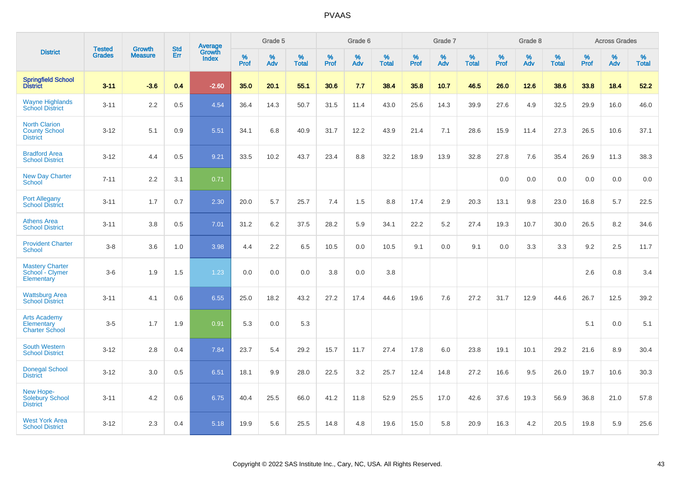|                                                                   |                                |                                 | <b>Std</b> | Average                |                  | Grade 5  |                   |           | Grade 6  |                   |           | Grade 7  |                   |           | Grade 8  |                   |           | <b>Across Grades</b> |                   |
|-------------------------------------------------------------------|--------------------------------|---------------------------------|------------|------------------------|------------------|----------|-------------------|-----------|----------|-------------------|-----------|----------|-------------------|-----------|----------|-------------------|-----------|----------------------|-------------------|
| <b>District</b>                                                   | <b>Tested</b><br><b>Grades</b> | <b>Growth</b><br><b>Measure</b> | Err        | <b>Growth</b><br>Index | %<br><b>Prof</b> | %<br>Adv | %<br><b>Total</b> | %<br>Prof | %<br>Adv | %<br><b>Total</b> | %<br>Prof | %<br>Adv | %<br><b>Total</b> | %<br>Prof | %<br>Adv | %<br><b>Total</b> | %<br>Prof | %<br>Adv             | %<br><b>Total</b> |
| <b>Springfield School</b><br>District                             | $3 - 11$                       | $-3.6$                          | 0.4        | $-2.60$                | 35.0             | 20.1     | 55.1              | 30.6      | 7.7      | 38.4              | 35.8      | 10.7     | 46.5              | 26.0      | 12.6     | 38.6              | 33.8      | 18.4                 | 52.2              |
| <b>Wayne Highlands</b><br><b>School District</b>                  | $3 - 11$                       | 2.2                             | 0.5        | 4.54                   | 36.4             | 14.3     | 50.7              | 31.5      | 11.4     | 43.0              | 25.6      | 14.3     | 39.9              | 27.6      | 4.9      | 32.5              | 29.9      | 16.0                 | 46.0              |
| <b>North Clarion</b><br><b>County School</b><br><b>District</b>   | $3-12$                         | 5.1                             | 0.9        | 5.51                   | 34.1             | 6.8      | 40.9              | 31.7      | 12.2     | 43.9              | 21.4      | 7.1      | 28.6              | 15.9      | 11.4     | 27.3              | 26.5      | 10.6                 | 37.1              |
| <b>Bradford Area</b><br><b>School District</b>                    | $3 - 12$                       | 4.4                             | 0.5        | 9.21                   | 33.5             | 10.2     | 43.7              | 23.4      | 8.8      | 32.2              | 18.9      | 13.9     | 32.8              | 27.8      | 7.6      | 35.4              | 26.9      | 11.3                 | 38.3              |
| <b>New Day Charter</b><br><b>School</b>                           | $7 - 11$                       | 2.2                             | 3.1        | 0.71                   |                  |          |                   |           |          |                   |           |          |                   | 0.0       | 0.0      | 0.0               | 0.0       | 0.0                  | 0.0               |
| <b>Port Allegany</b><br><b>School District</b>                    | $3 - 11$                       | 1.7                             | 0.7        | 2.30                   | 20.0             | 5.7      | 25.7              | 7.4       | 1.5      | 8.8               | 17.4      | 2.9      | 20.3              | 13.1      | 9.8      | 23.0              | 16.8      | 5.7                  | 22.5              |
| <b>Athens Area</b><br><b>School District</b>                      | $3 - 11$                       | 3.8                             | 0.5        | 7.01                   | 31.2             | 6.2      | 37.5              | 28.2      | 5.9      | 34.1              | 22.2      | 5.2      | 27.4              | 19.3      | 10.7     | 30.0              | 26.5      | 8.2                  | 34.6              |
| <b>Provident Charter</b><br><b>School</b>                         | $3-8$                          | 3.6                             | 1.0        | 3.98                   | 4.4              | 2.2      | 6.5               | 10.5      | 0.0      | 10.5              | 9.1       | 0.0      | 9.1               | 0.0       | 3.3      | 3.3               | 9.2       | 2.5                  | 11.7              |
| <b>Mastery Charter</b><br>School - Clymer<br>Elementary           | $3-6$                          | 1.9                             | 1.5        | 1.23                   | 0.0              | 0.0      | 0.0               | 3.8       | 0.0      | 3.8               |           |          |                   |           |          |                   | 2.6       | 0.8                  | 3.4               |
| <b>Wattsburg Area</b><br><b>School District</b>                   | $3 - 11$                       | 4.1                             | 0.6        | 6.55                   | 25.0             | 18.2     | 43.2              | 27.2      | 17.4     | 44.6              | 19.6      | 7.6      | 27.2              | 31.7      | 12.9     | 44.6              | 26.7      | 12.5                 | 39.2              |
| <b>Arts Academy</b><br><b>Elementary</b><br><b>Charter School</b> | $3-5$                          | 1.7                             | 1.9        | 0.91                   | 5.3              | 0.0      | 5.3               |           |          |                   |           |          |                   |           |          |                   | 5.1       | 0.0                  | 5.1               |
| <b>South Western</b><br><b>School District</b>                    | $3 - 12$                       | 2.8                             | 0.4        | 7.84                   | 23.7             | 5.4      | 29.2              | 15.7      | 11.7     | 27.4              | 17.8      | 6.0      | 23.8              | 19.1      | 10.1     | 29.2              | 21.6      | 8.9                  | 30.4              |
| <b>Donegal School</b><br><b>District</b>                          | $3 - 12$                       | 3.0                             | 0.5        | 6.51                   | 18.1             | 9.9      | 28.0              | 22.5      | 3.2      | 25.7              | 12.4      | 14.8     | 27.2              | 16.6      | 9.5      | 26.0              | 19.7      | 10.6                 | 30.3              |
| New Hope-<br>Solebury School<br><b>District</b>                   | $3 - 11$                       | 4.2                             | 0.6        | 6.75                   | 40.4             | 25.5     | 66.0              | 41.2      | 11.8     | 52.9              | 25.5      | 17.0     | 42.6              | 37.6      | 19.3     | 56.9              | 36.8      | 21.0                 | 57.8              |
| <b>West York Area</b><br><b>School District</b>                   | $3 - 12$                       | 2.3                             | 0.4        | 5.18                   | 19.9             | 5.6      | 25.5              | 14.8      | 4.8      | 19.6              | 15.0      | 5.8      | 20.9              | 16.3      | 4.2      | 20.5              | 19.8      | 5.9                  | 25.6              |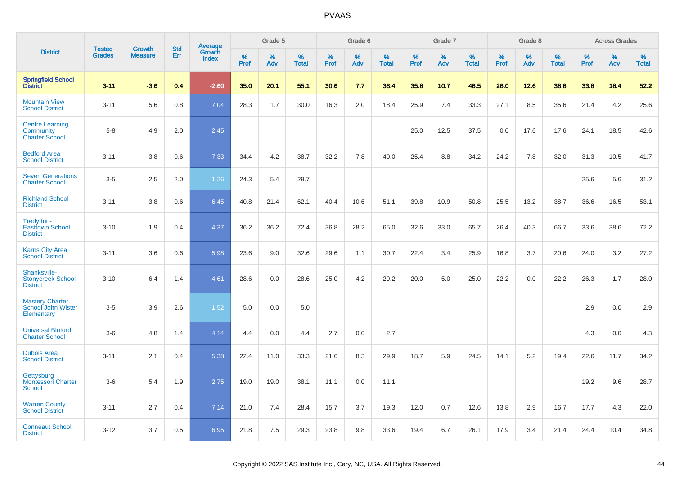|                                                              |                                | <b>Growth</b>  | <b>Std</b> |                                   |              | Grade 5  |                   |              | Grade 6  |                   |           | Grade 7  |                   |           | Grade 8  |                   |              | <b>Across Grades</b> |                   |
|--------------------------------------------------------------|--------------------------------|----------------|------------|-----------------------------------|--------------|----------|-------------------|--------------|----------|-------------------|-----------|----------|-------------------|-----------|----------|-------------------|--------------|----------------------|-------------------|
| <b>District</b>                                              | <b>Tested</b><br><b>Grades</b> | <b>Measure</b> | Err        | Average<br>Growth<br><b>Index</b> | $\%$<br>Prof | %<br>Adv | %<br><b>Total</b> | $\%$<br>Prof | %<br>Adv | %<br><b>Total</b> | %<br>Prof | %<br>Adv | %<br><b>Total</b> | %<br>Prof | %<br>Adv | %<br><b>Total</b> | $\%$<br>Prof | %<br>Adv             | %<br><b>Total</b> |
| <b>Springfield School</b><br>District                        | $3 - 11$                       | $-3.6$         | 0.4        | $-2.60$                           | 35.0         | 20.1     | 55.1              | 30.6         | 7.7      | 38.4              | 35.8      | 10.7     | 46.5              | 26.0      | 12.6     | 38.6              | 33.8         | 18.4                 | 52.2              |
| <b>Mountain View</b><br><b>School District</b>               | $3 - 11$                       | 5.6            | 0.8        | 7.04                              | 28.3         | 1.7      | 30.0              | 16.3         | 2.0      | 18.4              | 25.9      | 7.4      | 33.3              | 27.1      | 8.5      | 35.6              | 21.4         | 4.2                  | 25.6              |
| <b>Centre Learning</b><br>Community<br><b>Charter School</b> | $5-8$                          | 4.9            | 2.0        | 2.45                              |              |          |                   |              |          |                   | 25.0      | 12.5     | 37.5              | 0.0       | 17.6     | 17.6              | 24.1         | 18.5                 | 42.6              |
| <b>Bedford Area</b><br><b>School District</b>                | $3 - 11$                       | 3.8            | 0.6        | 7.33                              | 34.4         | 4.2      | 38.7              | 32.2         | 7.8      | 40.0              | 25.4      | 8.8      | 34.2              | 24.2      | 7.8      | 32.0              | 31.3         | 10.5                 | 41.7              |
| <b>Seven Generations</b><br><b>Charter School</b>            | $3-5$                          | 2.5            | 2.0        | 1.26                              | 24.3         | 5.4      | 29.7              |              |          |                   |           |          |                   |           |          |                   | 25.6         | 5.6                  | 31.2              |
| <b>Richland School</b><br><b>District</b>                    | $3 - 11$                       | 3.8            | 0.6        | 6.45                              | 40.8         | 21.4     | 62.1              | 40.4         | 10.6     | 51.1              | 39.8      | 10.9     | 50.8              | 25.5      | 13.2     | 38.7              | 36.6         | 16.5                 | 53.1              |
| Tredyffrin-<br><b>Easttown School</b><br><b>District</b>     | $3 - 10$                       | 1.9            | 0.4        | 4.37                              | 36.2         | 36.2     | 72.4              | 36.8         | 28.2     | 65.0              | 32.6      | 33.0     | 65.7              | 26.4      | 40.3     | 66.7              | 33.6         | 38.6                 | 72.2              |
| <b>Karns City Area</b><br><b>School District</b>             | $3 - 11$                       | 3.6            | 0.6        | 5.98                              | 23.6         | 9.0      | 32.6              | 29.6         | 1.1      | 30.7              | 22.4      | 3.4      | 25.9              | 16.8      | 3.7      | 20.6              | 24.0         | 3.2                  | 27.2              |
| Shanksville-<br><b>Stonycreek School</b><br><b>District</b>  | $3 - 10$                       | 6.4            | 1.4        | 4.61                              | 28.6         | 0.0      | 28.6              | 25.0         | 4.2      | 29.2              | 20.0      | 5.0      | 25.0              | 22.2      | 0.0      | 22.2              | 26.3         | 1.7                  | 28.0              |
| <b>Mastery Charter</b><br>School John Wister<br>Elementary   | $3-5$                          | 3.9            | 2.6        | 1.52                              | 5.0          | 0.0      | 5.0               |              |          |                   |           |          |                   |           |          |                   | 2.9          | 0.0                  | 2.9               |
| <b>Universal Bluford</b><br><b>Charter School</b>            | $3-6$                          | 4.8            | 1.4        | 4.14                              | 4.4          | 0.0      | 4.4               | 2.7          | 0.0      | 2.7               |           |          |                   |           |          |                   | 4.3          | 0.0                  | 4.3               |
| <b>Dubois Area</b><br><b>School District</b>                 | $3 - 11$                       | 2.1            | 0.4        | 5.38                              | 22.4         | 11.0     | 33.3              | 21.6         | 8.3      | 29.9              | 18.7      | 5.9      | 24.5              | 14.1      | 5.2      | 19.4              | 22.6         | 11.7                 | 34.2              |
| Gettysburg<br>Montessori Charter<br><b>School</b>            | $3-6$                          | 5.4            | 1.9        | 2.75                              | 19.0         | 19.0     | 38.1              | 11.1         | 0.0      | 11.1              |           |          |                   |           |          |                   | 19.2         | 9.6                  | 28.7              |
| <b>Warren County</b><br><b>School District</b>               | $3 - 11$                       | 2.7            | 0.4        | 7.14                              | 21.0         | 7.4      | 28.4              | 15.7         | 3.7      | 19.3              | 12.0      | 0.7      | 12.6              | 13.8      | 2.9      | 16.7              | 17.7         | 4.3                  | 22.0              |
| <b>Conneaut School</b><br><b>District</b>                    | $3 - 12$                       | 3.7            | 0.5        | 6.95                              | 21.8         | 7.5      | 29.3              | 23.8         | 9.8      | 33.6              | 19.4      | 6.7      | 26.1              | 17.9      | 3.4      | 21.4              | 24.4         | 10.4                 | 34.8              |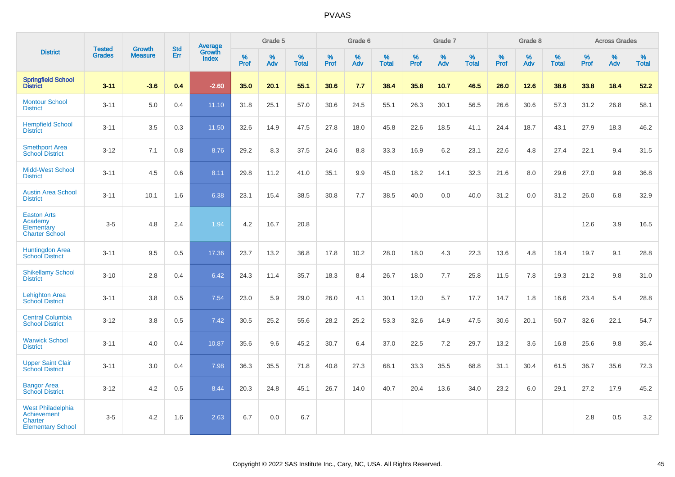|                                                                                       |                                |                                 | <b>Std</b> | Average                |              | Grade 5  |                   |           | Grade 6  |                   |           | Grade 7  |                      |           | Grade 8  |                   |              | <b>Across Grades</b> |                   |
|---------------------------------------------------------------------------------------|--------------------------------|---------------------------------|------------|------------------------|--------------|----------|-------------------|-----------|----------|-------------------|-----------|----------|----------------------|-----------|----------|-------------------|--------------|----------------------|-------------------|
| <b>District</b>                                                                       | <b>Tested</b><br><b>Grades</b> | <b>Growth</b><br><b>Measure</b> | Err        | Growth<br><b>Index</b> | $\%$<br>Prof | %<br>Adv | %<br><b>Total</b> | %<br>Prof | %<br>Adv | %<br><b>Total</b> | %<br>Prof | %<br>Adv | $\%$<br><b>Total</b> | %<br>Prof | %<br>Adv | %<br><b>Total</b> | $\%$<br>Prof | %<br>Adv             | %<br><b>Total</b> |
| <b>Springfield School</b><br><b>District</b>                                          | $3 - 11$                       | $-3.6$                          | 0.4        | $-2.60$                | 35.0         | 20.1     | 55.1              | 30.6      | 7.7      | 38.4              | 35.8      | 10.7     | 46.5                 | 26.0      | 12.6     | 38.6              | 33.8         | 18.4                 | 52.2              |
| <b>Montour School</b><br><b>District</b>                                              | $3 - 11$                       | 5.0                             | 0.4        | 11.10                  | 31.8         | 25.1     | 57.0              | 30.6      | 24.5     | 55.1              | 26.3      | 30.1     | 56.5                 | 26.6      | 30.6     | 57.3              | 31.2         | 26.8                 | 58.1              |
| <b>Hempfield School</b><br><b>District</b>                                            | $3 - 11$                       | 3.5                             | 0.3        | 11.50                  | 32.6         | 14.9     | 47.5              | 27.8      | 18.0     | 45.8              | 22.6      | 18.5     | 41.1                 | 24.4      | 18.7     | 43.1              | 27.9         | 18.3                 | 46.2              |
| <b>Smethport Area</b><br><b>School District</b>                                       | $3 - 12$                       | 7.1                             | 0.8        | 8.76                   | 29.2         | 8.3      | 37.5              | 24.6      | 8.8      | 33.3              | 16.9      | 6.2      | 23.1                 | 22.6      | 4.8      | 27.4              | 22.1         | 9.4                  | 31.5              |
| <b>Midd-West School</b><br><b>District</b>                                            | $3 - 11$                       | 4.5                             | 0.6        | 8.11                   | 29.8         | 11.2     | 41.0              | 35.1      | 9.9      | 45.0              | 18.2      | 14.1     | 32.3                 | 21.6      | 8.0      | 29.6              | 27.0         | 9.8                  | 36.8              |
| <b>Austin Area School</b><br><b>District</b>                                          | $3 - 11$                       | 10.1                            | 1.6        | 6.38                   | 23.1         | 15.4     | 38.5              | 30.8      | 7.7      | 38.5              | 40.0      | 0.0      | 40.0                 | 31.2      | 0.0      | 31.2              | 26.0         | 6.8                  | 32.9              |
| <b>Easton Arts</b><br>Academy<br>Elementary<br><b>Charter School</b>                  | $3-5$                          | 4.8                             | 2.4        | 1.94                   | 4.2          | 16.7     | 20.8              |           |          |                   |           |          |                      |           |          |                   | 12.6         | 3.9                  | 16.5              |
| <b>Huntingdon Area</b><br><b>School District</b>                                      | $3 - 11$                       | 9.5                             | 0.5        | 17.36                  | 23.7         | 13.2     | 36.8              | 17.8      | 10.2     | 28.0              | 18.0      | 4.3      | 22.3                 | 13.6      | 4.8      | 18.4              | 19.7         | 9.1                  | 28.8              |
| <b>Shikellamy School</b><br><b>District</b>                                           | $3 - 10$                       | 2.8                             | 0.4        | 6.42                   | 24.3         | 11.4     | 35.7              | 18.3      | 8.4      | 26.7              | 18.0      | 7.7      | 25.8                 | 11.5      | 7.8      | 19.3              | 21.2         | 9.8                  | 31.0              |
| <b>Lehighton Area</b><br><b>School District</b>                                       | $3 - 11$                       | 3.8                             | 0.5        | 7.54                   | 23.0         | 5.9      | 29.0              | 26.0      | 4.1      | 30.1              | 12.0      | 5.7      | 17.7                 | 14.7      | 1.8      | 16.6              | 23.4         | 5.4                  | 28.8              |
| <b>Central Columbia</b><br><b>School District</b>                                     | $3 - 12$                       | 3.8                             | 0.5        | 7.42                   | 30.5         | 25.2     | 55.6              | 28.2      | 25.2     | 53.3              | 32.6      | 14.9     | 47.5                 | 30.6      | 20.1     | 50.7              | 32.6         | 22.1                 | 54.7              |
| <b>Warwick School</b><br><b>District</b>                                              | $3 - 11$                       | 4.0                             | 0.4        | 10.87                  | 35.6         | 9.6      | 45.2              | 30.7      | 6.4      | 37.0              | 22.5      | 7.2      | 29.7                 | 13.2      | 3.6      | 16.8              | 25.6         | 9.8                  | 35.4              |
| <b>Upper Saint Clair</b><br><b>School District</b>                                    | $3 - 11$                       | 3.0                             | 0.4        | 7.98                   | 36.3         | 35.5     | 71.8              | 40.8      | 27.3     | 68.1              | 33.3      | 35.5     | 68.8                 | 31.1      | 30.4     | 61.5              | 36.7         | 35.6                 | 72.3              |
| <b>Bangor Area</b><br><b>School District</b>                                          | $3 - 12$                       | 4.2                             | 0.5        | 8.44                   | 20.3         | 24.8     | 45.1              | 26.7      | 14.0     | 40.7              | 20.4      | 13.6     | 34.0                 | 23.2      | 6.0      | 29.1              | 27.2         | 17.9                 | 45.2              |
| <b>West Philadelphia</b><br><b>Achievement</b><br>Charter<br><b>Elementary School</b> | $3-5$                          | 4.2                             | 1.6        | 2.63                   | 6.7          | 0.0      | 6.7               |           |          |                   |           |          |                      |           |          |                   | 2.8          | 0.5                  | $3.2\,$           |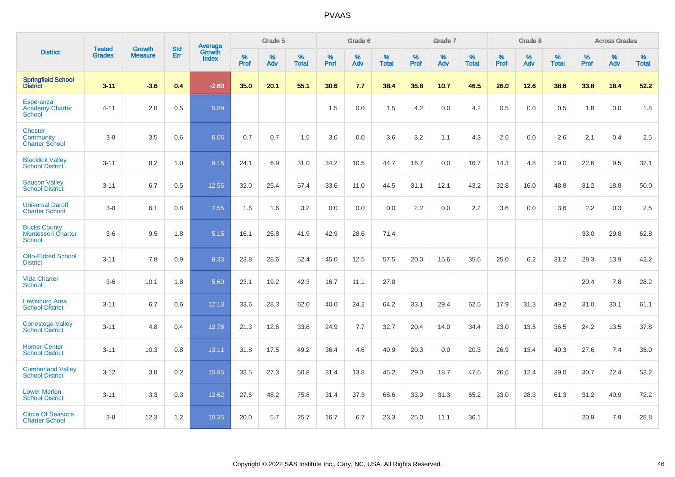|                                                                   | <b>Tested</b> | <b>Growth</b>  | <b>Std</b> | Average                       |           | Grade 5  |                   |           | Grade 6  |                   |           | Grade 7  |                   |           | Grade 8  |                   |           | <b>Across Grades</b> |                   |
|-------------------------------------------------------------------|---------------|----------------|------------|-------------------------------|-----------|----------|-------------------|-----------|----------|-------------------|-----------|----------|-------------------|-----------|----------|-------------------|-----------|----------------------|-------------------|
| <b>District</b>                                                   | <b>Grades</b> | <b>Measure</b> | Err        | <b>Growth</b><br><b>Index</b> | %<br>Prof | %<br>Adv | %<br><b>Total</b> | %<br>Prof | %<br>Adv | %<br><b>Total</b> | %<br>Prof | %<br>Adv | %<br><b>Total</b> | %<br>Prof | %<br>Adv | %<br><b>Total</b> | %<br>Prof | %<br>Adv             | %<br><b>Total</b> |
| <b>Springfield School</b><br><b>District</b>                      | $3 - 11$      | $-3.6$         | 0.4        | $-2.60$                       | 35.0      | 20.1     | 55.1              | 30.6      | 7.7      | 38.4              | 35.8      | 10.7     | 46.5              | 26.0      | 12.6     | 38.6              | 33.8      | 18.4                 | 52.2              |
| <b>Esperanza</b><br><b>Academy Charter</b><br><b>School</b>       | $4 - 11$      | 2.8            | 0.5        | 5.89                          |           |          |                   | 1.5       | 0.0      | 1.5               | 4.2       | 0.0      | 4.2               | 0.5       | 0.0      | 0.5               | 1.8       | 0.0                  | 1.8               |
| <b>Chester</b><br>Community<br><b>Charter School</b>              | $3 - 8$       | 3.5            | 0.6        | 6.06                          | 0.7       | 0.7      | 1.5               | 3.6       | 0.0      | 3.6               | 3.2       | 1.1      | 4.3               | 2.6       | 0.0      | 2.6               | 2.1       | 0.4                  | 2.5               |
| <b>Blacklick Valley</b><br><b>School District</b>                 | $3 - 11$      | 8.2            | 1.0        | 8.15                          | 24.1      | 6.9      | 31.0              | 34.2      | 10.5     | 44.7              | 16.7      | 0.0      | 16.7              | 14.3      | 4.8      | 19.0              | 22.6      | 9.5                  | 32.1              |
| <b>Saucon Valley</b><br><b>School District</b>                    | $3 - 11$      | 6.7            | 0.5        | 12.55                         | 32.0      | 25.4     | 57.4              | 33.6      | 11.0     | 44.5              | 31.1      | 12.1     | 43.2              | 32.8      | 16.0     | 48.8              | 31.2      | 18.8                 | 50.0              |
| <b>Universal Daroff</b><br><b>Charter School</b>                  | $3 - 8$       | 6.1            | 0.8        | 7.55                          | 1.6       | 1.6      | 3.2               | 0.0       | 0.0      | 0.0               | 2.2       | 0.0      | 2.2               | 3.6       | 0.0      | 3.6               | 2.2       | 0.3                  | 2.5               |
| <b>Bucks County</b><br><b>Montessori Charter</b><br><b>School</b> | $3-6$         | 9.5            | 1.8        | 5.15                          | 16.1      | 25.8     | 41.9              | 42.9      | 28.6     | 71.4              |           |          |                   |           |          |                   | 33.0      | 29.8                 | 62.8              |
| <b>Otto-Eldred School</b><br><b>District</b>                      | $3 - 11$      | 7.8            | 0.9        | 8.33                          | 23.8      | 28.6     | 52.4              | 45.0      | 12.5     | 57.5              | 20.0      | 15.6     | 35.6              | 25.0      | 6.2      | 31.2              | 28.3      | 13.9                 | 42.2              |
| <b>Vida Charter</b><br><b>School</b>                              | $3-6$         | 10.1           | 1.8        | 5.60                          | 23.1      | 19.2     | 42.3              | 16.7      | 11.1     | 27.8              |           |          |                   |           |          |                   | 20.4      | 7.8                  | 28.2              |
| <b>Lewisburg Area</b><br><b>School District</b>                   | $3 - 11$      | 6.7            | 0.6        | 12.13                         | 33.6      | 28.3     | 62.0              | 40.0      | 24.2     | 64.2              | 33.1      | 29.4     | 62.5              | 17.9      | 31.3     | 49.2              | 31.0      | 30.1                 | 61.1              |
| <b>Conestoga Valley</b><br><b>School District</b>                 | $3 - 11$      | 4.8            | 0.4        | 12.76                         | 21.3      | 12.6     | 33.8              | 24.9      | 7.7      | 32.7              | 20.4      | 14.0     | 34.4              | 23.0      | 13.5     | 36.5              | 24.2      | 13.5                 | 37.8              |
| <b>Homer-Center</b><br><b>School District</b>                     | $3 - 11$      | 10.3           | 0.8        | 13.11                         | 31.8      | 17.5     | 49.2              | 36.4      | 4.6      | 40.9              | 20.3      | 0.0      | 20.3              | 26.9      | 13.4     | 40.3              | 27.6      | 7.4                  | 35.0              |
| <b>Cumberland Valley</b><br><b>School District</b>                | $3 - 12$      | 3.8            | 0.2        | 15.85                         | 33.5      | 27.3     | 60.8              | 31.4      | 13.8     | 45.2              | 29.0      | 18.7     | 47.6              | 26.6      | 12.4     | 39.0              | 30.7      | 22.4                 | 53.2              |
| <b>Lower Merion</b><br><b>School District</b>                     | $3 - 11$      | 3.3            | 0.3        | 12.62                         | 27.6      | 48.2     | 75.8              | 31.4      | 37.3     | 68.6              | 33.9      | 31.3     | 65.2              | 33.0      | 28.3     | 61.3              | 31.2      | 40.9                 | 72.2              |
| <b>Circle Of Seasons</b><br><b>Charter School</b>                 | $3 - 8$       | 12.3           | 1.2        | 10.35                         | 20.0      | 5.7      | 25.7              | 16.7      | 6.7      | 23.3              | 25.0      | 11.1     | 36.1              |           |          |                   | 20.9      | 7.9                  | 28.8              |